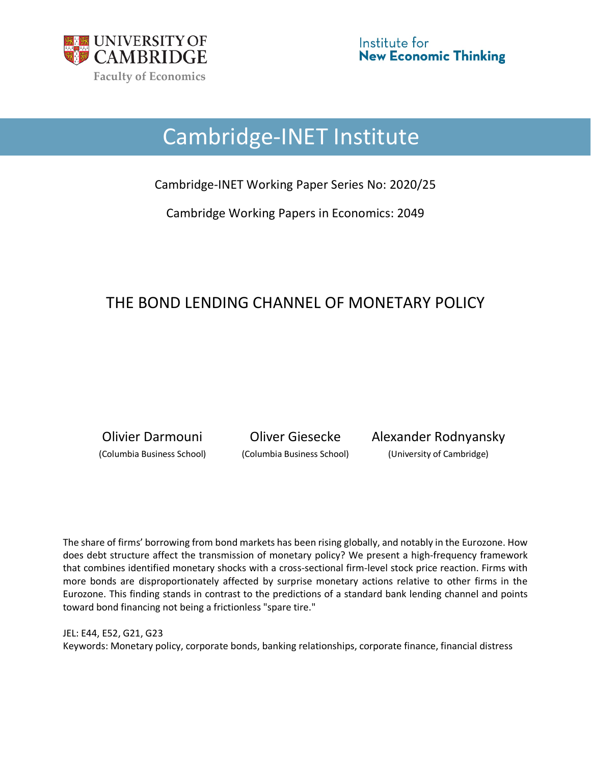

# Cambridge-INET Institute

Cambridge-INET Working Paper Series No: 2020/25

Cambridge Working Papers in Economics: 2049

## THE BOND LENDING CHANNEL OF MONETARY POLICY

Olivier Darmouni Oliver Giesecke Alexander Rodnyansky (Columbia Business School) (Columbia Business School) (University of Cambridge)

The share of firms' borrowing from bond markets has been rising globally, and notably in the Eurozone. How does debt structure affect the transmission of monetary policy? We present a high-frequency framework that combines identified monetary shocks with a cross-sectional firm-level stock price reaction. Firms with more bonds are disproportionately affected by surprise monetary actions relative to other firms in the Eurozone. This finding stands in contrast to the predictions of a standard bank lending channel and points toward bond financing not being a frictionless "spare tire."

JEL: E44, E52, G21, G23 Keywords: Monetary policy, corporate bonds, banking relationships, corporate finance, financial distress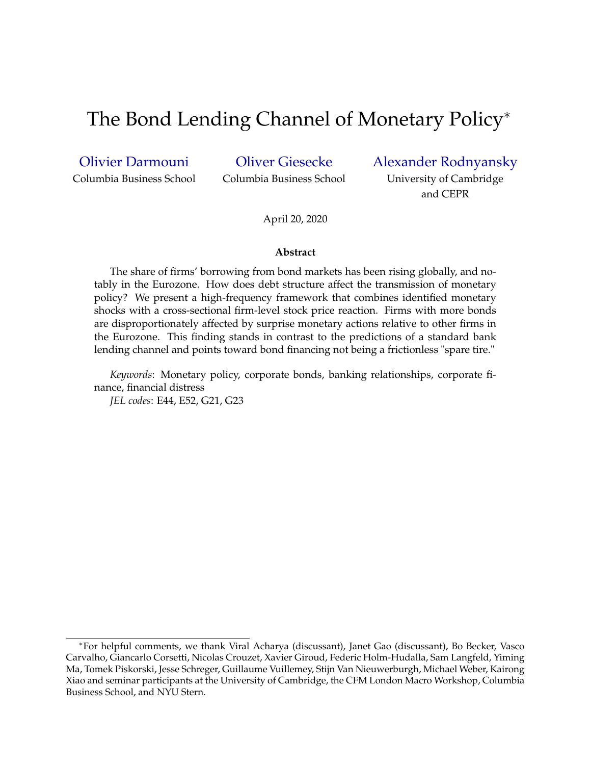## The Bond Lending Channel of Monetary Policy<sup>∗</sup>

[Olivier Darmouni](https://www8.gsb.columbia.edu/cbs-directory/detail/omd2109) Columbia Business School [Oliver Giesecke](https://www.olivergiesecke.com)

Columbia Business School

[Alexander Rodnyansky](http://www.arodnyansky.com)

University of Cambridge and CEPR

April 20, 2020

#### **Abstract**

The share of firms' borrowing from bond markets has been rising globally, and notably in the Eurozone. How does debt structure affect the transmission of monetary policy? We present a high-frequency framework that combines identified monetary shocks with a cross-sectional firm-level stock price reaction. Firms with more bonds are disproportionately affected by surprise monetary actions relative to other firms in the Eurozone. This finding stands in contrast to the predictions of a standard bank lending channel and points toward bond financing not being a frictionless "spare tire."

*Keywords*: Monetary policy, corporate bonds, banking relationships, corporate finance, financial distress

*JEL codes*: E44, E52, G21, G23

<sup>∗</sup>For helpful comments, we thank Viral Acharya (discussant), Janet Gao (discussant), Bo Becker, Vasco Carvalho, Giancarlo Corsetti, Nicolas Crouzet, Xavier Giroud, Federic Holm-Hudalla, Sam Langfeld, Yiming Ma, Tomek Piskorski, Jesse Schreger, Guillaume Vuillemey, Stijn Van Nieuwerburgh, Michael Weber, Kairong Xiao and seminar participants at the University of Cambridge, the CFM London Macro Workshop, Columbia Business School, and NYU Stern.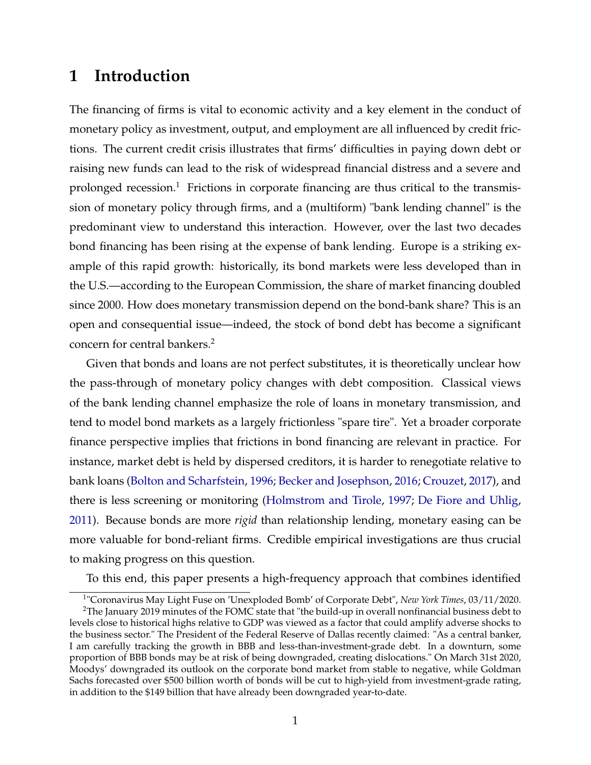### **1 Introduction**

The financing of firms is vital to economic activity and a key element in the conduct of monetary policy as investment, output, and employment are all influenced by credit frictions. The current credit crisis illustrates that firms' difficulties in paying down debt or raising new funds can lead to the risk of widespread financial distress and a severe and prolonged recession.<sup>1</sup> Frictions in corporate financing are thus critical to the transmission of monetary policy through firms, and a (multiform) "bank lending channel" is the predominant view to understand this interaction. However, over the last two decades bond financing has been rising at the expense of bank lending. Europe is a striking example of this rapid growth: historically, its bond markets were less developed than in the U.S.—according to the European Commission, the share of market financing doubled since 2000. How does monetary transmission depend on the bond-bank share? This is an open and consequential issue—indeed, the stock of bond debt has become a significant concern for central bankers.<sup>2</sup>

Given that bonds and loans are not perfect substitutes, it is theoretically unclear how the pass-through of monetary policy changes with debt composition. Classical views of the bank lending channel emphasize the role of loans in monetary transmission, and tend to model bond markets as a largely frictionless "spare tire". Yet a broader corporate finance perspective implies that frictions in bond financing are relevant in practice. For instance, market debt is held by dispersed creditors, it is harder to renegotiate relative to bank loans [\(Bolton and Scharfstein,](#page-29-0) [1996;](#page-29-0) [Becker and Josephson,](#page-29-0) [2016;](#page-29-0) [Crouzet,](#page-30-0) [2017\)](#page-30-0), and there is less screening or monitoring [\(Holmstrom and Tirole,](#page-31-0) [1997;](#page-31-0) [De Fiore and Uhlig,](#page-30-0) [2011\)](#page-30-0). Because bonds are more *rigid* than relationship lending, monetary easing can be more valuable for bond-reliant firms. Credible empirical investigations are thus crucial to making progress on this question.

To this end, this paper presents a high-frequency approach that combines identified

<sup>1</sup> "Coronavirus May Light Fuse on 'Unexploded Bomb' of Corporate Debt", *New York Times*, 03/11/2020.

 $2$ The January 2019 minutes of the FOMC state that "the build-up in overall nonfinancial business debt to levels close to historical highs relative to GDP was viewed as a factor that could amplify adverse shocks to the business sector." The President of the Federal Reserve of Dallas recently claimed: "As a central banker, I am carefully tracking the growth in BBB and less-than-investment-grade debt. In a downturn, some proportion of BBB bonds may be at risk of being downgraded, creating dislocations." On March 31st 2020, Moodys' downgraded its outlook on the corporate bond market from stable to negative, while Goldman Sachs forecasted over \$500 billion worth of bonds will be cut to high-yield from investment-grade rating, in addition to the \$149 billion that have already been downgraded year-to-date.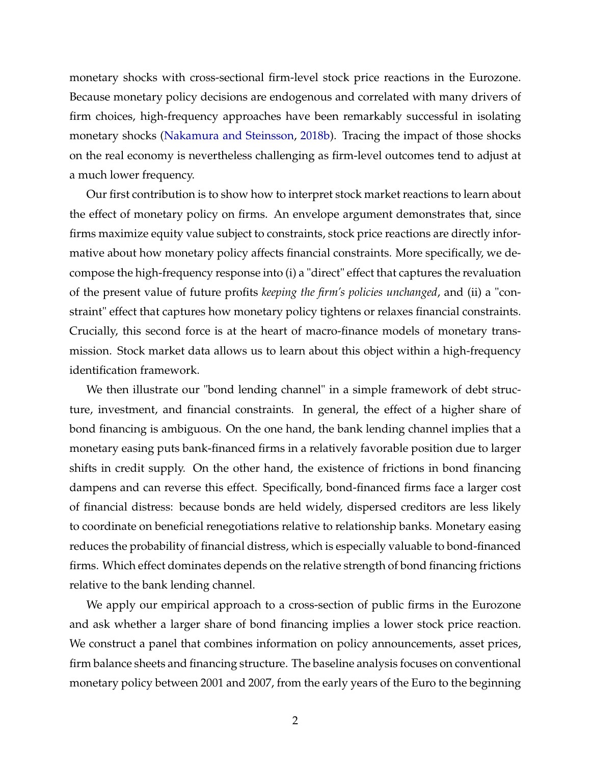monetary shocks with cross-sectional firm-level stock price reactions in the Eurozone. Because monetary policy decisions are endogenous and correlated with many drivers of firm choices, high-frequency approaches have been remarkably successful in isolating monetary shocks [\(Nakamura and Steinsson,](#page-33-0) [2018b\)](#page-33-0). Tracing the impact of those shocks on the real economy is nevertheless challenging as firm-level outcomes tend to adjust at a much lower frequency.

Our first contribution is to show how to interpret stock market reactions to learn about the effect of monetary policy on firms. An envelope argument demonstrates that, since firms maximize equity value subject to constraints, stock price reactions are directly informative about how monetary policy affects financial constraints. More specifically, we decompose the high-frequency response into (i) a "direct" effect that captures the revaluation of the present value of future profits *keeping the firm's policies unchanged*, and (ii) a "constraint" effect that captures how monetary policy tightens or relaxes financial constraints. Crucially, this second force is at the heart of macro-finance models of monetary transmission. Stock market data allows us to learn about this object within a high-frequency identification framework.

We then illustrate our "bond lending channel" in a simple framework of debt structure, investment, and financial constraints. In general, the effect of a higher share of bond financing is ambiguous. On the one hand, the bank lending channel implies that a monetary easing puts bank-financed firms in a relatively favorable position due to larger shifts in credit supply. On the other hand, the existence of frictions in bond financing dampens and can reverse this effect. Specifically, bond-financed firms face a larger cost of financial distress: because bonds are held widely, dispersed creditors are less likely to coordinate on beneficial renegotiations relative to relationship banks. Monetary easing reduces the probability of financial distress, which is especially valuable to bond-financed firms. Which effect dominates depends on the relative strength of bond financing frictions relative to the bank lending channel.

We apply our empirical approach to a cross-section of public firms in the Eurozone and ask whether a larger share of bond financing implies a lower stock price reaction. We construct a panel that combines information on policy announcements, asset prices, firm balance sheets and financing structure. The baseline analysis focuses on conventional monetary policy between 2001 and 2007, from the early years of the Euro to the beginning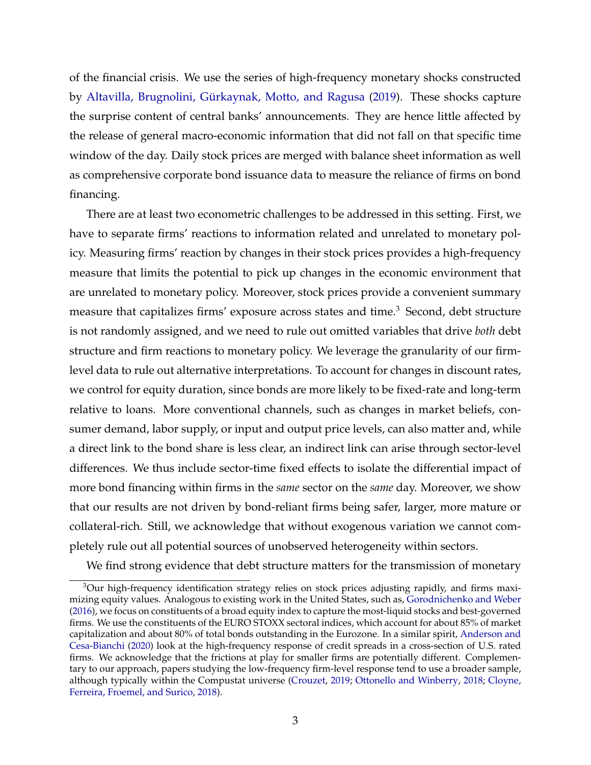of the financial crisis. We use the series of high-frequency monetary shocks constructed by [Altavilla, Brugnolini, Gürkaynak, Motto, and Ragusa](#page-29-0) [\(2019\)](#page-29-0). These shocks capture the surprise content of central banks' announcements. They are hence little affected by the release of general macro-economic information that did not fall on that specific time window of the day. Daily stock prices are merged with balance sheet information as well as comprehensive corporate bond issuance data to measure the reliance of firms on bond financing.

There are at least two econometric challenges to be addressed in this setting. First, we have to separate firms' reactions to information related and unrelated to monetary policy. Measuring firms' reaction by changes in their stock prices provides a high-frequency measure that limits the potential to pick up changes in the economic environment that are unrelated to monetary policy. Moreover, stock prices provide a convenient summary measure that capitalizes firms' exposure across states and time.<sup>3</sup> Second, debt structure is not randomly assigned, and we need to rule out omitted variables that drive *both* debt structure and firm reactions to monetary policy. We leverage the granularity of our firmlevel data to rule out alternative interpretations. To account for changes in discount rates, we control for equity duration, since bonds are more likely to be fixed-rate and long-term relative to loans. More conventional channels, such as changes in market beliefs, consumer demand, labor supply, or input and output price levels, can also matter and, while a direct link to the bond share is less clear, an indirect link can arise through sector-level differences. We thus include sector-time fixed effects to isolate the differential impact of more bond financing within firms in the *same* sector on the *same* day. Moreover, we show that our results are not driven by bond-reliant firms being safer, larger, more mature or collateral-rich. Still, we acknowledge that without exogenous variation we cannot completely rule out all potential sources of unobserved heterogeneity within sectors.

We find strong evidence that debt structure matters for the transmission of monetary

<sup>&</sup>lt;sup>3</sup>Our high-frequency identification strategy relies on stock prices adjusting rapidly, and firms maximizing equity values. Analogous to existing work in the United States, such as, [Gorodnichenko and Weber](#page-31-0) [\(2016\)](#page-31-0), we focus on constituents of a broad equity index to capture the most-liquid stocks and best-governed firms. We use the constituents of the EURO STOXX sectoral indices, which account for about 85% of market capitalization and about 80% of total bonds outstanding in the Eurozone. In a similar spirit, [Anderson and](#page-29-0) [Cesa-Bianchi](#page-29-0) [\(2020\)](#page-29-0) look at the high-frequency response of credit spreads in a cross-section of U.S. rated firms. We acknowledge that the frictions at play for smaller firms are potentially different. Complementary to our approach, papers studying the low-frequency firm-level response tend to use a broader sample, although typically within the Compustat universe [\(Crouzet,](#page-30-0) [2019;](#page-30-0) [Ottonello and Winberry,](#page-33-0) [2018;](#page-33-0) [Cloyne,](#page-30-0) [Ferreira, Froemel, and Surico,](#page-30-0) [2018\)](#page-30-0).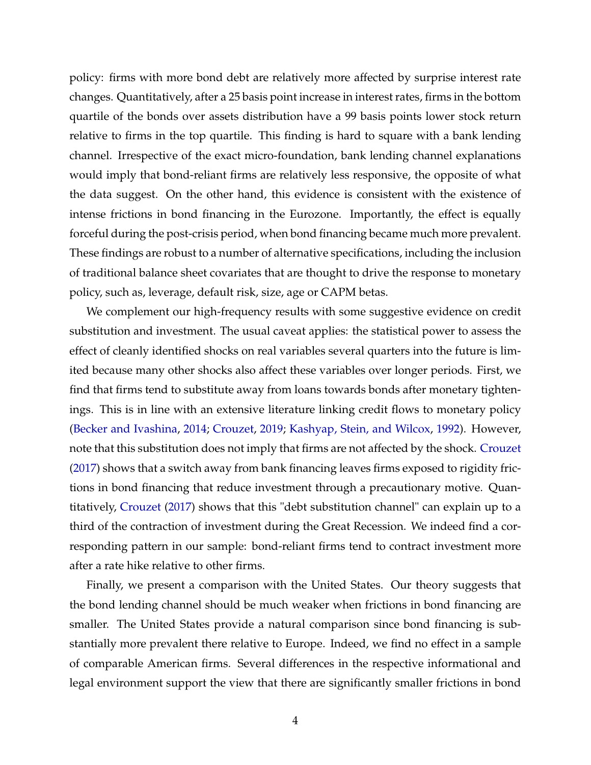policy: firms with more bond debt are relatively more affected by surprise interest rate changes. Quantitatively, after a 25 basis point increase in interest rates, firms in the bottom quartile of the bonds over assets distribution have a 99 basis points lower stock return relative to firms in the top quartile. This finding is hard to square with a bank lending channel. Irrespective of the exact micro-foundation, bank lending channel explanations would imply that bond-reliant firms are relatively less responsive, the opposite of what the data suggest. On the other hand, this evidence is consistent with the existence of intense frictions in bond financing in the Eurozone. Importantly, the effect is equally forceful during the post-crisis period, when bond financing became much more prevalent. These findings are robust to a number of alternative specifications, including the inclusion of traditional balance sheet covariates that are thought to drive the response to monetary policy, such as, leverage, default risk, size, age or CAPM betas.

We complement our high-frequency results with some suggestive evidence on credit substitution and investment. The usual caveat applies: the statistical power to assess the effect of cleanly identified shocks on real variables several quarters into the future is limited because many other shocks also affect these variables over longer periods. First, we find that firms tend to substitute away from loans towards bonds after monetary tightenings. This is in line with an extensive literature linking credit flows to monetary policy [\(Becker and Ivashina,](#page-29-0) [2014;](#page-29-0) [Crouzet,](#page-30-0) [2019;](#page-30-0) [Kashyap, Stein, and Wilcox,](#page-32-0) [1992\)](#page-32-0). However, note that this substitution does not imply that firms are not affected by the shock. [Crouzet](#page-30-0) [\(2017\)](#page-30-0) shows that a switch away from bank financing leaves firms exposed to rigidity frictions in bond financing that reduce investment through a precautionary motive. Quantitatively, [Crouzet](#page-30-0) [\(2017\)](#page-30-0) shows that this "debt substitution channel" can explain up to a third of the contraction of investment during the Great Recession. We indeed find a corresponding pattern in our sample: bond-reliant firms tend to contract investment more after a rate hike relative to other firms.

Finally, we present a comparison with the United States. Our theory suggests that the bond lending channel should be much weaker when frictions in bond financing are smaller. The United States provide a natural comparison since bond financing is substantially more prevalent there relative to Europe. Indeed, we find no effect in a sample of comparable American firms. Several differences in the respective informational and legal environment support the view that there are significantly smaller frictions in bond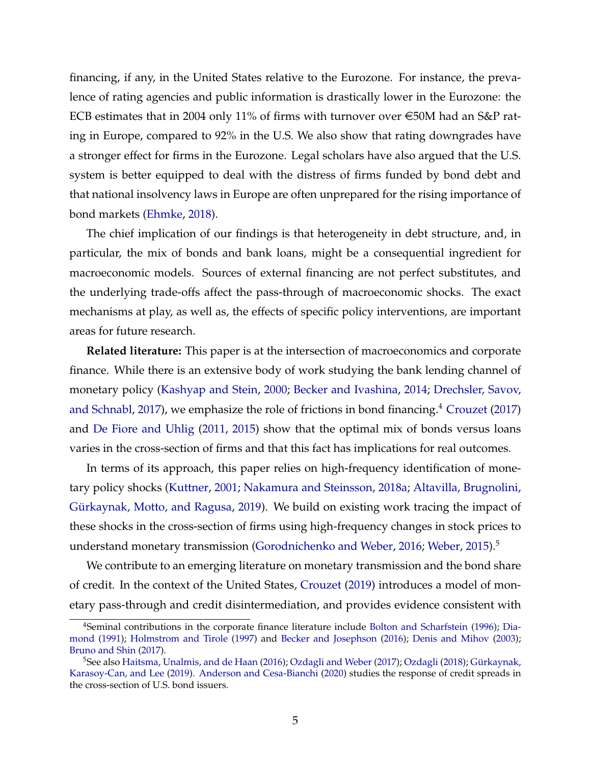financing, if any, in the United States relative to the Eurozone. For instance, the prevalence of rating agencies and public information is drastically lower in the Eurozone: the ECB estimates that in 2004 only 11% of firms with turnover over  $\epsilon$ 50M had an S&P rating in Europe, compared to 92% in the U.S. We also show that rating downgrades have a stronger effect for firms in the Eurozone. Legal scholars have also argued that the U.S. system is better equipped to deal with the distress of firms funded by bond debt and that national insolvency laws in Europe are often unprepared for the rising importance of bond markets [\(Ehmke,](#page-30-0) [2018\)](#page-30-0).

The chief implication of our findings is that heterogeneity in debt structure, and, in particular, the mix of bonds and bank loans, might be a consequential ingredient for macroeconomic models. Sources of external financing are not perfect substitutes, and the underlying trade-offs affect the pass-through of macroeconomic shocks. The exact mechanisms at play, as well as, the effects of specific policy interventions, are important areas for future research.

**Related literature:** This paper is at the intersection of macroeconomics and corporate finance. While there is an extensive body of work studying the bank lending channel of monetary policy [\(Kashyap and Stein,](#page-32-0) [2000;](#page-32-0) [Becker and Ivashina,](#page-29-0) [2014;](#page-29-0) [Drechsler, Savov,](#page-30-0) [and Schnabl,](#page-30-0) [2017\)](#page-30-0), we emphasize the role of frictions in bond financing.<sup>4</sup> [Crouzet](#page-30-0) [\(2017\)](#page-30-0) and [De Fiore and Uhlig](#page-30-0) [\(2011,](#page-30-0) [2015\)](#page-30-0) show that the optimal mix of bonds versus loans varies in the cross-section of firms and that this fact has implications for real outcomes.

In terms of its approach, this paper relies on high-frequency identification of monetary policy shocks [\(Kuttner,](#page-32-0) [2001;](#page-32-0) [Nakamura and Steinsson,](#page-33-0) [2018a;](#page-33-0) [Altavilla, Brugnolini,](#page-29-0) [Gürkaynak, Motto, and Ragusa,](#page-29-0) [2019\)](#page-29-0). We build on existing work tracing the impact of these shocks in the cross-section of firms using high-frequency changes in stock prices to understand monetary transmission [\(Gorodnichenko and Weber,](#page-31-0) [2016;](#page-31-0) [Weber,](#page-33-0) [2015\)](#page-33-0).<sup>5</sup>

We contribute to an emerging literature on monetary transmission and the bond share of credit. In the context of the United States, [Crouzet](#page-30-0) [\(2019\)](#page-30-0) introduces a model of monetary pass-through and credit disintermediation, and provides evidence consistent with

<sup>4</sup>Seminal contributions in the corporate finance literature include [Bolton and Scharfstein](#page-29-0) [\(1996\)](#page-29-0); [Dia](#page-30-0)[mond](#page-30-0) [\(1991\)](#page-30-0); [Holmstrom and Tirole](#page-31-0) [\(1997\)](#page-31-0) and [Becker and Josephson](#page-29-0) [\(2016\)](#page-29-0); [Denis and Mihov](#page-30-0) [\(2003\)](#page-30-0); [Bruno and Shin](#page-30-0) [\(2017\)](#page-30-0).

<sup>&</sup>lt;sup>5</sup>See also [Haitsma, Unalmis, and de Haan](#page-31-0) [\(2016\)](#page-31-0); [Ozdagli and Weber](#page-33-0) [\(2017\)](#page-33-0); [Ozdagli](#page-33-0) [\(2018\)](#page-33-0); [Gürkaynak,](#page-31-0) [Karasoy-Can, and Lee](#page-31-0) [\(2019\)](#page-31-0). [Anderson and Cesa-Bianchi](#page-29-0) [\(2020\)](#page-29-0) studies the response of credit spreads in the cross-section of U.S. bond issuers.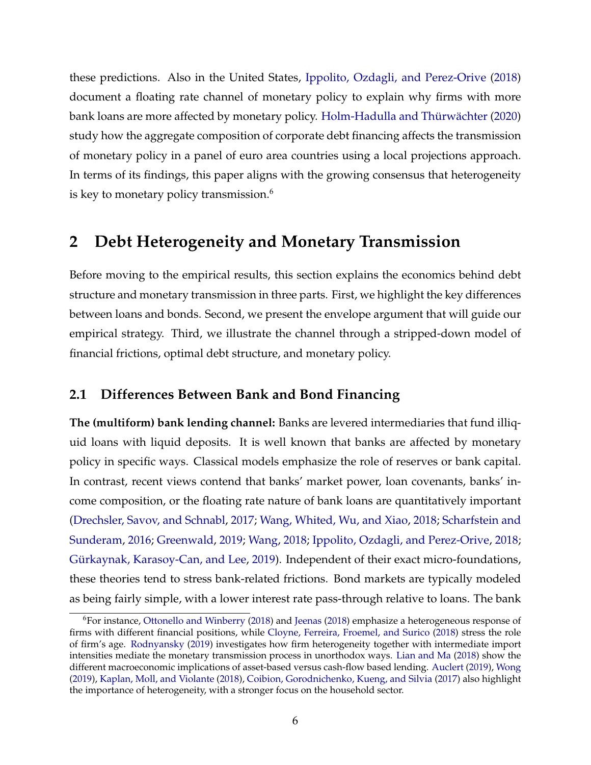these predictions. Also in the United States, [Ippolito, Ozdagli, and Perez-Orive](#page-32-0) [\(2018\)](#page-32-0) document a floating rate channel of monetary policy to explain why firms with more bank loans are more affected by monetary policy. [Holm-Hadulla and Thürwächter](#page-31-0) [\(2020\)](#page-31-0) study how the aggregate composition of corporate debt financing affects the transmission of monetary policy in a panel of euro area countries using a local projections approach. In terms of its findings, this paper aligns with the growing consensus that heterogeneity is key to monetary policy transmission.<sup>6</sup>

## **2 Debt Heterogeneity and Monetary Transmission**

Before moving to the empirical results, this section explains the economics behind debt structure and monetary transmission in three parts. First, we highlight the key differences between loans and bonds. Second, we present the envelope argument that will guide our empirical strategy. Third, we illustrate the channel through a stripped-down model of financial frictions, optimal debt structure, and monetary policy.

#### **2.1 Differences Between Bank and Bond Financing**

**The (multiform) bank lending channel:** Banks are levered intermediaries that fund illiquid loans with liquid deposits. It is well known that banks are affected by monetary policy in specific ways. Classical models emphasize the role of reserves or bank capital. In contrast, recent views contend that banks' market power, loan covenants, banks' income composition, or the floating rate nature of bank loans are quantitatively important [\(Drechsler, Savov, and Schnabl,](#page-30-0) [2017;](#page-30-0) [Wang, Whited, Wu, and Xiao,](#page-33-0) [2018;](#page-33-0) [Scharfstein and](#page-33-0) [Sunderam,](#page-33-0) [2016;](#page-33-0) [Greenwald,](#page-31-0) [2019;](#page-31-0) [Wang,](#page-33-0) [2018;](#page-33-0) [Ippolito, Ozdagli, and Perez-Orive,](#page-32-0) [2018;](#page-32-0) [Gürkaynak, Karasoy-Can, and Lee,](#page-31-0) [2019\)](#page-31-0). Independent of their exact micro-foundations, these theories tend to stress bank-related frictions. Bond markets are typically modeled as being fairly simple, with a lower interest rate pass-through relative to loans. The bank

<sup>&</sup>lt;sup>6</sup>For instance, [Ottonello and Winberry](#page-33-0) [\(2018\)](#page-32-0) and [Jeenas](#page-32-0) (2018) emphasize a heterogeneous response of firms with different financial positions, while [Cloyne, Ferreira, Froemel, and Surico](#page-30-0) [\(2018\)](#page-30-0) stress the role of firm's age. [Rodnyansky](#page-33-0) [\(2019\)](#page-33-0) investigates how firm heterogeneity together with intermediate import intensities mediate the monetary transmission process in unorthodox ways. [Lian and Ma](#page-32-0) [\(2018\)](#page-32-0) show the different macroeconomic implications of asset-based versus cash-flow based lending. [Auclert](#page-29-0) [\(2019\)](#page-29-0), [Wong](#page-34-0) [\(2019\)](#page-34-0), [Kaplan, Moll, and Violante](#page-32-0) [\(2018\)](#page-32-0), [Coibion, Gorodnichenko, Kueng, and Silvia](#page-30-0) [\(2017\)](#page-30-0) also highlight the importance of heterogeneity, with a stronger focus on the household sector.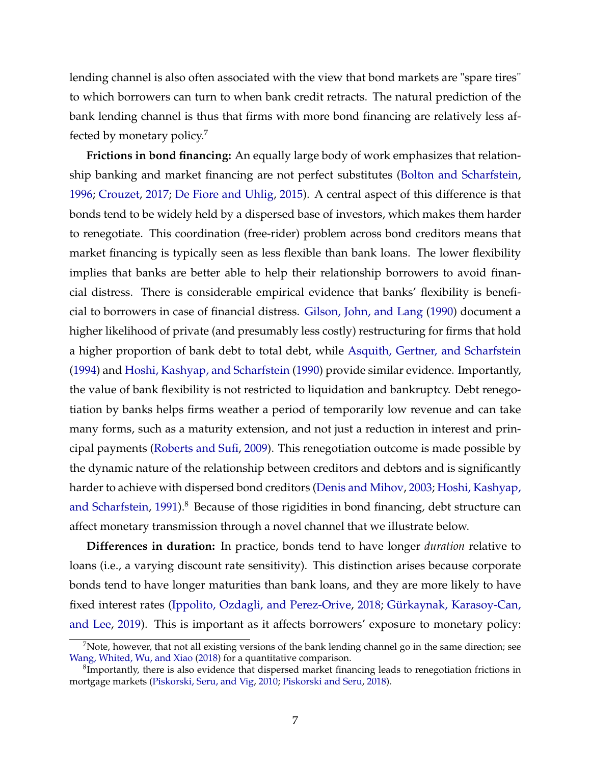lending channel is also often associated with the view that bond markets are "spare tires" to which borrowers can turn to when bank credit retracts. The natural prediction of the bank lending channel is thus that firms with more bond financing are relatively less affected by monetary policy.<sup>7</sup>

**Frictions in bond financing:** An equally large body of work emphasizes that relationship banking and market financing are not perfect substitutes [\(Bolton and Scharfstein,](#page-29-0) [1996;](#page-29-0) [Crouzet,](#page-30-0) [2017;](#page-30-0) [De Fiore and Uhlig,](#page-30-0) [2015\)](#page-30-0). A central aspect of this difference is that bonds tend to be widely held by a dispersed base of investors, which makes them harder to renegotiate. This coordination (free-rider) problem across bond creditors means that market financing is typically seen as less flexible than bank loans. The lower flexibility implies that banks are better able to help their relationship borrowers to avoid financial distress. There is considerable empirical evidence that banks' flexibility is beneficial to borrowers in case of financial distress. [Gilson, John, and Lang](#page-31-0) [\(1990\)](#page-31-0) document a higher likelihood of private (and presumably less costly) restructuring for firms that hold a higher proportion of bank debt to total debt, while [Asquith, Gertner, and Scharfstein](#page-29-0) [\(1994\)](#page-29-0) and [Hoshi, Kashyap, and Scharfstein](#page-32-0) [\(1990\)](#page-32-0) provide similar evidence. Importantly, the value of bank flexibility is not restricted to liquidation and bankruptcy. Debt renegotiation by banks helps firms weather a period of temporarily low revenue and can take many forms, such as a maturity extension, and not just a reduction in interest and principal payments [\(Roberts and Sufi,](#page-33-0) [2009\)](#page-33-0). This renegotiation outcome is made possible by the dynamic nature of the relationship between creditors and debtors and is significantly harder to achieve with dispersed bond creditors [\(Denis and Mihov,](#page-30-0) [2003;](#page-30-0) [Hoshi, Kashyap,](#page-32-0) [and Scharfstein,](#page-32-0) [1991\)](#page-32-0).<sup>8</sup> Because of those rigidities in bond financing, debt structure can affect monetary transmission through a novel channel that we illustrate below.

**Differences in duration:** In practice, bonds tend to have longer *duration* relative to loans (i.e., a varying discount rate sensitivity). This distinction arises because corporate bonds tend to have longer maturities than bank loans, and they are more likely to have fixed interest rates [\(Ippolito, Ozdagli, and Perez-Orive,](#page-32-0) [2018;](#page-32-0) [Gürkaynak, Karasoy-Can,](#page-31-0) [and Lee,](#page-31-0) [2019\)](#page-31-0). This is important as it affects borrowers' exposure to monetary policy:

 $<sup>7</sup>$ Note, however, that not all existing versions of the bank lending channel go in the same direction; see</sup> [Wang, Whited, Wu, and Xiao](#page-33-0) [\(2018\)](#page-33-0) for a quantitative comparison.

 ${}^{8}$ Importantly, there is also evidence that dispersed market financing leads to renegotiation frictions in mortgage markets [\(Piskorski, Seru, and Vig,](#page-33-0) [2010;](#page-33-0) [Piskorski and Seru,](#page-33-0) [2018\)](#page-33-0).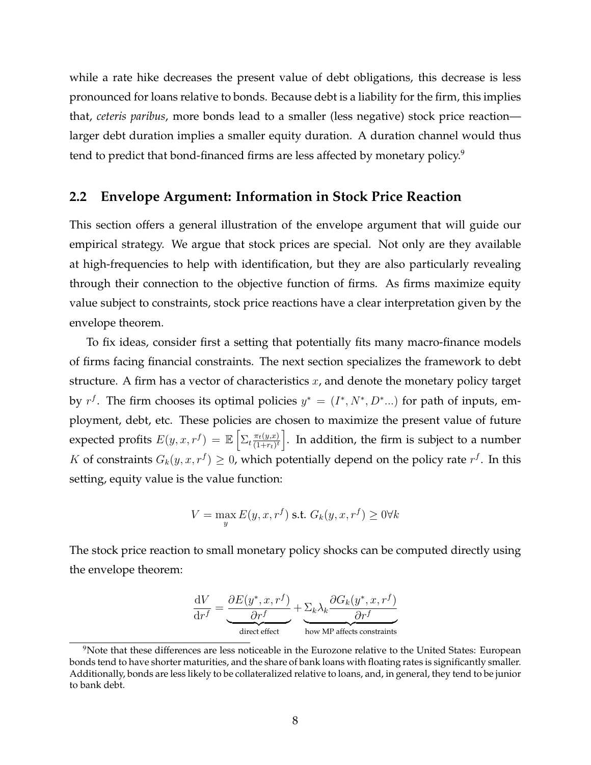while a rate hike decreases the present value of debt obligations, this decrease is less pronounced for loans relative to bonds. Because debt is a liability for the firm, this implies that, *ceteris paribus*, more bonds lead to a smaller (less negative) stock price reaction larger debt duration implies a smaller equity duration. A duration channel would thus tend to predict that bond-financed firms are less affected by monetary policy.<sup>9</sup>

#### **2.2 Envelope Argument: Information in Stock Price Reaction**

This section offers a general illustration of the envelope argument that will guide our empirical strategy. We argue that stock prices are special. Not only are they available at high-frequencies to help with identification, but they are also particularly revealing through their connection to the objective function of firms. As firms maximize equity value subject to constraints, stock price reactions have a clear interpretation given by the envelope theorem.

To fix ideas, consider first a setting that potentially fits many macro-finance models of firms facing financial constraints. The next section specializes the framework to debt structure. A firm has a vector of characteristics  $x$ , and denote the monetary policy target by  $r^f$ . The firm chooses its optimal policies  $y^* = (I^*, N^*, D^*...)$  for path of inputs, employment, debt, etc. These policies are chosen to maximize the present value of future expected profits  $E(y, x, r^f) = \mathbb{E} \left[ \sum_t \frac{\pi_t(y, x)}{(1 + r_t)^t} \right]$  $\left\lceil \frac{\pi_t(y,x)}{(1+rt)^t} \right\rceil$ . In addition, the firm is subject to a number K of constraints  $G_k(y, x, r^f) \geq 0$ , which potentially depend on the policy rate  $r^f$ . In this setting, equity value is the value function:

$$
V = \max_{y} E(y, x, r^f) \text{ s.t. } G_k(y, x, r^f) \ge 0 \forall k
$$

The stock price reaction to small monetary policy shocks can be computed directly using the envelope theorem:

$$
\frac{dV}{dr^f} = \underbrace{\frac{\partial E(y^*, x, r^f)}{\partial r^f}}_{\text{direct effect}} + \underbrace{\Sigma_k \lambda_k \frac{\partial G_k(y^*, x, r^f)}{\partial r^f}}_{\text{how MP affects constraints}}
$$

 $9N$ Ote that these differences are less noticeable in the Eurozone relative to the United States: European bonds tend to have shorter maturities, and the share of bank loans with floating rates is significantly smaller. Additionally, bonds are less likely to be collateralized relative to loans, and, in general, they tend to be junior to bank debt.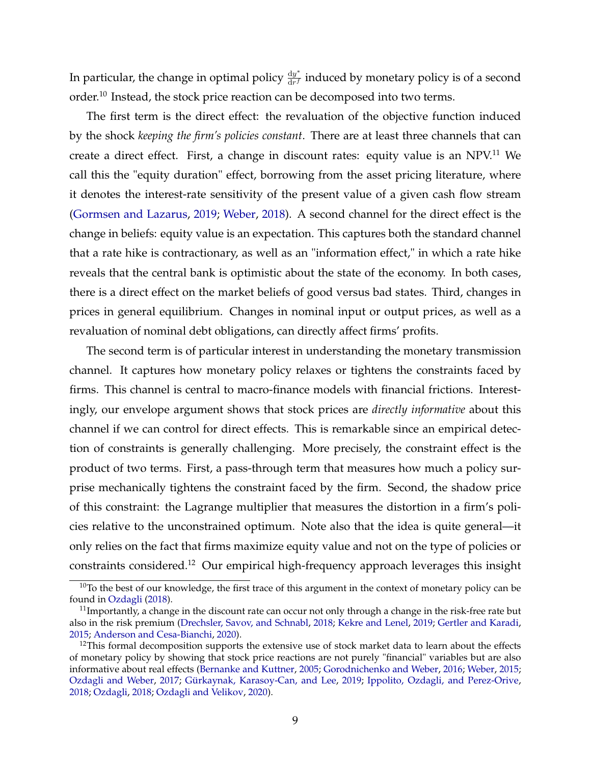In particular, the change in optimal policy  $\frac{dy^*}{dr^f}$  $\frac{dy}{dr^f}$  induced by monetary policy is of a second order.<sup>10</sup> Instead, the stock price reaction can be decomposed into two terms.

The first term is the direct effect: the revaluation of the objective function induced by the shock *keeping the firm's policies constant*. There are at least three channels that can create a direct effect. First, a change in discount rates: equity value is an NPV.<sup>11</sup> We call this the "equity duration" effect, borrowing from the asset pricing literature, where it denotes the interest-rate sensitivity of the present value of a given cash flow stream [\(Gormsen and Lazarus,](#page-31-0) [2019;](#page-31-0) [Weber,](#page-34-0) [2018\)](#page-34-0). A second channel for the direct effect is the change in beliefs: equity value is an expectation. This captures both the standard channel that a rate hike is contractionary, as well as an "information effect," in which a rate hike reveals that the central bank is optimistic about the state of the economy. In both cases, there is a direct effect on the market beliefs of good versus bad states. Third, changes in prices in general equilibrium. Changes in nominal input or output prices, as well as a revaluation of nominal debt obligations, can directly affect firms' profits.

The second term is of particular interest in understanding the monetary transmission channel. It captures how monetary policy relaxes or tightens the constraints faced by firms. This channel is central to macro-finance models with financial frictions. Interestingly, our envelope argument shows that stock prices are *directly informative* about this channel if we can control for direct effects. This is remarkable since an empirical detection of constraints is generally challenging. More precisely, the constraint effect is the product of two terms. First, a pass-through term that measures how much a policy surprise mechanically tightens the constraint faced by the firm. Second, the shadow price of this constraint: the Lagrange multiplier that measures the distortion in a firm's policies relative to the unconstrained optimum. Note also that the idea is quite general—it only relies on the fact that firms maximize equity value and not on the type of policies or constraints considered.<sup>12</sup> Our empirical high-frequency approach leverages this insight

<sup>&</sup>lt;sup>10</sup>To the best of our knowledge, the first trace of this argument in the context of monetary policy can be found in [Ozdagli](#page-33-0) [\(2018\)](#page-33-0).

 $11$ Importantly, a change in the discount rate can occur not only through a change in the risk-free rate but also in the risk premium [\(Drechsler, Savov, and Schnabl,](#page-30-0) [2018;](#page-30-0) [Kekre and Lenel,](#page-32-0) [2019;](#page-32-0) [Gertler and Karadi,](#page-31-0) [2015;](#page-31-0) [Anderson and Cesa-Bianchi,](#page-29-0) [2020\)](#page-29-0).

<sup>&</sup>lt;sup>12</sup>This formal decomposition supports the extensive use of stock market data to learn about the effects of monetary policy by showing that stock price reactions are not purely "financial" variables but are also informative about real effects [\(Bernanke and Kuttner,](#page-29-0) [2005;](#page-29-0) [Gorodnichenko and Weber,](#page-31-0) [2016;](#page-31-0) [Weber,](#page-33-0) [2015;](#page-33-0) [Ozdagli and Weber,](#page-33-0) [2017;](#page-33-0) [Gürkaynak, Karasoy-Can, and Lee,](#page-31-0) [2019;](#page-31-0) [Ippolito, Ozdagli, and Perez-Orive,](#page-32-0) [2018;](#page-32-0) [Ozdagli,](#page-33-0) [2018;](#page-33-0) [Ozdagli and Velikov,](#page-33-0) [2020\)](#page-33-0).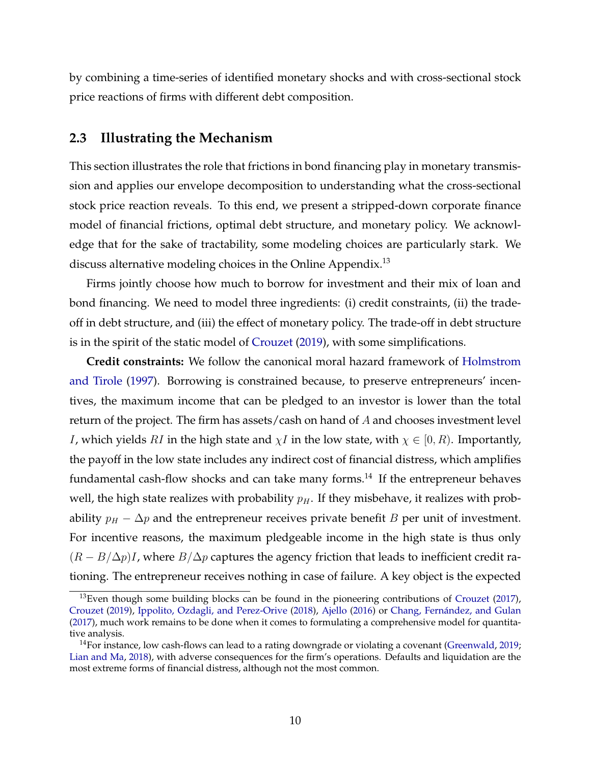<span id="page-11-0"></span>by combining a time-series of identified monetary shocks and with cross-sectional stock price reactions of firms with different debt composition.

#### **2.3 Illustrating the Mechanism**

This section illustrates the role that frictions in bond financing play in monetary transmission and applies our envelope decomposition to understanding what the cross-sectional stock price reaction reveals. To this end, we present a stripped-down corporate finance model of financial frictions, optimal debt structure, and monetary policy. We acknowledge that for the sake of tractability, some modeling choices are particularly stark. We discuss alternative modeling choices in the Online Appendix.<sup>13</sup>

Firms jointly choose how much to borrow for investment and their mix of loan and bond financing. We need to model three ingredients: (i) credit constraints, (ii) the tradeoff in debt structure, and (iii) the effect of monetary policy. The trade-off in debt structure is in the spirit of the static model of [Crouzet](#page-30-0) [\(2019\)](#page-30-0), with some simplifications.

**Credit constraints:** We follow the canonical moral hazard framework of [Holmstrom](#page-31-0) [and Tirole](#page-31-0) [\(1997\)](#page-31-0). Borrowing is constrained because, to preserve entrepreneurs' incentives, the maximum income that can be pledged to an investor is lower than the total return of the project. The firm has assets/cash on hand of A and chooses investment level *I*, which yields *RI* in the high state and  $\chi$ *I* in the low state, with  $\chi \in [0, R)$ . Importantly, the payoff in the low state includes any indirect cost of financial distress, which amplifies fundamental cash-flow shocks and can take many forms.<sup>14</sup> If the entrepreneur behaves well, the high state realizes with probability  $p<sub>H</sub>$ . If they misbehave, it realizes with probability  $p_H - \Delta p$  and the entrepreneur receives private benefit B per unit of investment. For incentive reasons, the maximum pledgeable income in the high state is thus only  $(R - B/\Delta p)I$ , where  $B/\Delta p$  captures the agency friction that leads to inefficient credit rationing. The entrepreneur receives nothing in case of failure. A key object is the expected

<sup>&</sup>lt;sup>13</sup>Even though some building blocks can be found in the pioneering contributions of [Crouzet](#page-30-0) [\(2017\)](#page-30-0), [Crouzet](#page-30-0) [\(2019\)](#page-30-0), [Ippolito, Ozdagli, and Perez-Orive](#page-32-0) [\(2018\)](#page-32-0), [Ajello](#page-29-0) [\(2016\)](#page-29-0) or [Chang, Fernández, and Gulan](#page-30-0) [\(2017\)](#page-30-0), much work remains to be done when it comes to formulating a comprehensive model for quantitative analysis.

<sup>&</sup>lt;sup>14</sup>For instance, low cash-flows can lead to a rating downgrade or violating a covenant [\(Greenwald,](#page-31-0) [2019;](#page-31-0) [Lian and Ma,](#page-32-0) [2018\)](#page-32-0), with adverse consequences for the firm's operations. Defaults and liquidation are the most extreme forms of financial distress, although not the most common.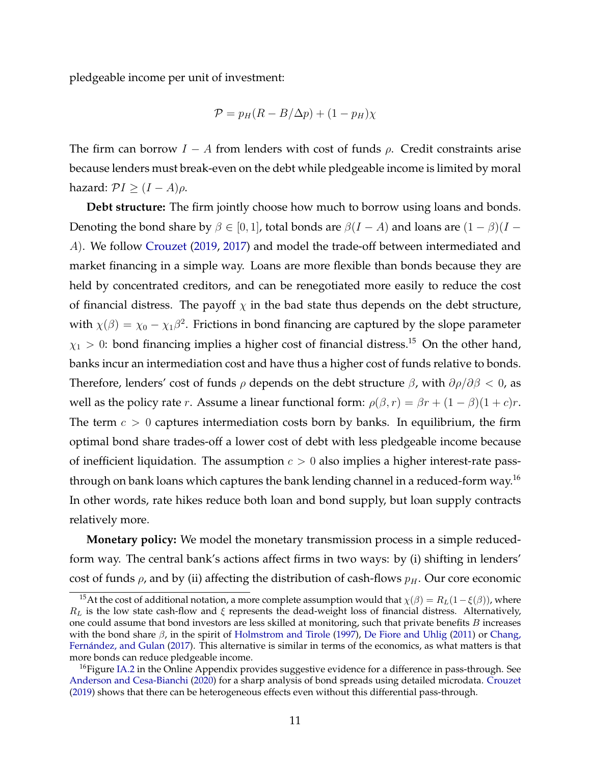pledgeable income per unit of investment:

$$
\mathcal{P} = p_H (R - B/\Delta p) + (1 - p_H) \chi
$$

The firm can borrow  $I - A$  from lenders with cost of funds  $\rho$ . Credit constraints arise because lenders must break-even on the debt while pledgeable income is limited by moral hazard:  $PI \geq (I - A)\rho$ .

**Debt structure:** The firm jointly choose how much to borrow using loans and bonds. Denoting the bond share by  $\beta \in [0, 1]$ , total bonds are  $\beta(I - A)$  and loans are  $(1 - \beta)(I - A)$ A). We follow [Crouzet](#page-30-0) [\(2019,](#page-30-0) [2017\)](#page-30-0) and model the trade-off between intermediated and market financing in a simple way. Loans are more flexible than bonds because they are held by concentrated creditors, and can be renegotiated more easily to reduce the cost of financial distress. The payoff  $\chi$  in the bad state thus depends on the debt structure, with  $\chi(\beta) = \chi_0 - \chi_1\beta^2$ . Frictions in bond financing are captured by the slope parameter  $\chi_1 > 0$ : bond financing implies a higher cost of financial distress.<sup>15</sup> On the other hand, banks incur an intermediation cost and have thus a higher cost of funds relative to bonds. Therefore, lenders' cost of funds  $\rho$  depends on the debt structure  $\beta$ , with  $\partial \rho / \partial \beta < 0$ , as well as the policy rate r. Assume a linear functional form:  $\rho(\beta, r) = \beta r + (1 - \beta)(1 + c)r$ . The term  $c > 0$  captures intermediation costs born by banks. In equilibrium, the firm optimal bond share trades-off a lower cost of debt with less pledgeable income because of inefficient liquidation. The assumption  $c > 0$  also implies a higher interest-rate passthrough on bank loans which captures the bank lending channel in a reduced-form way.<sup>16</sup> In other words, rate hikes reduce both loan and bond supply, but loan supply contracts relatively more.

**Monetary policy:** We model the monetary transmission process in a simple reducedform way. The central bank's actions affect firms in two ways: by (i) shifting in lenders' cost of funds  $\rho$ , and by (ii) affecting the distribution of cash-flows  $p_H$ . Our core economic

<sup>&</sup>lt;sup>15</sup>At the cost of additional notation, a more complete assumption would that  $\chi(\beta) = R_L(1-\xi(\beta))$ , where  $R_L$  is the low state cash-flow and  $\xi$  represents the dead-weight loss of financial distress. Alternatively, one could assume that bond investors are less skilled at monitoring, such that private benefits  $B$  increases with the bond share  $\beta$ , in the spirit of [Holmstrom and Tirole](#page-31-0) [\(1997\)](#page-31-0), [De Fiore and Uhlig](#page-30-0) [\(2011\)](#page-30-0) or [Chang,](#page-30-0) [Fernández, and Gulan](#page-30-0) [\(2017\)](#page-30-0). This alternative is similar in terms of the economics, as what matters is that more bonds can reduce pledgeable income.

<sup>&</sup>lt;sup>16</sup> Figure [IA.2](#page-43-0) in the Online Appendix provides suggestive evidence for a difference in pass-through. See [Anderson and Cesa-Bianchi](#page-29-0) [\(2020\)](#page-29-0) for a sharp analysis of bond spreads using detailed microdata. [Crouzet](#page-30-0) [\(2019\)](#page-30-0) shows that there can be heterogeneous effects even without this differential pass-through.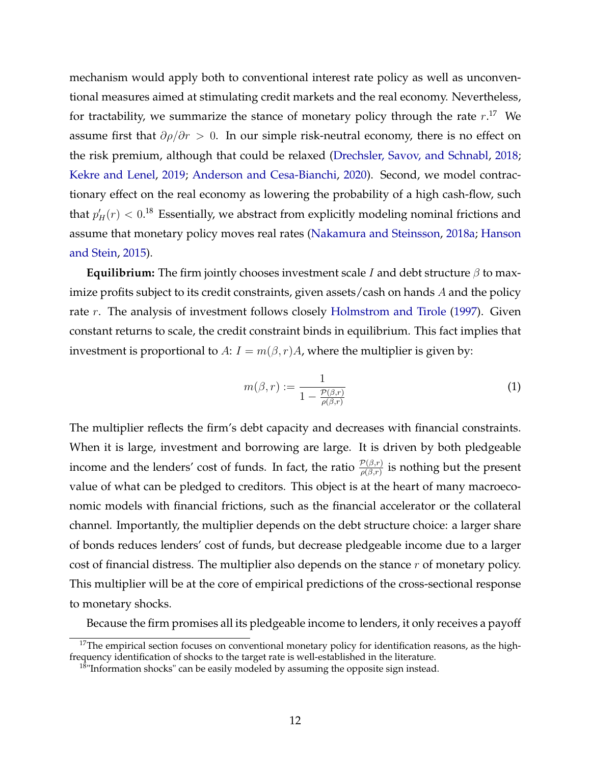mechanism would apply both to conventional interest rate policy as well as unconventional measures aimed at stimulating credit markets and the real economy. Nevertheless, for tractability, we summarize the stance of monetary policy through the rate  $r.^{17}$  We assume first that  $\partial \rho / \partial r > 0$ . In our simple risk-neutral economy, there is no effect on the risk premium, although that could be relaxed [\(Drechsler, Savov, and Schnabl,](#page-30-0) [2018;](#page-30-0) [Kekre and Lenel,](#page-32-0) [2019;](#page-32-0) [Anderson and Cesa-Bianchi,](#page-29-0) [2020\)](#page-29-0). Second, we model contractionary effect on the real economy as lowering the probability of a high cash-flow, such that  $p'_H(r) < 0.18$  Essentially, we abstract from explicitly modeling nominal frictions and assume that monetary policy moves real rates [\(Nakamura and Steinsson,](#page-33-0) [2018a;](#page-33-0) [Hanson](#page-31-0) [and Stein,](#page-31-0) [2015\)](#page-31-0).

**Equilibrium:** The firm jointly chooses investment scale I and debt structure  $\beta$  to maximize profits subject to its credit constraints, given assets/cash on hands A and the policy rate  $r$ . The analysis of investment follows closely [Holmstrom and Tirole](#page-31-0) [\(1997\)](#page-31-0). Given constant returns to scale, the credit constraint binds in equilibrium. This fact implies that investment is proportional to A:  $I = m(\beta, r)A$ , where the multiplier is given by:

$$
m(\beta, r) := \frac{1}{1 - \frac{\mathcal{P}(\beta, r)}{\rho(\beta, r)}}
$$
(1)

The multiplier reflects the firm's debt capacity and decreases with financial constraints. When it is large, investment and borrowing are large. It is driven by both pledgeable income and the lenders' cost of funds. In fact, the ratio  $\frac{\mathcal{P}(\beta,r)}{\rho(\beta,r)}$  is nothing but the present value of what can be pledged to creditors. This object is at the heart of many macroeconomic models with financial frictions, such as the financial accelerator or the collateral channel. Importantly, the multiplier depends on the debt structure choice: a larger share of bonds reduces lenders' cost of funds, but decrease pledgeable income due to a larger cost of financial distress. The multiplier also depends on the stance  $r$  of monetary policy. This multiplier will be at the core of empirical predictions of the cross-sectional response to monetary shocks.

Because the firm promises all its pledgeable income to lenders, it only receives a payoff

 $17$ The empirical section focuses on conventional monetary policy for identification reasons, as the highfrequency identification of shocks to the target rate is well-established in the literature.

 $18$ "Information shocks" can be easily modeled by assuming the opposite sign instead.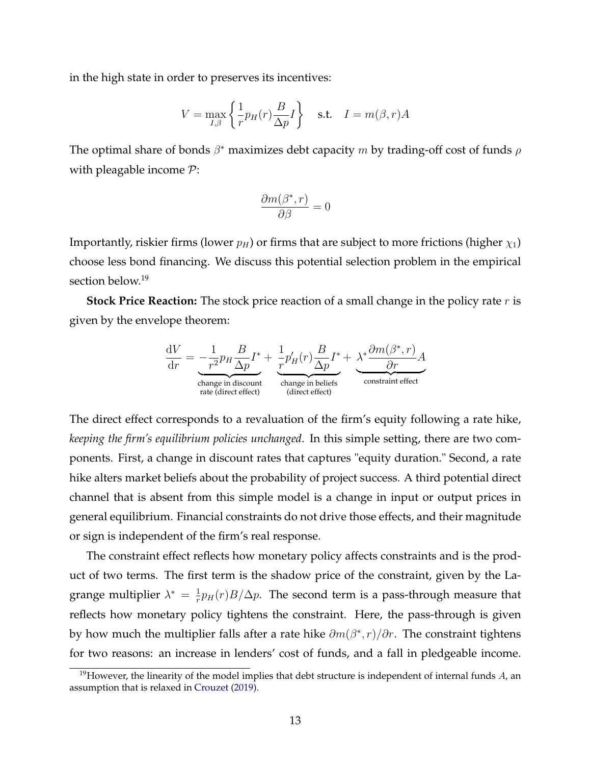in the high state in order to preserves its incentives:

$$
V = \max_{I,\beta} \left\{ \frac{1}{r} p_H(r) \frac{B}{\Delta p} I \right\} \quad \text{s.t.} \quad I = m(\beta, r) A
$$

The optimal share of bonds  $\beta^*$  maximizes debt capacity m by trading-off cost of funds  $\rho$ with pleagable income  $P$ :

$$
\frac{\partial m(\beta^*,r)}{\partial \beta}=0
$$

Importantly, riskier firms (lower  $p_H$ ) or firms that are subject to more frictions (higher  $\chi_1$ ) choose less bond financing. We discuss this potential selection problem in the empirical section below.<sup>19</sup>

**Stock Price Reaction:** The stock price reaction of a small change in the policy rate r is given by the envelope theorem:

$$
\frac{dV}{dr} = -\frac{1}{r^2} p_H \frac{B}{\Delta p} I^* + \underbrace{\frac{1}{r} p'_H(r) \frac{B}{\Delta p} I^*}_{\text{change in discount}} + \underbrace{\lambda^* \frac{\partial m(\beta^*,r)}{\partial r} A}_{\text{change in belief}}_{\text{(direct effect)}} \newline
$$

The direct effect corresponds to a revaluation of the firm's equity following a rate hike, *keeping the firm's equilibrium policies unchanged*. In this simple setting, there are two components. First, a change in discount rates that captures "equity duration." Second, a rate hike alters market beliefs about the probability of project success. A third potential direct channel that is absent from this simple model is a change in input or output prices in general equilibrium. Financial constraints do not drive those effects, and their magnitude or sign is independent of the firm's real response.

The constraint effect reflects how monetary policy affects constraints and is the product of two terms. The first term is the shadow price of the constraint, given by the Lagrange multiplier  $\lambda^* = \frac{1}{r}$  $\frac{1}{r}p_H(r)B/\Delta p$ . The second term is a pass-through measure that reflects how monetary policy tightens the constraint. Here, the pass-through is given by how much the multiplier falls after a rate hike  $\partial m(\beta^*, r)/\partial r$ . The constraint tightens for two reasons: an increase in lenders' cost of funds, and a fall in pledgeable income.

<sup>&</sup>lt;sup>19</sup>However, the linearity of the model implies that debt structure is independent of internal funds  $A$ , an assumption that is relaxed in [Crouzet](#page-30-0) [\(2019\)](#page-30-0).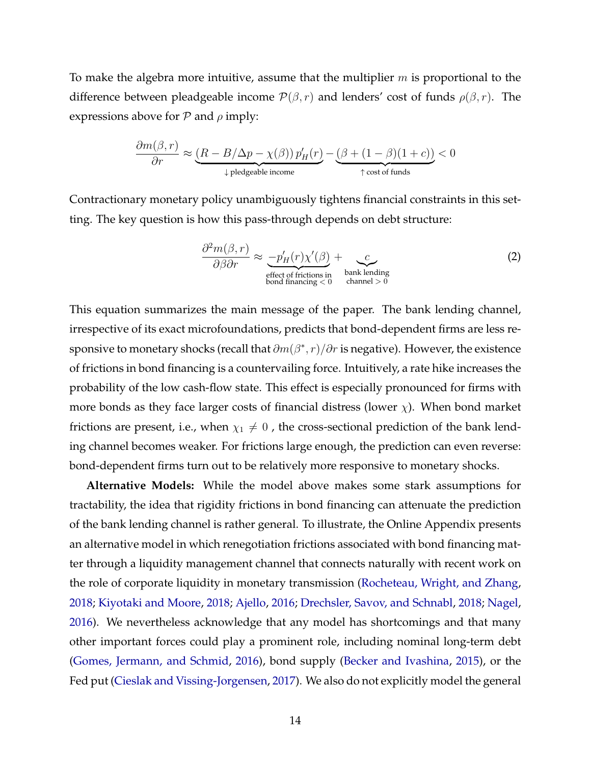To make the algebra more intuitive, assume that the multiplier  $m$  is proportional to the difference between pleadgeable income  $\mathcal{P}(\beta, r)$  and lenders' cost of funds  $\rho(\beta, r)$ . The expressions above for  $P$  and  $\rho$  imply:

$$
\frac{\partial m(\beta, r)}{\partial r} \approx \underbrace{(R - B/\Delta p - \chi(\beta)) p_H'(r)}_{\text{4 pledgeable income}} - \underbrace{(\beta + (1 - \beta)(1 + c))}_{\text{1-cost of funds}} < 0
$$

Contractionary monetary policy unambiguously tightens financial constraints in this setting. The key question is how this pass-through depends on debt structure:

$$
\frac{\partial^2 m(\beta, r)}{\partial \beta \partial r} \approx \underbrace{-p'_H(r)\chi'(\beta)}_{\text{effect of frictions in}} + \underbrace{c}_{\text{bank lending} \atop \text{channel} > 0} \tag{2}
$$

This equation summarizes the main message of the paper. The bank lending channel, irrespective of its exact microfoundations, predicts that bond-dependent firms are less responsive to monetary shocks (recall that  $\partial m(\beta^*,r)/\partial r$  is negative). However, the existence of frictions in bond financing is a countervailing force. Intuitively, a rate hike increases the probability of the low cash-flow state. This effect is especially pronounced for firms with more bonds as they face larger costs of financial distress (lower  $\chi$ ). When bond market frictions are present, i.e., when  $\chi_1 \neq 0$ , the cross-sectional prediction of the bank lending channel becomes weaker. For frictions large enough, the prediction can even reverse: bond-dependent firms turn out to be relatively more responsive to monetary shocks.

**Alternative Models:** While the model above makes some stark assumptions for tractability, the idea that rigidity frictions in bond financing can attenuate the prediction of the bank lending channel is rather general. To illustrate, the Online Appendix presents an alternative model in which renegotiation frictions associated with bond financing matter through a liquidity management channel that connects naturally with recent work on the role of corporate liquidity in monetary transmission [\(Rocheteau, Wright, and Zhang,](#page-33-0) [2018;](#page-33-0) [Kiyotaki and Moore,](#page-32-0) [2018;](#page-32-0) [Ajello,](#page-29-0) [2016;](#page-29-0) [Drechsler, Savov, and Schnabl,](#page-30-0) [2018;](#page-30-0) [Nagel,](#page-33-0) [2016\)](#page-33-0). We nevertheless acknowledge that any model has shortcomings and that many other important forces could play a prominent role, including nominal long-term debt [\(Gomes, Jermann, and Schmid,](#page-31-0) [2016\)](#page-31-0), bond supply [\(Becker and Ivashina,](#page-29-0) [2015\)](#page-29-0), or the Fed put [\(Cieslak and Vissing-Jorgensen,](#page-30-0) [2017\)](#page-30-0). We also do not explicitly model the general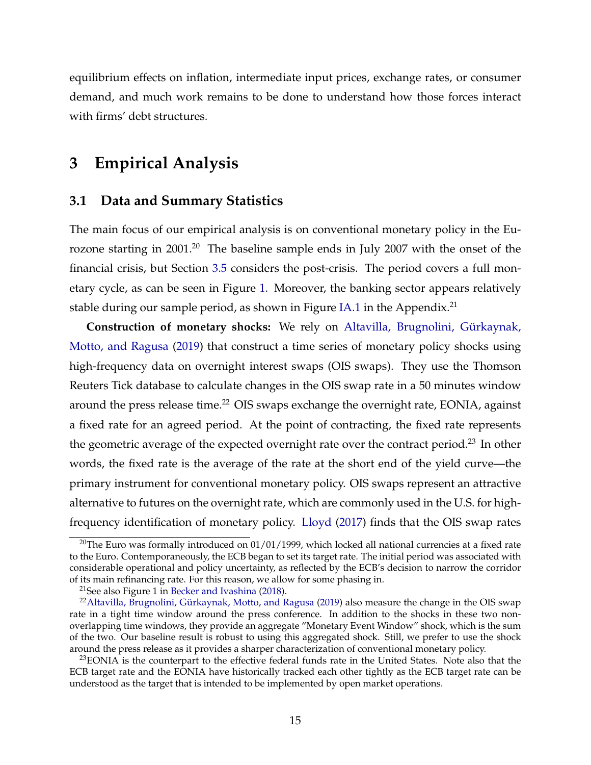equilibrium effects on inflation, intermediate input prices, exchange rates, or consumer demand, and much work remains to be done to understand how those forces interact with firms' debt structures.

### **3 Empirical Analysis**

#### **3.1 Data and Summary Statistics**

The main focus of our empirical analysis is on conventional monetary policy in the Eurozone starting in 2001.<sup>20</sup> The baseline sample ends in July 2007 with the onset of the financial crisis, but Section [3.5](#page-25-0) considers the post-crisis. The period covers a full monetary cycle, as can be seen in Figure [1.](#page-35-0) Moreover, the banking sector appears relatively stable during our sample period, as shown in Figure [IA.1](#page-42-0) in the Appendix.<sup>21</sup>

**Construction of monetary shocks:** We rely on [Altavilla, Brugnolini, Gürkaynak,](#page-29-0) [Motto, and Ragusa](#page-29-0) [\(2019\)](#page-29-0) that construct a time series of monetary policy shocks using high-frequency data on overnight interest swaps (OIS swaps). They use the Thomson Reuters Tick database to calculate changes in the OIS swap rate in a 50 minutes window around the press release time.<sup>22</sup> OIS swaps exchange the overnight rate, EONIA, against a fixed rate for an agreed period. At the point of contracting, the fixed rate represents the geometric average of the expected overnight rate over the contract period.<sup>23</sup> In other words, the fixed rate is the average of the rate at the short end of the yield curve—the primary instrument for conventional monetary policy. OIS swaps represent an attractive alternative to futures on the overnight rate, which are commonly used in the U.S. for highfrequency identification of monetary policy. [Lloyd](#page-32-0) [\(2017\)](#page-32-0) finds that the OIS swap rates

<sup>&</sup>lt;sup>20</sup>The Euro was formally introduced on  $01/01/1999$ , which locked all national currencies at a fixed rate to the Euro. Contemporaneously, the ECB began to set its target rate. The initial period was associated with considerable operational and policy uncertainty, as reflected by the ECB's decision to narrow the corridor of its main refinancing rate. For this reason, we allow for some phasing in.

 $21$ See also Figure 1 in [Becker and Ivashina](#page-29-0) [\(2018\)](#page-29-0).

<sup>&</sup>lt;sup>22</sup>[Altavilla, Brugnolini, Gürkaynak, Motto, and Ragusa](#page-29-0) [\(2019\)](#page-29-0) also measure the change in the OIS swap rate in a tight time window around the press conference. In addition to the shocks in these two nonoverlapping time windows, they provide an aggregate "Monetary Event Window" shock, which is the sum of the two. Our baseline result is robust to using this aggregated shock. Still, we prefer to use the shock around the press release as it provides a sharper characterization of conventional monetary policy.

<sup>&</sup>lt;sup>23</sup>EONIA is the counterpart to the effective federal funds rate in the United States. Note also that the ECB target rate and the EONIA have historically tracked each other tightly as the ECB target rate can be understood as the target that is intended to be implemented by open market operations.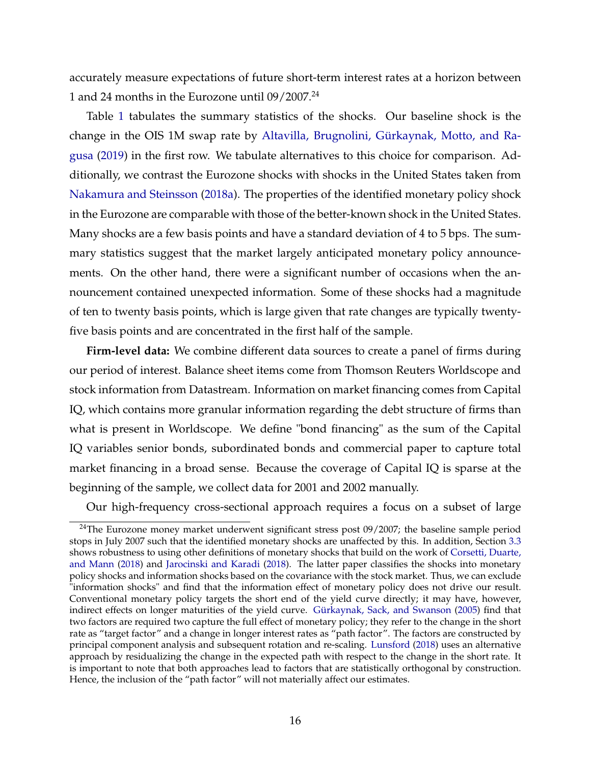accurately measure expectations of future short-term interest rates at a horizon between 1 and 24 months in the Eurozone until 09/2007.<sup>24</sup>

Table [1](#page-37-0) tabulates the summary statistics of the shocks. Our baseline shock is the change in the OIS 1M swap rate by [Altavilla, Brugnolini, Gürkaynak, Motto, and Ra](#page-29-0)[gusa](#page-29-0) [\(2019\)](#page-29-0) in the first row. We tabulate alternatives to this choice for comparison. Additionally, we contrast the Eurozone shocks with shocks in the United States taken from [Nakamura and Steinsson](#page-33-0) [\(2018a\)](#page-33-0). The properties of the identified monetary policy shock in the Eurozone are comparable with those of the better-known shock in the United States. Many shocks are a few basis points and have a standard deviation of 4 to 5 bps. The summary statistics suggest that the market largely anticipated monetary policy announcements. On the other hand, there were a significant number of occasions when the announcement contained unexpected information. Some of these shocks had a magnitude of ten to twenty basis points, which is large given that rate changes are typically twentyfive basis points and are concentrated in the first half of the sample.

**Firm-level data:** We combine different data sources to create a panel of firms during our period of interest. Balance sheet items come from Thomson Reuters Worldscope and stock information from Datastream. Information on market financing comes from Capital IQ, which contains more granular information regarding the debt structure of firms than what is present in Worldscope. We define "bond financing" as the sum of the Capital IQ variables senior bonds, subordinated bonds and commercial paper to capture total market financing in a broad sense. Because the coverage of Capital IQ is sparse at the beginning of the sample, we collect data for 2001 and 2002 manually.

Our high-frequency cross-sectional approach requires a focus on a subset of large

 $24$ The Eurozone money market underwent significant stress post 09/2007; the baseline sample period stops in July 2007 such that the identified monetary shocks are unaffected by this. In addition, Section [3.3](#page-22-0) shows robustness to using other definitions of monetary shocks that build on the work of [Corsetti, Duarte,](#page-30-0) [and Mann](#page-30-0) [\(2018\)](#page-30-0) and [Jarocinski and Karadi](#page-32-0) [\(2018\)](#page-32-0). The latter paper classifies the shocks into monetary policy shocks and information shocks based on the covariance with the stock market. Thus, we can exclude "information shocks" and find that the information effect of monetary policy does not drive our result. Conventional monetary policy targets the short end of the yield curve directly; it may have, however, indirect effects on longer maturities of the yield curve. [Gürkaynak, Sack, and Swanson](#page-31-0) [\(2005\)](#page-31-0) find that two factors are required two capture the full effect of monetary policy; they refer to the change in the short rate as "target factor" and a change in longer interest rates as "path factor". The factors are constructed by principal component analysis and subsequent rotation and re-scaling. [Lunsford](#page-32-0) [\(2018\)](#page-32-0) uses an alternative approach by residualizing the change in the expected path with respect to the change in the short rate. It is important to note that both approaches lead to factors that are statistically orthogonal by construction. Hence, the inclusion of the "path factor" will not materially affect our estimates.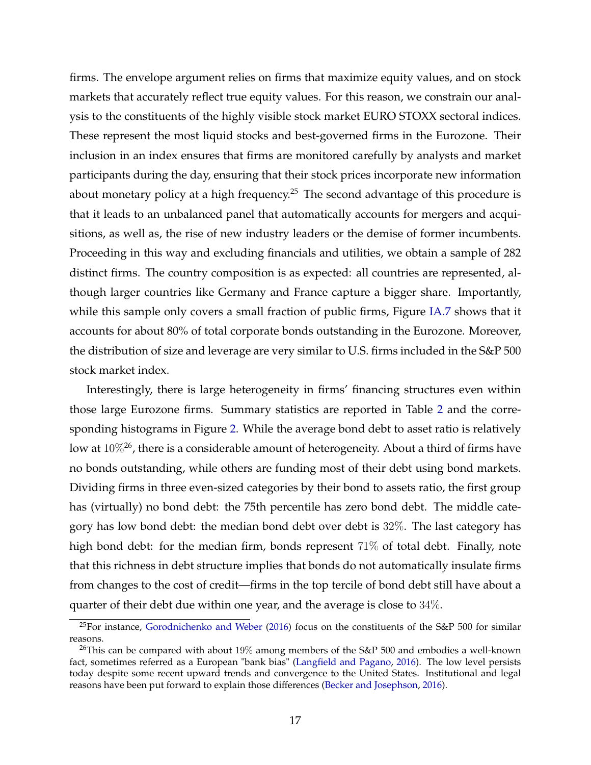firms. The envelope argument relies on firms that maximize equity values, and on stock markets that accurately reflect true equity values. For this reason, we constrain our analysis to the constituents of the highly visible stock market EURO STOXX sectoral indices. These represent the most liquid stocks and best-governed firms in the Eurozone. Their inclusion in an index ensures that firms are monitored carefully by analysts and market participants during the day, ensuring that their stock prices incorporate new information about monetary policy at a high frequency.<sup>25</sup> The second advantage of this procedure is that it leads to an unbalanced panel that automatically accounts for mergers and acquisitions, as well as, the rise of new industry leaders or the demise of former incumbents. Proceeding in this way and excluding financials and utilities, we obtain a sample of 282 distinct firms. The country composition is as expected: all countries are represented, although larger countries like Germany and France capture a bigger share. Importantly, while this sample only covers a small fraction of public firms, Figure [IA.7](#page-45-0) shows that it accounts for about 80% of total corporate bonds outstanding in the Eurozone. Moreover, the distribution of size and leverage are very similar to U.S. firms included in the S&P 500 stock market index.

Interestingly, there is large heterogeneity in firms' financing structures even within those large Eurozone firms. Summary statistics are reported in Table [2](#page-38-0) and the corresponding histograms in Figure [2.](#page-35-0) While the average bond debt to asset ratio is relatively low at  $10\%$ <sup>26</sup>, there is a considerable amount of heterogeneity. About a third of firms have no bonds outstanding, while others are funding most of their debt using bond markets. Dividing firms in three even-sized categories by their bond to assets ratio, the first group has (virtually) no bond debt: the 75th percentile has zero bond debt. The middle category has low bond debt: the median bond debt over debt is 32%. The last category has high bond debt: for the median firm, bonds represent 71% of total debt. Finally, note that this richness in debt structure implies that bonds do not automatically insulate firms from changes to the cost of credit—firms in the top tercile of bond debt still have about a quarter of their debt due within one year, and the average is close to 34%.

<sup>&</sup>lt;sup>25</sup>For instance, [Gorodnichenko and Weber](#page-31-0) [\(2016\)](#page-31-0) focus on the constituents of the S&P 500 for similar reasons.

 $26$ This can be compared with about 19% among members of the S&P 500 and embodies a well-known fact, sometimes referred as a European "bank bias" [\(Langfield and Pagano,](#page-32-0) [2016\)](#page-32-0). The low level persists today despite some recent upward trends and convergence to the United States. Institutional and legal reasons have been put forward to explain those differences [\(Becker and Josephson,](#page-29-0) [2016\)](#page-29-0).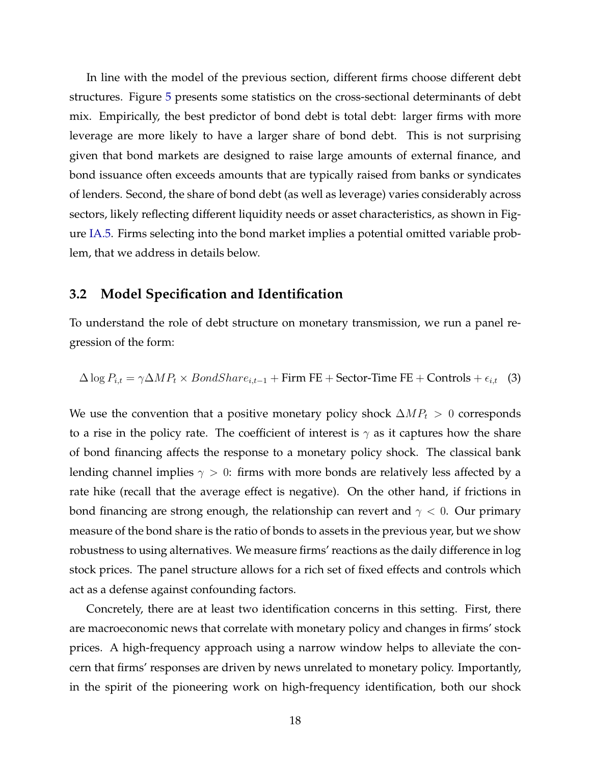<span id="page-19-0"></span>In line with the model of the previous section, different firms choose different debt structures. Figure [5](#page-37-0) presents some statistics on the cross-sectional determinants of debt mix. Empirically, the best predictor of bond debt is total debt: larger firms with more leverage are more likely to have a larger share of bond debt. This is not surprising given that bond markets are designed to raise large amounts of external finance, and bond issuance often exceeds amounts that are typically raised from banks or syndicates of lenders. Second, the share of bond debt (as well as leverage) varies considerably across sectors, likely reflecting different liquidity needs or asset characteristics, as shown in Figure [IA.5.](#page-44-0) Firms selecting into the bond market implies a potential omitted variable problem, that we address in details below.

#### **3.2 Model Specification and Identification**

To understand the role of debt structure on monetary transmission, we run a panel regression of the form:

 $\Delta \log P_{i,t} = \gamma \Delta M P_t \times BondShare_{i,t-1} + Firm FE + Sector-Time FE + Controls + \epsilon_{i,t}$  (3)

We use the convention that a positive monetary policy shock  $\Delta MP_t > 0$  corresponds to a rise in the policy rate. The coefficient of interest is  $\gamma$  as it captures how the share of bond financing affects the response to a monetary policy shock. The classical bank lending channel implies  $\gamma > 0$ : firms with more bonds are relatively less affected by a rate hike (recall that the average effect is negative). On the other hand, if frictions in bond financing are strong enough, the relationship can revert and  $\gamma < 0$ . Our primary measure of the bond share is the ratio of bonds to assets in the previous year, but we show robustness to using alternatives. We measure firms' reactions as the daily difference in log stock prices. The panel structure allows for a rich set of fixed effects and controls which act as a defense against confounding factors.

Concretely, there are at least two identification concerns in this setting. First, there are macroeconomic news that correlate with monetary policy and changes in firms' stock prices. A high-frequency approach using a narrow window helps to alleviate the concern that firms' responses are driven by news unrelated to monetary policy. Importantly, in the spirit of the pioneering work on high-frequency identification, both our shock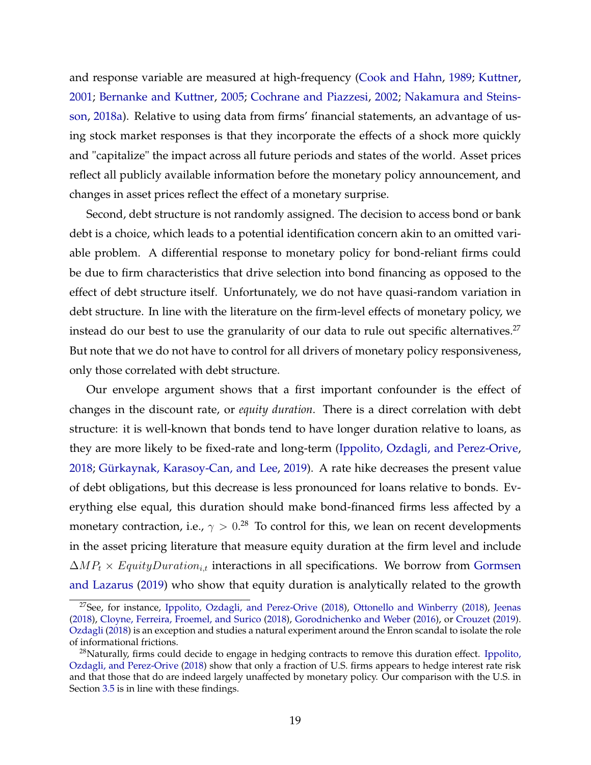and response variable are measured at high-frequency [\(Cook and Hahn,](#page-30-0) [1989;](#page-30-0) [Kuttner,](#page-32-0) [2001;](#page-32-0) [Bernanke and Kuttner,](#page-29-0) [2005;](#page-29-0) [Cochrane and Piazzesi,](#page-30-0) [2002;](#page-30-0) [Nakamura and Steins](#page-33-0)[son,](#page-33-0) [2018a\)](#page-33-0). Relative to using data from firms' financial statements, an advantage of using stock market responses is that they incorporate the effects of a shock more quickly and "capitalize" the impact across all future periods and states of the world. Asset prices reflect all publicly available information before the monetary policy announcement, and changes in asset prices reflect the effect of a monetary surprise.

Second, debt structure is not randomly assigned. The decision to access bond or bank debt is a choice, which leads to a potential identification concern akin to an omitted variable problem. A differential response to monetary policy for bond-reliant firms could be due to firm characteristics that drive selection into bond financing as opposed to the effect of debt structure itself. Unfortunately, we do not have quasi-random variation in debt structure. In line with the literature on the firm-level effects of monetary policy, we instead do our best to use the granularity of our data to rule out specific alternatives. $27$ But note that we do not have to control for all drivers of monetary policy responsiveness, only those correlated with debt structure.

Our envelope argument shows that a first important confounder is the effect of changes in the discount rate, or *equity duration*. There is a direct correlation with debt structure: it is well-known that bonds tend to have longer duration relative to loans, as they are more likely to be fixed-rate and long-term [\(Ippolito, Ozdagli, and Perez-Orive,](#page-32-0) [2018;](#page-32-0) [Gürkaynak, Karasoy-Can, and Lee,](#page-31-0) [2019\)](#page-31-0). A rate hike decreases the present value of debt obligations, but this decrease is less pronounced for loans relative to bonds. Everything else equal, this duration should make bond-financed firms less affected by a monetary contraction, i.e.,  $\gamma > 0.28\,$  To control for this, we lean on recent developments in the asset pricing literature that measure equity duration at the firm level and include  $\Delta MP_t \times EquityDuration_{i,t}$  interactions in all specifications. We borrow from [Gormsen](#page-31-0) [and Lazarus](#page-31-0) [\(2019\)](#page-31-0) who show that equity duration is analytically related to the growth

<sup>27</sup>See, for instance, [Ippolito, Ozdagli, and Perez-Orive](#page-32-0) [\(2018\)](#page-32-0), [Ottonello and Winberry](#page-33-0) [\(2018\)](#page-33-0), [Jeenas](#page-32-0) [\(2018\)](#page-32-0), [Cloyne, Ferreira, Froemel, and Surico](#page-30-0) [\(2018\)](#page-30-0), [Gorodnichenko and Weber](#page-31-0) [\(2016\)](#page-31-0), or [Crouzet](#page-30-0) [\(2019\)](#page-30-0). [Ozdagli](#page-33-0) [\(2018\)](#page-33-0) is an exception and studies a natural experiment around the Enron scandal to isolate the role of informational frictions.

 $28$ Naturally, firms could decide to engage in hedging contracts to remove this duration effect. [Ippolito,](#page-32-0) [Ozdagli, and Perez-Orive](#page-32-0) [\(2018\)](#page-32-0) show that only a fraction of U.S. firms appears to hedge interest rate risk and that those that do are indeed largely unaffected by monetary policy. Our comparison with the U.S. in Section [3.5](#page-25-0) is in line with these findings.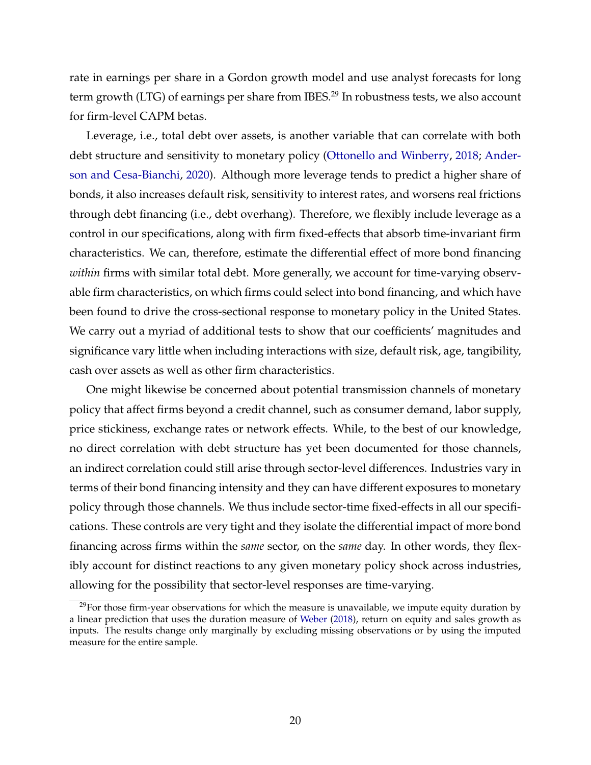rate in earnings per share in a Gordon growth model and use analyst forecasts for long term growth (LTG) of earnings per share from IBES.<sup>29</sup> In robustness tests, we also account for firm-level CAPM betas.

Leverage, i.e., total debt over assets, is another variable that can correlate with both debt structure and sensitivity to monetary policy [\(Ottonello and Winberry,](#page-33-0) [2018;](#page-33-0) [Ander](#page-29-0)[son and Cesa-Bianchi,](#page-29-0) [2020\)](#page-29-0). Although more leverage tends to predict a higher share of bonds, it also increases default risk, sensitivity to interest rates, and worsens real frictions through debt financing (i.e., debt overhang). Therefore, we flexibly include leverage as a control in our specifications, along with firm fixed-effects that absorb time-invariant firm characteristics. We can, therefore, estimate the differential effect of more bond financing *within* firms with similar total debt. More generally, we account for time-varying observable firm characteristics, on which firms could select into bond financing, and which have been found to drive the cross-sectional response to monetary policy in the United States. We carry out a myriad of additional tests to show that our coefficients' magnitudes and significance vary little when including interactions with size, default risk, age, tangibility, cash over assets as well as other firm characteristics.

One might likewise be concerned about potential transmission channels of monetary policy that affect firms beyond a credit channel, such as consumer demand, labor supply, price stickiness, exchange rates or network effects. While, to the best of our knowledge, no direct correlation with debt structure has yet been documented for those channels, an indirect correlation could still arise through sector-level differences. Industries vary in terms of their bond financing intensity and they can have different exposures to monetary policy through those channels. We thus include sector-time fixed-effects in all our specifications. These controls are very tight and they isolate the differential impact of more bond financing across firms within the *same* sector, on the *same* day. In other words, they flexibly account for distinct reactions to any given monetary policy shock across industries, allowing for the possibility that sector-level responses are time-varying.

<sup>&</sup>lt;sup>29</sup>For those firm-year observations for which the measure is unavailable, we impute equity duration by a linear prediction that uses the duration measure of [Weber](#page-34-0) [\(2018\)](#page-34-0), return on equity and sales growth as inputs. The results change only marginally by excluding missing observations or by using the imputed measure for the entire sample.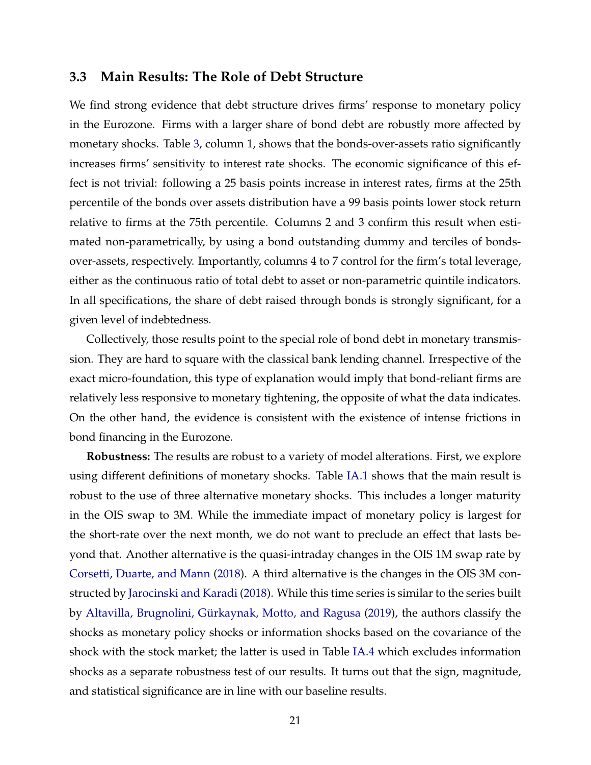#### <span id="page-22-0"></span>**3.3 Main Results: The Role of Debt Structure**

We find strong evidence that debt structure drives firms' response to monetary policy in the Eurozone. Firms with a larger share of bond debt are robustly more affected by monetary shocks. Table [3,](#page-39-0) column 1, shows that the bonds-over-assets ratio significantly increases firms' sensitivity to interest rate shocks. The economic significance of this effect is not trivial: following a 25 basis points increase in interest rates, firms at the 25th percentile of the bonds over assets distribution have a 99 basis points lower stock return relative to firms at the 75th percentile. Columns 2 and 3 confirm this result when estimated non-parametrically, by using a bond outstanding dummy and terciles of bondsover-assets, respectively. Importantly, columns 4 to 7 control for the firm's total leverage, either as the continuous ratio of total debt to asset or non-parametric quintile indicators. In all specifications, the share of debt raised through bonds is strongly significant, for a given level of indebtedness.

Collectively, those results point to the special role of bond debt in monetary transmission. They are hard to square with the classical bank lending channel. Irrespective of the exact micro-foundation, this type of explanation would imply that bond-reliant firms are relatively less responsive to monetary tightening, the opposite of what the data indicates. On the other hand, the evidence is consistent with the existence of intense frictions in bond financing in the Eurozone.

**Robustness:** The results are robust to a variety of model alterations. First, we explore using different definitions of monetary shocks. Table [IA.1](#page-46-0) shows that the main result is robust to the use of three alternative monetary shocks. This includes a longer maturity in the OIS swap to 3M. While the immediate impact of monetary policy is largest for the short-rate over the next month, we do not want to preclude an effect that lasts beyond that. Another alternative is the quasi-intraday changes in the OIS 1M swap rate by [Corsetti, Duarte, and Mann](#page-30-0) [\(2018\)](#page-30-0). A third alternative is the changes in the OIS 3M constructed by [Jarocinski and Karadi](#page-32-0) [\(2018\)](#page-32-0). While this time series is similar to the series built by [Altavilla, Brugnolini, Gürkaynak, Motto, and Ragusa](#page-29-0) [\(2019\)](#page-29-0), the authors classify the shocks as monetary policy shocks or information shocks based on the covariance of the shock with the stock market; the latter is used in Table [IA.4](#page-49-0) which excludes information shocks as a separate robustness test of our results. It turns out that the sign, magnitude, and statistical significance are in line with our baseline results.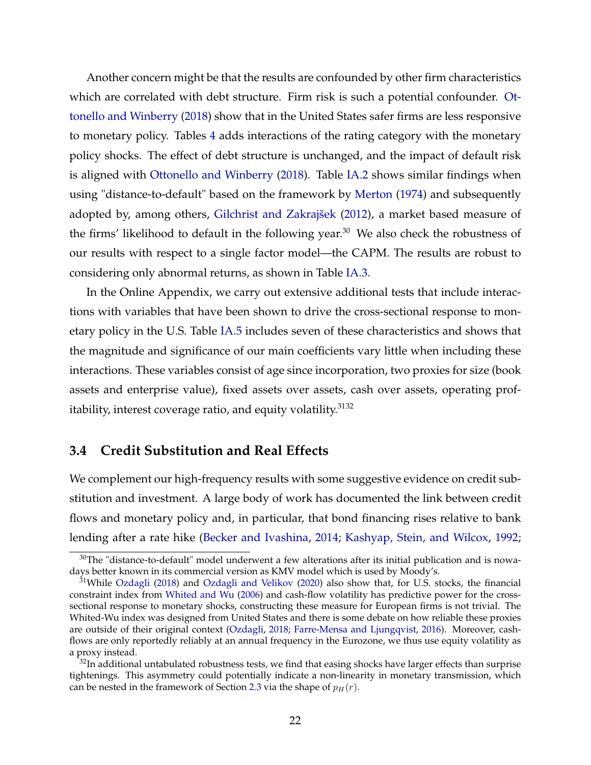Another concern might be that the results are confounded by other firm characteristics which are correlated with debt structure. Firm risk is such a potential confounder. [Ot](#page-33-0)[tonello and Winberry](#page-33-0) [\(2018\)](#page-33-0) show that in the United States safer firms are less responsive to monetary policy. Tables [4](#page-40-0) adds interactions of the rating category with the monetary policy shocks. The effect of debt structure is unchanged, and the impact of default risk is aligned with [Ottonello and Winberry](#page-33-0) [\(2018\)](#page-33-0). Table [IA.2](#page-47-0) shows similar findings when using "distance-to-default" based on the framework by [Merton](#page-33-0) [\(1974\)](#page-33-0) and subsequently adopted by, among others, Gilchrist and Zakrajšek [\(2012\)](#page-31-0), a market based measure of the firms' likelihood to default in the following year. $30$  We also check the robustness of our results with respect to a single factor model—the CAPM. The results are robust to considering only abnormal returns, as shown in Table [IA.3.](#page-48-0)

In the Online Appendix, we carry out extensive additional tests that include interactions with variables that have been shown to drive the cross-sectional response to monetary policy in the U.S. Table [IA.5](#page-50-0) includes seven of these characteristics and shows that the magnitude and significance of our main coefficients vary little when including these interactions. These variables consist of age since incorporation, two proxies for size (book assets and enterprise value), fixed assets over assets, cash over assets, operating profitability, interest coverage ratio, and equity volatility. $3132$ 

#### **3.4 Credit Substitution and Real Effects**

We complement our high-frequency results with some suggestive evidence on credit substitution and investment. A large body of work has documented the link between credit flows and monetary policy and, in particular, that bond financing rises relative to bank lending after a rate hike [\(Becker and Ivashina,](#page-29-0) [2014;](#page-29-0) [Kashyap, Stein, and Wilcox,](#page-32-0) [1992;](#page-32-0)

 $30$ The "distance-to-default" model underwent a few alterations after its initial publication and is nowadays better known in its commercial version as KMV model which is used by Moody's.

 $31$ While [Ozdagli](#page-33-0) [\(2018\)](#page-33-0) and [Ozdagli and Velikov](#page-33-0) [\(2020\)](#page-33-0) also show that, for U.S. stocks, the financial constraint index from [Whited and Wu](#page-34-0) [\(2006\)](#page-34-0) and cash-flow volatility has predictive power for the crosssectional response to monetary shocks, constructing these measure for European firms is not trivial. The Whited-Wu index was designed from United States and there is some debate on how reliable these proxies are outside of their original context [\(Ozdagli,](#page-33-0) [2018;](#page-33-0) [Farre-Mensa and Ljungqvist,](#page-31-0) [2016\)](#page-31-0). Moreover, cashflows are only reportedly reliably at an annual frequency in the Eurozone, we thus use equity volatility as a proxy instead.

 $32$ In additional untabulated robustness tests, we find that easing shocks have larger effects than surprise tightenings. This asymmetry could potentially indicate a non-linearity in monetary transmission, which can be nested in the framework of Section [2.3](#page-11-0) via the shape of  $p_H(r)$ .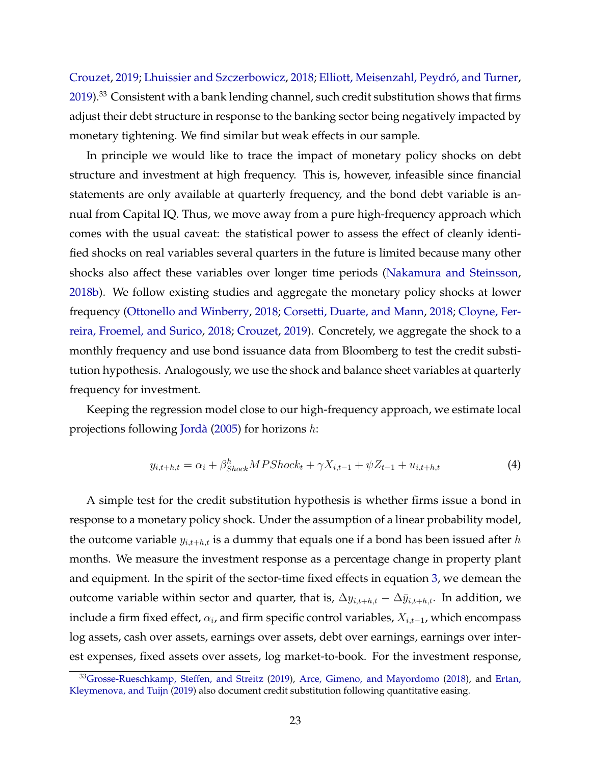[Crouzet,](#page-30-0) [2019;](#page-30-0) [Lhuissier and Szczerbowicz,](#page-32-0) [2018;](#page-32-0) [Elliott, Meisenzahl, Peydró, and Turner,](#page-31-0)  $2019$ <sup>33</sup> Consistent with a bank lending channel, such credit substitution shows that firms adjust their debt structure in response to the banking sector being negatively impacted by monetary tightening. We find similar but weak effects in our sample.

In principle we would like to trace the impact of monetary policy shocks on debt structure and investment at high frequency. This is, however, infeasible since financial statements are only available at quarterly frequency, and the bond debt variable is annual from Capital IQ. Thus, we move away from a pure high-frequency approach which comes with the usual caveat: the statistical power to assess the effect of cleanly identified shocks on real variables several quarters in the future is limited because many other shocks also affect these variables over longer time periods [\(Nakamura and Steinsson,](#page-33-0) [2018b\)](#page-33-0). We follow existing studies and aggregate the monetary policy shocks at lower frequency [\(Ottonello and Winberry,](#page-33-0) [2018;](#page-33-0) [Corsetti, Duarte, and Mann,](#page-30-0) [2018;](#page-30-0) [Cloyne, Fer](#page-30-0)[reira, Froemel, and Surico,](#page-30-0) [2018;](#page-30-0) [Crouzet,](#page-30-0) [2019\)](#page-30-0). Concretely, we aggregate the shock to a monthly frequency and use bond issuance data from Bloomberg to test the credit substitution hypothesis. Analogously, we use the shock and balance sheet variables at quarterly frequency for investment.

Keeping the regression model close to our high-frequency approach, we estimate local projections following [Jordà](#page-32-0) [\(2005\)](#page-32-0) for horizons h:

$$
y_{i,t+h,t} = \alpha_i + \beta_{Shock}^h MPShock_t + \gamma X_{i,t-1} + \psi Z_{t-1} + u_{i,t+h,t}
$$
\n(4)

A simple test for the credit substitution hypothesis is whether firms issue a bond in response to a monetary policy shock. Under the assumption of a linear probability model, the outcome variable  $y_{i,t+h,t}$  is a dummy that equals one if a bond has been issued after h months. We measure the investment response as a percentage change in property plant and equipment. In the spirit of the sector-time fixed effects in equation [3,](#page-19-0) we demean the outcome variable within sector and quarter, that is,  $\Delta y_{i,t+h,t} - \Delta \bar{y}_{i,t+h,t}$ . In addition, we include a firm fixed effect,  $\alpha_i$ , and firm specific control variables,  $X_{i,t-1}$ , which encompass log assets, cash over assets, earnings over assets, debt over earnings, earnings over interest expenses, fixed assets over assets, log market-to-book. For the investment response,

<sup>33</sup>[Grosse-Rueschkamp, Steffen, and Streitz](#page-31-0) [\(2019\)](#page-31-0), [Arce, Gimeno, and Mayordomo](#page-29-0) [\(2018\)](#page-29-0), and [Ertan,](#page-31-0) [Kleymenova, and Tuijn](#page-31-0) [\(2019\)](#page-31-0) also document credit substitution following quantitative easing.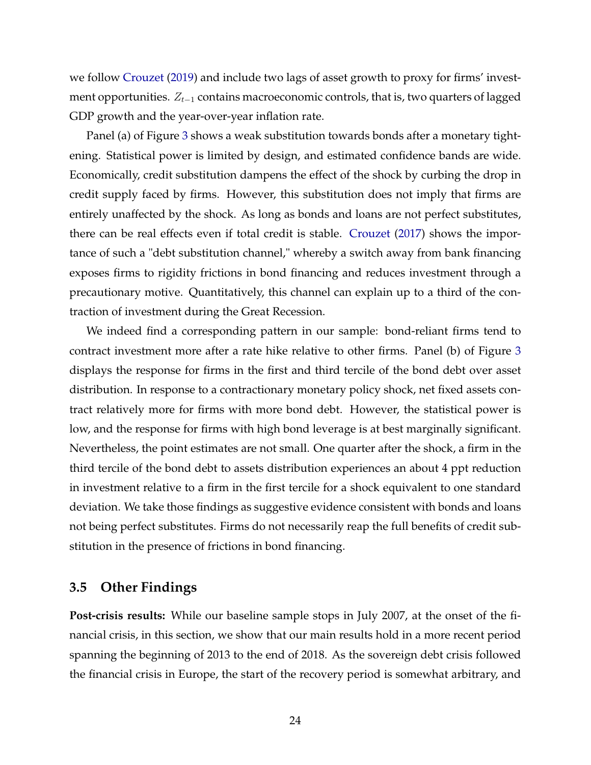<span id="page-25-0"></span>we follow [Crouzet](#page-30-0) [\(2019\)](#page-30-0) and include two lags of asset growth to proxy for firms' investment opportunities.  $Z_{t-1}$  contains macroeconomic controls, that is, two quarters of lagged GDP growth and the year-over-year inflation rate.

Panel (a) of Figure [3](#page-36-0) shows a weak substitution towards bonds after a monetary tightening. Statistical power is limited by design, and estimated confidence bands are wide. Economically, credit substitution dampens the effect of the shock by curbing the drop in credit supply faced by firms. However, this substitution does not imply that firms are entirely unaffected by the shock. As long as bonds and loans are not perfect substitutes, there can be real effects even if total credit is stable. [Crouzet](#page-30-0) [\(2017\)](#page-30-0) shows the importance of such a "debt substitution channel," whereby a switch away from bank financing exposes firms to rigidity frictions in bond financing and reduces investment through a precautionary motive. Quantitatively, this channel can explain up to a third of the contraction of investment during the Great Recession.

We indeed find a corresponding pattern in our sample: bond-reliant firms tend to contract investment more after a rate hike relative to other firms. Panel (b) of Figure [3](#page-36-0) displays the response for firms in the first and third tercile of the bond debt over asset distribution. In response to a contractionary monetary policy shock, net fixed assets contract relatively more for firms with more bond debt. However, the statistical power is low, and the response for firms with high bond leverage is at best marginally significant. Nevertheless, the point estimates are not small. One quarter after the shock, a firm in the third tercile of the bond debt to assets distribution experiences an about 4 ppt reduction in investment relative to a firm in the first tercile for a shock equivalent to one standard deviation. We take those findings as suggestive evidence consistent with bonds and loans not being perfect substitutes. Firms do not necessarily reap the full benefits of credit substitution in the presence of frictions in bond financing.

#### **3.5 Other Findings**

**Post-crisis results:** While our baseline sample stops in July 2007, at the onset of the financial crisis, in this section, we show that our main results hold in a more recent period spanning the beginning of 2013 to the end of 2018. As the sovereign debt crisis followed the financial crisis in Europe, the start of the recovery period is somewhat arbitrary, and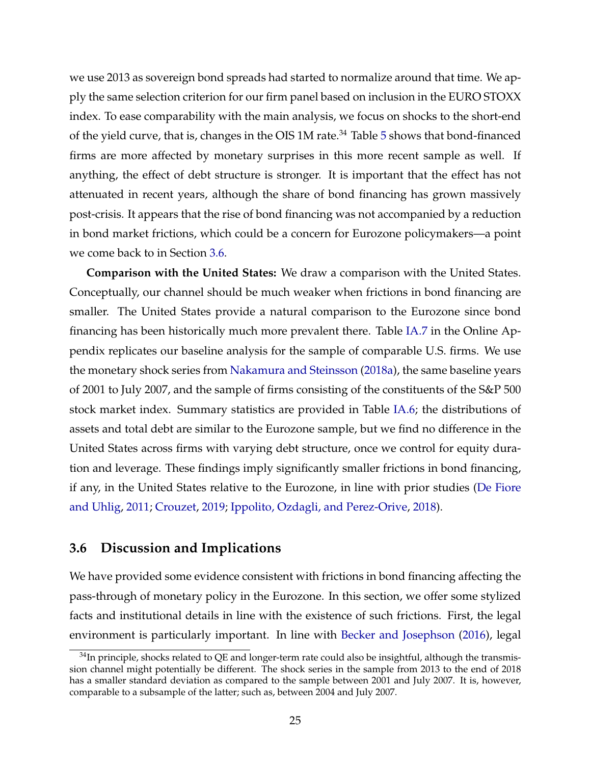we use 2013 as sovereign bond spreads had started to normalize around that time. We apply the same selection criterion for our firm panel based on inclusion in the EURO STOXX index. To ease comparability with the main analysis, we focus on shocks to the short-end of the yield curve, that is, changes in the OIS  $1M$  rate.<sup>34</sup> Table [5](#page-41-0) shows that bond-financed firms are more affected by monetary surprises in this more recent sample as well. If anything, the effect of debt structure is stronger. It is important that the effect has not attenuated in recent years, although the share of bond financing has grown massively post-crisis. It appears that the rise of bond financing was not accompanied by a reduction in bond market frictions, which could be a concern for Eurozone policymakers—a point we come back to in Section 3.6.

**Comparison with the United States:** We draw a comparison with the United States. Conceptually, our channel should be much weaker when frictions in bond financing are smaller. The United States provide a natural comparison to the Eurozone since bond financing has been historically much more prevalent there. Table [IA.7](#page-52-0) in the Online Appendix replicates our baseline analysis for the sample of comparable U.S. firms. We use the monetary shock series from [Nakamura and Steinsson](#page-33-0) [\(2018a\)](#page-33-0), the same baseline years of 2001 to July 2007, and the sample of firms consisting of the constituents of the S&P 500 stock market index. Summary statistics are provided in Table [IA.6;](#page-51-0) the distributions of assets and total debt are similar to the Eurozone sample, but we find no difference in the United States across firms with varying debt structure, once we control for equity duration and leverage. These findings imply significantly smaller frictions in bond financing, if any, in the United States relative to the Eurozone, in line with prior studies [\(De Fiore](#page-30-0) [and Uhlig,](#page-30-0) [2011;](#page-30-0) [Crouzet,](#page-30-0) [2019;](#page-30-0) [Ippolito, Ozdagli, and Perez-Orive,](#page-32-0) [2018\)](#page-32-0).

#### **3.6 Discussion and Implications**

We have provided some evidence consistent with frictions in bond financing affecting the pass-through of monetary policy in the Eurozone. In this section, we offer some stylized facts and institutional details in line with the existence of such frictions. First, the legal environment is particularly important. In line with [Becker and Josephson](#page-29-0) [\(2016\)](#page-29-0), legal

 $34$ In principle, shocks related to QE and longer-term rate could also be insightful, although the transmission channel might potentially be different. The shock series in the sample from 2013 to the end of 2018 has a smaller standard deviation as compared to the sample between 2001 and July 2007. It is, however, comparable to a subsample of the latter; such as, between 2004 and July 2007.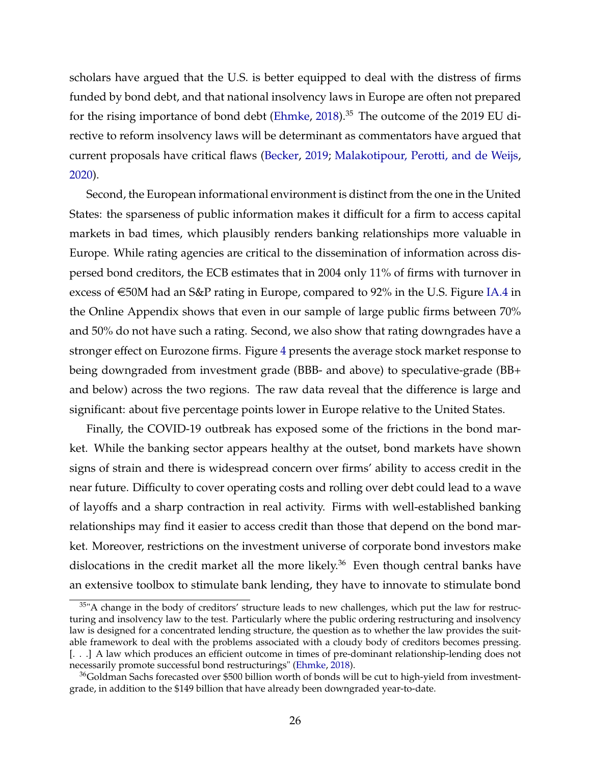scholars have argued that the U.S. is better equipped to deal with the distress of firms funded by bond debt, and that national insolvency laws in Europe are often not prepared for the rising importance of bond debt [\(Ehmke,](#page-30-0)  $2018$ ).<sup>35</sup> The outcome of the 2019 EU directive to reform insolvency laws will be determinant as commentators have argued that current proposals have critical flaws [\(Becker,](#page-29-0) [2019;](#page-29-0) [Malakotipour, Perotti, and de Weijs,](#page-33-0) [2020\)](#page-33-0).

Second, the European informational environment is distinct from the one in the United States: the sparseness of public information makes it difficult for a firm to access capital markets in bad times, which plausibly renders banking relationships more valuable in Europe. While rating agencies are critical to the dissemination of information across dispersed bond creditors, the ECB estimates that in 2004 only 11% of firms with turnover in excess of  $\epsilon$ 50M had an S&P rating in Europe, compared to 92% in the U.S. Figure [IA.4](#page-44-0) in the Online Appendix shows that even in our sample of large public firms between 70% and 50% do not have such a rating. Second, we also show that rating downgrades have a stronger effect on Eurozone firms. Figure [4](#page-36-0) presents the average stock market response to being downgraded from investment grade (BBB- and above) to speculative-grade (BB+ and below) across the two regions. The raw data reveal that the difference is large and significant: about five percentage points lower in Europe relative to the United States.

Finally, the COVID-19 outbreak has exposed some of the frictions in the bond market. While the banking sector appears healthy at the outset, bond markets have shown signs of strain and there is widespread concern over firms' ability to access credit in the near future. Difficulty to cover operating costs and rolling over debt could lead to a wave of layoffs and a sharp contraction in real activity. Firms with well-established banking relationships may find it easier to access credit than those that depend on the bond market. Moreover, restrictions on the investment universe of corporate bond investors make dislocations in the credit market all the more likely.<sup>36</sup> Even though central banks have an extensive toolbox to stimulate bank lending, they have to innovate to stimulate bond

<sup>&</sup>lt;sup>35</sup>"A change in the body of creditors' structure leads to new challenges, which put the law for restructuring and insolvency law to the test. Particularly where the public ordering restructuring and insolvency law is designed for a concentrated lending structure, the question as to whether the law provides the suitable framework to deal with the problems associated with a cloudy body of creditors becomes pressing. [. . .] A law which produces an efficient outcome in times of pre-dominant relationship-lending does not necessarily promote successful bond restructurings" [\(Ehmke,](#page-30-0) [2018\)](#page-30-0).

<sup>&</sup>lt;sup>36</sup>Goldman Sachs forecasted over \$500 billion worth of bonds will be cut to high-yield from investmentgrade, in addition to the \$149 billion that have already been downgraded year-to-date.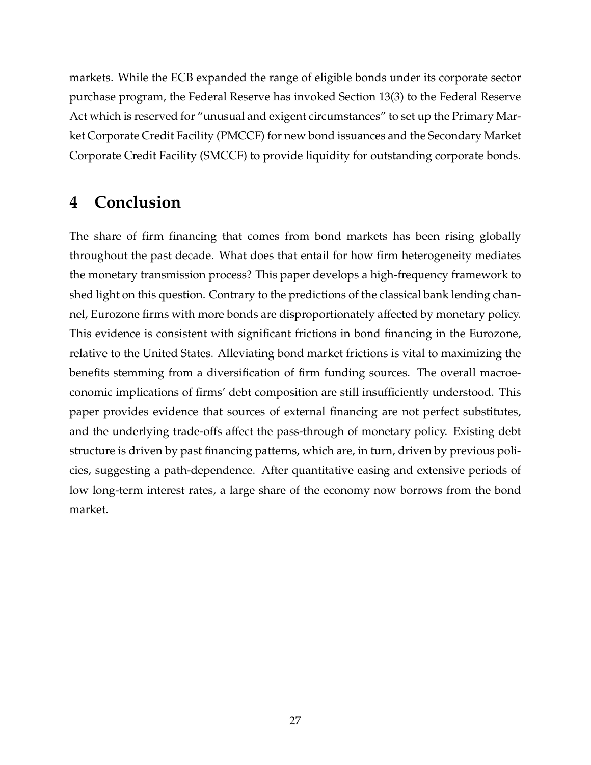markets. While the ECB expanded the range of eligible bonds under its corporate sector purchase program, the Federal Reserve has invoked Section 13(3) to the Federal Reserve Act which is reserved for "unusual and exigent circumstances" to set up the Primary Market Corporate Credit Facility (PMCCF) for new bond issuances and the Secondary Market Corporate Credit Facility (SMCCF) to provide liquidity for outstanding corporate bonds.

## **4 Conclusion**

The share of firm financing that comes from bond markets has been rising globally throughout the past decade. What does that entail for how firm heterogeneity mediates the monetary transmission process? This paper develops a high-frequency framework to shed light on this question. Contrary to the predictions of the classical bank lending channel, Eurozone firms with more bonds are disproportionately affected by monetary policy. This evidence is consistent with significant frictions in bond financing in the Eurozone, relative to the United States. Alleviating bond market frictions is vital to maximizing the benefits stemming from a diversification of firm funding sources. The overall macroeconomic implications of firms' debt composition are still insufficiently understood. This paper provides evidence that sources of external financing are not perfect substitutes, and the underlying trade-offs affect the pass-through of monetary policy. Existing debt structure is driven by past financing patterns, which are, in turn, driven by previous policies, suggesting a path-dependence. After quantitative easing and extensive periods of low long-term interest rates, a large share of the economy now borrows from the bond market.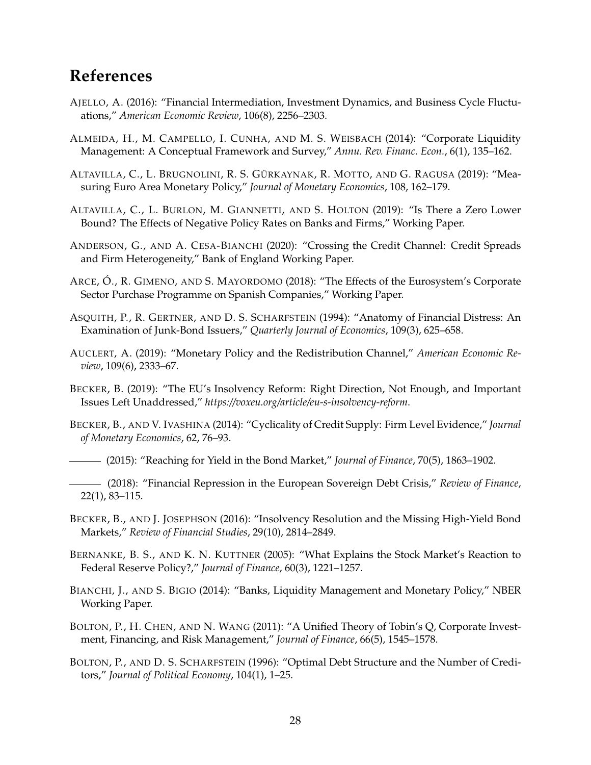### <span id="page-29-0"></span>**References**

- AJELLO, A. (2016): "Financial Intermediation, Investment Dynamics, and Business Cycle Fluctuations," *American Economic Review*, 106(8), 2256–2303.
- ALMEIDA, H., M. CAMPELLO, I. CUNHA, AND M. S. WEISBACH (2014): "Corporate Liquidity Management: A Conceptual Framework and Survey," *Annu. Rev. Financ. Econ.*, 6(1), 135–162.
- ALTAVILLA, C., L. BRUGNOLINI, R. S. GÜRKAYNAK, R. MOTTO, AND G. RAGUSA (2019): "Measuring Euro Area Monetary Policy," *Journal of Monetary Economics*, 108, 162–179.

ALTAVILLA, C., L. BURLON, M. GIANNETTI, AND S. HOLTON (2019): "Is There a Zero Lower Bound? The Effects of Negative Policy Rates on Banks and Firms," Working Paper.

- ANDERSON, G., AND A. CESA-BIANCHI (2020): "Crossing the Credit Channel: Credit Spreads and Firm Heterogeneity," Bank of England Working Paper.
- ARCE, Ó., R. GIMENO, AND S. MAYORDOMO (2018): "The Effects of the Eurosystem's Corporate Sector Purchase Programme on Spanish Companies," Working Paper.
- ASQUITH, P., R. GERTNER, AND D. S. SCHARFSTEIN (1994): "Anatomy of Financial Distress: An Examination of Junk-Bond Issuers," *Quarterly Journal of Economics*, 109(3), 625–658.
- AUCLERT, A. (2019): "Monetary Policy and the Redistribution Channel," *American Economic Review*, 109(6), 2333–67.
- BECKER, B. (2019): "The EU's Insolvency Reform: Right Direction, Not Enough, and Important Issues Left Unaddressed," *https://voxeu.org/article/eu-s-insolvency-reform*.
- BECKER, B., AND V. IVASHINA (2014): "Cyclicality of Credit Supply: Firm Level Evidence," *Journal of Monetary Economics*, 62, 76–93.

(2015): "Reaching for Yield in the Bond Market," *Journal of Finance*, 70(5), 1863–1902.

- (2018): "Financial Repression in the European Sovereign Debt Crisis," *Review of Finance*, 22(1), 83–115.
- BECKER, B., AND J. JOSEPHSON (2016): "Insolvency Resolution and the Missing High-Yield Bond Markets," *Review of Financial Studies*, 29(10), 2814–2849.
- BERNANKE, B. S., AND K. N. KUTTNER (2005): "What Explains the Stock Market's Reaction to Federal Reserve Policy?," *Journal of Finance*, 60(3), 1221–1257.
- BIANCHI, J., AND S. BIGIO (2014): "Banks, Liquidity Management and Monetary Policy," NBER Working Paper.
- BOLTON, P., H. CHEN, AND N. WANG (2011): "A Unified Theory of Tobin's Q, Corporate Investment, Financing, and Risk Management," *Journal of Finance*, 66(5), 1545–1578.
- BOLTON, P., AND D. S. SCHARFSTEIN (1996): "Optimal Debt Structure and the Number of Creditors," *Journal of Political Economy*, 104(1), 1–25.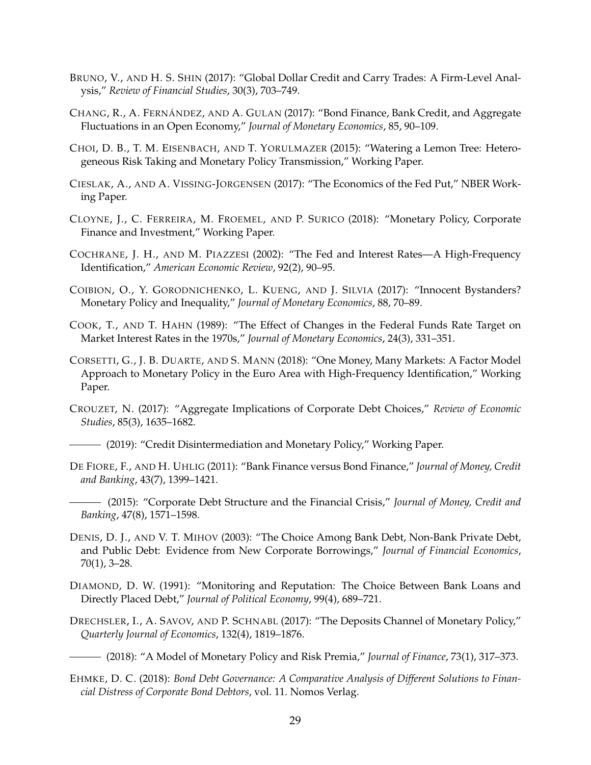- <span id="page-30-0"></span>BRUNO, V., AND H. S. SHIN (2017): "Global Dollar Credit and Carry Trades: A Firm-Level Analysis," *Review of Financial Studies*, 30(3), 703–749.
- CHANG, R., A. FERNÁNDEZ, AND A. GULAN (2017): "Bond Finance, Bank Credit, and Aggregate Fluctuations in an Open Economy," *Journal of Monetary Economics*, 85, 90–109.
- CHOI, D. B., T. M. EISENBACH, AND T. YORULMAZER (2015): "Watering a Lemon Tree: Heterogeneous Risk Taking and Monetary Policy Transmission," Working Paper.
- CIESLAK, A., AND A. VISSING-JORGENSEN (2017): "The Economics of the Fed Put," NBER Working Paper.
- CLOYNE, J., C. FERREIRA, M. FROEMEL, AND P. SURICO (2018): "Monetary Policy, Corporate Finance and Investment," Working Paper.
- COCHRANE, J. H., AND M. PIAZZESI (2002): "The Fed and Interest Rates—A High-Frequency Identification," *American Economic Review*, 92(2), 90–95.
- COIBION, O., Y. GORODNICHENKO, L. KUENG, AND J. SILVIA (2017): "Innocent Bystanders? Monetary Policy and Inequality," *Journal of Monetary Economics*, 88, 70–89.
- COOK, T., AND T. HAHN (1989): "The Effect of Changes in the Federal Funds Rate Target on Market Interest Rates in the 1970s," *Journal of Monetary Economics*, 24(3), 331–351.
- CORSETTI, G., J. B. DUARTE, AND S. MANN (2018): "One Money, Many Markets: A Factor Model Approach to Monetary Policy in the Euro Area with High-Frequency Identification," Working Paper.
- CROUZET, N. (2017): "Aggregate Implications of Corporate Debt Choices," *Review of Economic Studies*, 85(3), 1635–1682.
- (2019): "Credit Disintermediation and Monetary Policy," Working Paper.
- DE FIORE, F., AND H. UHLIG (2011): "Bank Finance versus Bond Finance," *Journal of Money, Credit and Banking*, 43(7), 1399–1421.
- (2015): "Corporate Debt Structure and the Financial Crisis," *Journal of Money, Credit and Banking*, 47(8), 1571–1598.
- DENIS, D. J., AND V. T. MIHOV (2003): "The Choice Among Bank Debt, Non-Bank Private Debt, and Public Debt: Evidence from New Corporate Borrowings," *Journal of Financial Economics*, 70(1), 3–28.
- DIAMOND, D. W. (1991): "Monitoring and Reputation: The Choice Between Bank Loans and Directly Placed Debt," *Journal of Political Economy*, 99(4), 689–721.
- DRECHSLER, I., A. SAVOV, AND P. SCHNABL (2017): "The Deposits Channel of Monetary Policy," *Quarterly Journal of Economics*, 132(4), 1819–1876.
- (2018): "A Model of Monetary Policy and Risk Premia," *Journal of Finance*, 73(1), 317–373.
- EHMKE, D. C. (2018): *Bond Debt Governance: A Comparative Analysis of Different Solutions to Financial Distress of Corporate Bond Debtors*, vol. 11. Nomos Verlag.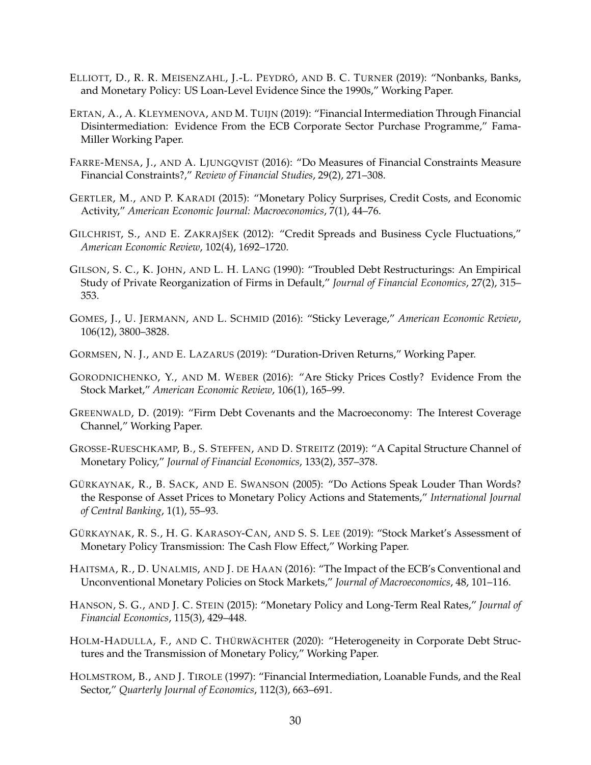- <span id="page-31-0"></span>ELLIOTT, D., R. R. MEISENZAHL, J.-L. PEYDRÓ, AND B. C. TURNER (2019): "Nonbanks, Banks, and Monetary Policy: US Loan-Level Evidence Since the 1990s," Working Paper.
- ERTAN, A., A. KLEYMENOVA, AND M. TUIJN (2019): "Financial Intermediation Through Financial Disintermediation: Evidence From the ECB Corporate Sector Purchase Programme," Fama-Miller Working Paper.
- FARRE-MENSA, J., AND A. LJUNGQVIST (2016): "Do Measures of Financial Constraints Measure Financial Constraints?," *Review of Financial Studies*, 29(2), 271–308.
- GERTLER, M., AND P. KARADI (2015): "Monetary Policy Surprises, Credit Costs, and Economic Activity," *American Economic Journal: Macroeconomics*, 7(1), 44–76.
- GILCHRIST, S., AND E. ZAKRAJŠEK (2012): "Credit Spreads and Business Cycle Fluctuations," *American Economic Review*, 102(4), 1692–1720.
- GILSON, S. C., K. JOHN, AND L. H. LANG (1990): "Troubled Debt Restructurings: An Empirical Study of Private Reorganization of Firms in Default," *Journal of Financial Economics*, 27(2), 315– 353.
- GOMES, J., U. JERMANN, AND L. SCHMID (2016): "Sticky Leverage," *American Economic Review*, 106(12), 3800–3828.
- GORMSEN, N. J., AND E. LAZARUS (2019): "Duration-Driven Returns," Working Paper.
- GORODNICHENKO, Y., AND M. WEBER (2016): "Are Sticky Prices Costly? Evidence From the Stock Market," *American Economic Review*, 106(1), 165–99.
- GREENWALD, D. (2019): "Firm Debt Covenants and the Macroeconomy: The Interest Coverage Channel," Working Paper.
- GROSSE-RUESCHKAMP, B., S. STEFFEN, AND D. STREITZ (2019): "A Capital Structure Channel of Monetary Policy," *Journal of Financial Economics*, 133(2), 357–378.
- GÜRKAYNAK, R., B. SACK, AND E. SWANSON (2005): "Do Actions Speak Louder Than Words? the Response of Asset Prices to Monetary Policy Actions and Statements," *International Journal of Central Banking*, 1(1), 55–93.
- GÜRKAYNAK, R. S., H. G. KARASOY-CAN, AND S. S. LEE (2019): "Stock Market's Assessment of Monetary Policy Transmission: The Cash Flow Effect," Working Paper.
- HAITSMA, R., D. UNALMIS, AND J. DE HAAN (2016): "The Impact of the ECB's Conventional and Unconventional Monetary Policies on Stock Markets," *Journal of Macroeconomics*, 48, 101–116.
- HANSON, S. G., AND J. C. STEIN (2015): "Monetary Policy and Long-Term Real Rates," *Journal of Financial Economics*, 115(3), 429–448.
- HOLM-HADULLA, F., AND C. THÜRWÄCHTER (2020): "Heterogeneity in Corporate Debt Structures and the Transmission of Monetary Policy," Working Paper.
- HOLMSTROM, B., AND J. TIROLE (1997): "Financial Intermediation, Loanable Funds, and the Real Sector," *Quarterly Journal of Economics*, 112(3), 663–691.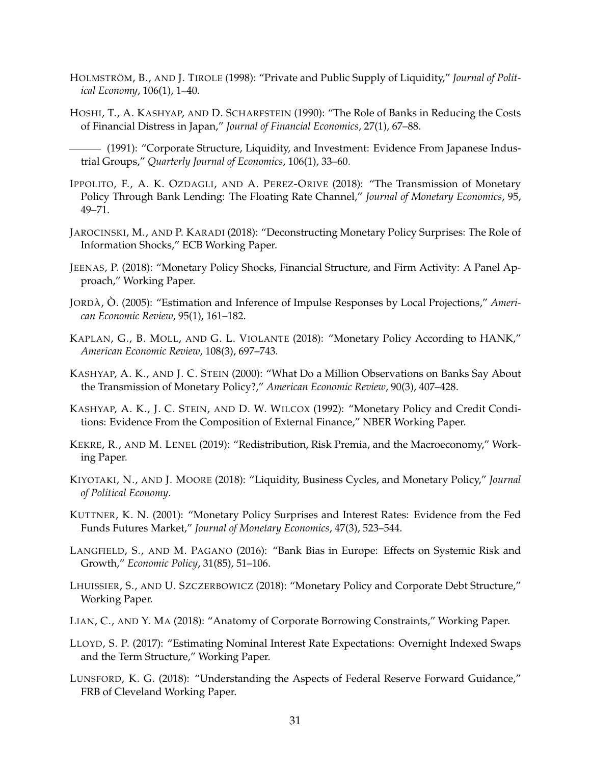- <span id="page-32-0"></span>HOLMSTRÖM, B., AND J. TIROLE (1998): "Private and Public Supply of Liquidity," *Journal of Political Economy*, 106(1), 1–40.
- HOSHI, T., A. KASHYAP, AND D. SCHARFSTEIN (1990): "The Role of Banks in Reducing the Costs of Financial Distress in Japan," *Journal of Financial Economics*, 27(1), 67–88.

(1991): "Corporate Structure, Liquidity, and Investment: Evidence From Japanese Industrial Groups," *Quarterly Journal of Economics*, 106(1), 33–60.

- IPPOLITO, F., A. K. OZDAGLI, AND A. PEREZ-ORIVE (2018): "The Transmission of Monetary Policy Through Bank Lending: The Floating Rate Channel," *Journal of Monetary Economics*, 95, 49–71.
- JAROCINSKI, M., AND P. KARADI (2018): "Deconstructing Monetary Policy Surprises: The Role of Information Shocks," ECB Working Paper.
- JEENAS, P. (2018): "Monetary Policy Shocks, Financial Structure, and Firm Activity: A Panel Approach," Working Paper.
- JORDÀ, Ò. (2005): "Estimation and Inference of Impulse Responses by Local Projections," *American Economic Review*, 95(1), 161–182.
- KAPLAN, G., B. MOLL, AND G. L. VIOLANTE (2018): "Monetary Policy According to HANK," *American Economic Review*, 108(3), 697–743.
- KASHYAP, A. K., AND J. C. STEIN (2000): "What Do a Million Observations on Banks Say About the Transmission of Monetary Policy?," *American Economic Review*, 90(3), 407–428.
- KASHYAP, A. K., J. C. STEIN, AND D. W. WILCOX (1992): "Monetary Policy and Credit Conditions: Evidence From the Composition of External Finance," NBER Working Paper.
- KEKRE, R., AND M. LENEL (2019): "Redistribution, Risk Premia, and the Macroeconomy," Working Paper.
- KIYOTAKI, N., AND J. MOORE (2018): "Liquidity, Business Cycles, and Monetary Policy," *Journal of Political Economy*.
- KUTTNER, K. N. (2001): "Monetary Policy Surprises and Interest Rates: Evidence from the Fed Funds Futures Market," *Journal of Monetary Economics*, 47(3), 523–544.
- LANGFIELD, S., AND M. PAGANO (2016): "Bank Bias in Europe: Effects on Systemic Risk and Growth," *Economic Policy*, 31(85), 51–106.
- LHUISSIER, S., AND U. SZCZERBOWICZ (2018): "Monetary Policy and Corporate Debt Structure," Working Paper.
- LIAN, C., AND Y. MA (2018): "Anatomy of Corporate Borrowing Constraints," Working Paper.
- LLOYD, S. P. (2017): "Estimating Nominal Interest Rate Expectations: Overnight Indexed Swaps and the Term Structure," Working Paper.
- LUNSFORD, K. G. (2018): "Understanding the Aspects of Federal Reserve Forward Guidance," FRB of Cleveland Working Paper.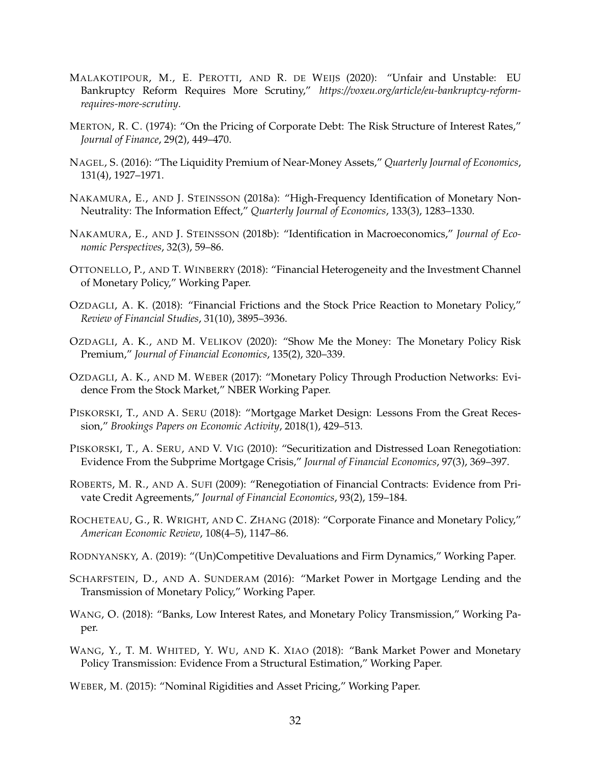- <span id="page-33-0"></span>MALAKOTIPOUR, M., E. PEROTTI, AND R. DE WEIJS (2020): "Unfair and Unstable: EU Bankruptcy Reform Requires More Scrutiny," *https://voxeu.org/article/eu-bankruptcy-reformrequires-more-scrutiny*.
- MERTON, R. C. (1974): "On the Pricing of Corporate Debt: The Risk Structure of Interest Rates," *Journal of Finance*, 29(2), 449–470.
- NAGEL, S. (2016): "The Liquidity Premium of Near-Money Assets," *Quarterly Journal of Economics*, 131(4), 1927–1971.
- NAKAMURA, E., AND J. STEINSSON (2018a): "High-Frequency Identification of Monetary Non-Neutrality: The Information Effect," *Quarterly Journal of Economics*, 133(3), 1283–1330.
- NAKAMURA, E., AND J. STEINSSON (2018b): "Identification in Macroeconomics," *Journal of Economic Perspectives*, 32(3), 59–86.
- OTTONELLO, P., AND T. WINBERRY (2018): "Financial Heterogeneity and the Investment Channel of Monetary Policy," Working Paper.
- OZDAGLI, A. K. (2018): "Financial Frictions and the Stock Price Reaction to Monetary Policy," *Review of Financial Studies*, 31(10), 3895–3936.
- OZDAGLI, A. K., AND M. VELIKOV (2020): "Show Me the Money: The Monetary Policy Risk Premium," *Journal of Financial Economics*, 135(2), 320–339.
- OZDAGLI, A. K., AND M. WEBER (2017): "Monetary Policy Through Production Networks: Evidence From the Stock Market," NBER Working Paper.
- PISKORSKI, T., AND A. SERU (2018): "Mortgage Market Design: Lessons From the Great Recession," *Brookings Papers on Economic Activity*, 2018(1), 429–513.
- PISKORSKI, T., A. SERU, AND V. VIG (2010): "Securitization and Distressed Loan Renegotiation: Evidence From the Subprime Mortgage Crisis," *Journal of Financial Economics*, 97(3), 369–397.
- ROBERTS, M. R., AND A. SUFI (2009): "Renegotiation of Financial Contracts: Evidence from Private Credit Agreements," *Journal of Financial Economics*, 93(2), 159–184.
- ROCHETEAU, G., R. WRIGHT, AND C. ZHANG (2018): "Corporate Finance and Monetary Policy," *American Economic Review*, 108(4–5), 1147–86.
- RODNYANSKY, A. (2019): "(Un)Competitive Devaluations and Firm Dynamics," Working Paper.
- SCHARFSTEIN, D., AND A. SUNDERAM (2016): "Market Power in Mortgage Lending and the Transmission of Monetary Policy," Working Paper.
- WANG, O. (2018): "Banks, Low Interest Rates, and Monetary Policy Transmission," Working Paper.
- WANG, Y., T. M. WHITED, Y. WU, AND K. XIAO (2018): "Bank Market Power and Monetary Policy Transmission: Evidence From a Structural Estimation," Working Paper.
- WEBER, M. (2015): "Nominal Rigidities and Asset Pricing," Working Paper.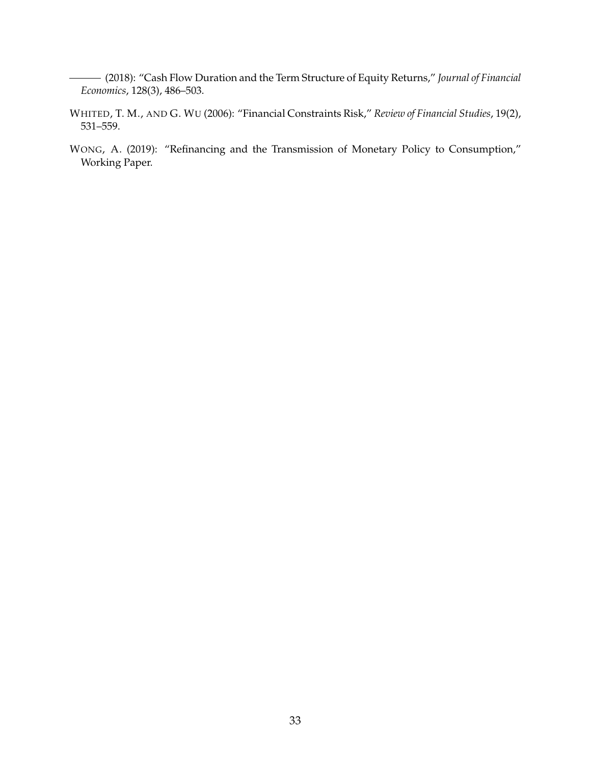- <span id="page-34-0"></span>(2018): "Cash Flow Duration and the Term Structure of Equity Returns," *Journal of Financial Economics*, 128(3), 486–503.
- WHITED, T. M., AND G. WU (2006): "Financial Constraints Risk," *Review of Financial Studies*, 19(2), 531–559.
- WONG, A. (2019): "Refinancing and the Transmission of Monetary Policy to Consumption," Working Paper.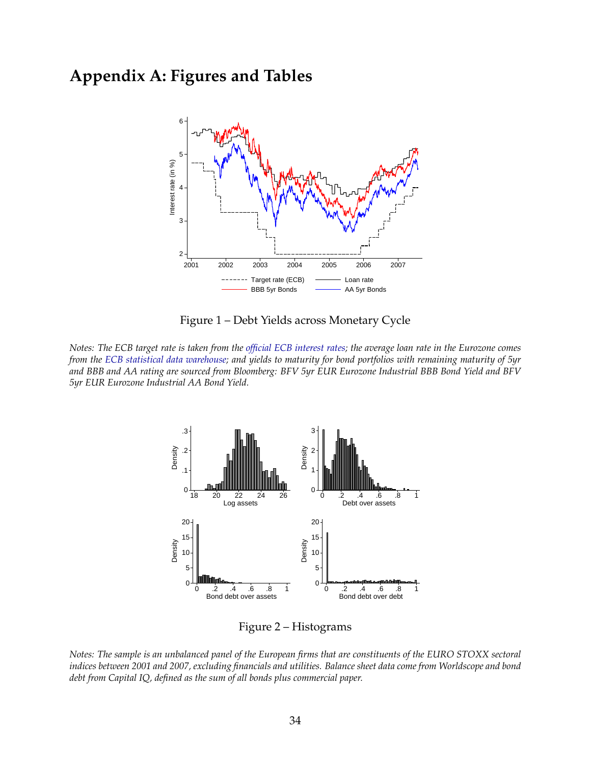## <span id="page-35-0"></span>**Appendix A: Figures and Tables**



Figure 1 – Debt Yields across Monetary Cycle

*Notes: The ECB target rate is taken from the [official ECB interest rates;](https://www.ecb.europa.eu/stats/policy_and_exchange_rates/key_ecb_interest_rates/html/index.en.html) the average loan rate in the Eurozone comes from the [ECB statistical data warehouse;](https://sdw.ecb.europa.eu/) and yields to maturity for bond portfolios with remaining maturity of 5yr and BBB and AA rating are sourced from Bloomberg: BFV 5yr EUR Eurozone Industrial BBB Bond Yield and BFV 5yr EUR Eurozone Industrial AA Bond Yield.*



Figure 2 – Histograms

*Notes: The sample is an unbalanced panel of the European firms that are constituents of the EURO STOXX sectoral indices between 2001 and 2007, excluding financials and utilities. Balance sheet data come from Worldscope and bond debt from Capital IQ, defined as the sum of all bonds plus commercial paper.*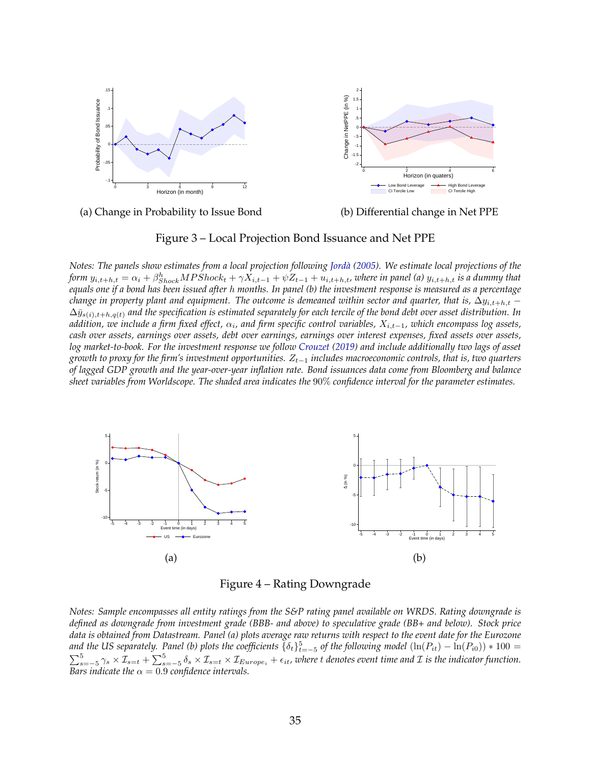<span id="page-36-0"></span>



(a) Change in Probability to Issue Bond

(b) Differential change in Net PPE

#### Figure 3 – Local Projection Bond Issuance and Net PPE

*Notes: The panels show estimates from a local projection following [Jordà](#page-32-0) [\(2005\)](#page-32-0). We estimate local projections of the form*  $y_{i,t+h,t} = \alpha_i + \beta_{Shock}^h MPShock_t + \gamma X_{i,t-1} + \psi Z_{t-1} + u_{i,t+h,t}$ , where in panel (a)  $y_{i,t+h,t}$  is a dummy that *equals one if a bond has been issued after* h *months. In panel (b) the investment response is measured as a percentage change in property plant and equipment. The outcome is demeaned within sector and quarter, that is,*  $\Delta y_{i,t+h,t}$  − ∆¯ys(i),t+h,q(t) *and the specification is estimated separately for each tercile of the bond debt over asset distribution. In addition, we include a firm fixed effect,* α<sup>i</sup> *, and firm specific control variables,* Xi,t−1*, which encompass log assets, cash over assets, earnings over assets, debt over earnings, earnings over interest expenses, fixed assets over assets, log market-to-book. For the investment response we follow [Crouzet](#page-30-0) [\(2019\)](#page-30-0) and include additionally two lags of asset growth to proxy for the firm's investment opportunities.*  $Z_{t-1}$  *includes macroeconomic controls, that is, two quarters of lagged GDP growth and the year-over-year inflation rate. Bond issuances data come from Bloomberg and balance sheet variables from Worldscope. The shaded area indicates the* 90% *confidence interval for the parameter estimates.*



Figure 4 – Rating Downgrade

*Notes: Sample encompasses all entity ratings from the S&P rating panel available on WRDS. Rating downgrade is defined as downgrade from investment grade (BBB- and above) to speculative grade (BB+ and below). Stock price data is obtained from Datastream. Panel (a) plots average raw returns with respect to the event date for the Eurozone* and the US separately. Panel (b) plots the coefficients  $\{\delta_t\}_{t=-5}^5$  of the following model  $(\ln(P_{it}) - \ln(P_{i0})) * 100 =$  $\sum_{s=-5}^{5} \gamma_s \times \mathcal{I}_{s=t} + \sum_{s=-5}^{5} \delta_s \times \mathcal{I}_{s=t} \times \mathcal{I}_{Europe_i} + \epsilon_{it}$ , where t denotes event time and  $\mathcal I$  is the indicator function. *Bars indicate the*  $\alpha = 0.9$  *confidence intervals.*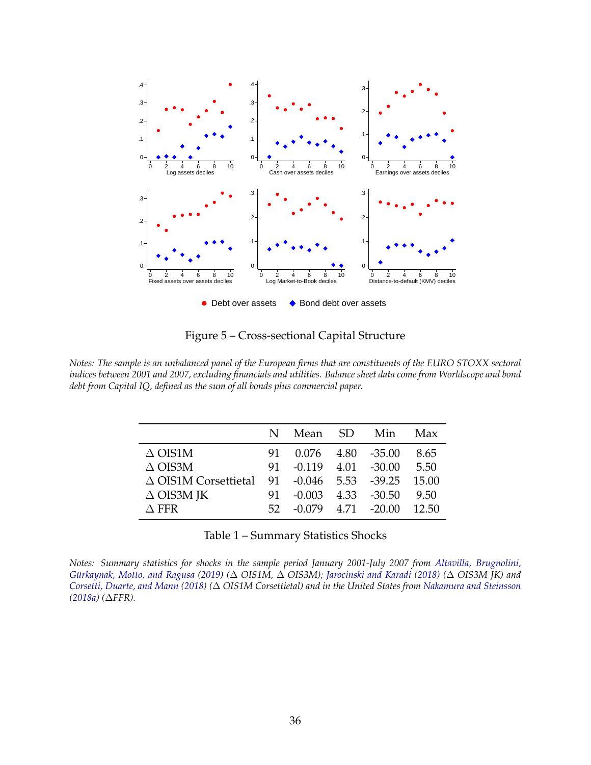<span id="page-37-0"></span>

Figure 5 – Cross-sectional Capital Structure

*Notes: The sample is an unbalanced panel of the European firms that are constituents of the EURO STOXX sectoral indices between 2001 and 2007, excluding financials and utilities. Balance sheet data come from Worldscope and bond debt from Capital IQ, defined as the sum of all bonds plus commercial paper.*

|                                                            |     | N Mean SD                | Min                      | Max      |
|------------------------------------------------------------|-----|--------------------------|--------------------------|----------|
| $\triangle$ OIS1M                                          |     | 91 0.076 4.80 -35.00     |                          | 8.65     |
| $\triangle$ OIS3M                                          | 91. | $-0.119$ $4.01$ $-30.00$ |                          | 5.50     |
| $\triangle$ OIS1M Corsettietal 91 -0.046 5.53 -39.25 15.00 |     |                          |                          |          |
| $\Delta$ OIS3M JK                                          | 91. | $-0.003$ 4.33 $-30.50$   |                          | 9.50     |
| $\wedge$ FFR                                               | 52. |                          | $-0.079$ $4.71$ $-20.00$ | $-12.50$ |

Table 1 – Summary Statistics Shocks

*Notes: Summary statistics for shocks in the sample period January 2001-July 2007 from [Altavilla, Brugnolini,](#page-29-0) [Gürkaynak, Motto, and Ragusa](#page-29-0) [\(2019\)](#page-29-0) (*∆ *OIS1M,* ∆ *OIS3M); [Jarocinski and Karadi](#page-32-0) [\(2018\)](#page-32-0) (*∆ *OIS3M JK) and [Corsetti, Duarte, and Mann](#page-30-0) [\(2018\)](#page-30-0) (*∆ *OIS1M Corsettietal) and in the United States from [Nakamura and Steinsson](#page-33-0) [\(2018a\)](#page-33-0) (*∆*FFR).*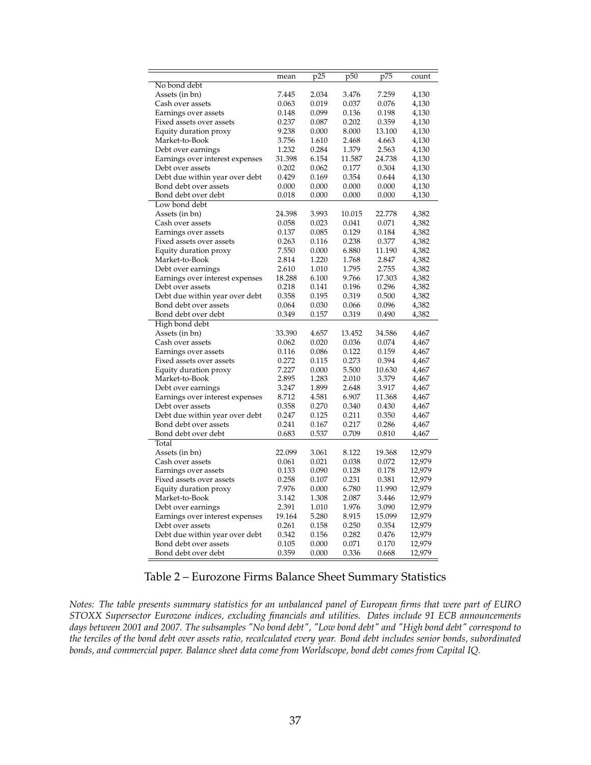<span id="page-38-0"></span>

|                                 | mean   | p25   | p50    | p75    | count  |
|---------------------------------|--------|-------|--------|--------|--------|
| No bond debt                    |        |       |        |        |        |
| Assets (in bn)                  | 7.445  | 2.034 | 3.476  | 7.259  | 4,130  |
| Cash over assets                | 0.063  | 0.019 | 0.037  | 0.076  | 4,130  |
| Earnings over assets            | 0.148  | 0.099 | 0.136  | 0.198  | 4,130  |
| Fixed assets over assets        | 0.237  | 0.087 | 0.202  | 0.359  | 4,130  |
| Equity duration proxy           | 9.238  | 0.000 | 8.000  | 13.100 | 4,130  |
| Market-to-Book                  | 3.756  | 1.610 | 2.468  | 4.663  | 4,130  |
| Debt over earnings              | 1.232  | 0.284 | 1.379  | 2.563  | 4,130  |
| Earnings over interest expenses | 31.398 | 6.154 | 11.587 | 24.738 | 4,130  |
| Debt over assets                | 0.202  | 0.062 | 0.177  | 0.304  | 4,130  |
| Debt due within year over debt  | 0.429  | 0.169 | 0.354  | 0.644  | 4,130  |
| Bond debt over assets           | 0.000  | 0.000 | 0.000  | 0.000  | 4,130  |
| Bond debt over debt             | 0.018  | 0.000 | 0.000  | 0.000  | 4,130  |
| Low bond debt                   |        |       |        |        |        |
| Assets (in bn)                  | 24.398 | 3.993 | 10.015 | 22.778 | 4,382  |
| Cash over assets                | 0.058  | 0.023 | 0.041  | 0.071  | 4,382  |
| Earnings over assets            | 0.137  | 0.085 | 0.129  | 0.184  | 4,382  |
| Fixed assets over assets        | 0.263  | 0.116 | 0.238  | 0.377  | 4,382  |
| Equity duration proxy           | 7.550  | 0.000 | 6.880  | 11.190 | 4,382  |
| Market-to-Book                  | 2.814  | 1.220 | 1.768  | 2.847  | 4,382  |
| Debt over earnings              | 2.610  | 1.010 | 1.795  | 2.755  | 4,382  |
| Earnings over interest expenses | 18.288 | 6.100 | 9.766  | 17.303 | 4,382  |
| Debt over assets                | 0.218  | 0.141 | 0.196  | 0.296  | 4,382  |
| Debt due within year over debt  | 0.358  | 0.195 | 0.319  | 0.500  | 4,382  |
| Bond debt over assets           | 0.064  | 0.030 | 0.066  | 0.096  | 4,382  |
| Bond debt over debt             | 0.349  | 0.157 | 0.319  | 0.490  | 4,382  |
| High bond debt                  |        |       |        |        |        |
| Assets (in bn)                  | 33.390 | 4.657 | 13.452 | 34.586 | 4,467  |
| Cash over assets                | 0.062  | 0.020 | 0.036  | 0.074  | 4,467  |
| Earnings over assets            | 0.116  | 0.086 | 0.122  | 0.159  | 4,467  |
| Fixed assets over assets        | 0.272  | 0.115 | 0.273  | 0.394  | 4,467  |
| Equity duration proxy           | 7.227  | 0.000 | 5.500  | 10.630 | 4,467  |
| Market-to-Book                  | 2.895  | 1.283 | 2.010  | 3.379  | 4,467  |
| Debt over earnings              | 3.247  | 1.899 | 2.648  | 3.917  | 4,467  |
| Earnings over interest expenses | 8.712  | 4.581 | 6.907  | 11.368 | 4,467  |
| Debt over assets                | 0.358  | 0.270 | 0.340  | 0.430  | 4,467  |
| Debt due within year over debt  | 0.247  | 0.125 | 0.211  | 0.350  | 4,467  |
| Bond debt over assets           | 0.241  | 0.167 | 0.217  | 0.286  | 4,467  |
| Bond debt over debt             | 0.683  | 0.537 | 0.709  | 0.810  | 4,467  |
| Total                           |        |       |        |        |        |
| Assets (in bn)                  | 22.099 | 3.061 | 8.122  | 19.368 | 12,979 |
| Cash over assets                | 0.061  | 0.021 | 0.038  | 0.072  | 12,979 |
| Earnings over assets            | 0.133  | 0.090 | 0.128  | 0.178  | 12,979 |
| Fixed assets over assets        | 0.258  | 0.107 | 0.231  | 0.381  | 12,979 |
| Equity duration proxy           | 7.976  | 0.000 | 6.780  | 11.990 | 12,979 |
| Market-to-Book                  | 3.142  | 1.308 | 2.087  | 3.446  | 12,979 |
| Debt over earnings              | 2.391  | 1.010 | 1.976  | 3.090  | 12,979 |
| Earnings over interest expenses | 19.164 | 5.280 | 8.915  | 15.099 | 12,979 |
| Debt over assets                | 0.261  | 0.158 | 0.250  | 0.354  | 12,979 |
| Debt due within year over debt  | 0.342  | 0.156 | 0.282  | 0.476  | 12,979 |
| Bond debt over assets           | 0.105  | 0.000 | 0.071  | 0.170  | 12,979 |
| Bond debt over debt             | 0.359  | 0.000 | 0.336  | 0.668  | 12,979 |

|  | Table 2 – Eurozone Firms Balance Sheet Summary Statistics |  |
|--|-----------------------------------------------------------|--|
|  |                                                           |  |

*Notes: The table presents summary statistics for an unbalanced panel of European firms that were part of EURO STOXX Supersector Eurozone indices, excluding financials and utilities. Dates include 91 ECB announcements days between 2001 and 2007. The subsamples "No bond debt", "Low bond debt" and "High bond debt" correspond to the terciles of the bond debt over assets ratio, recalculated every year. Bond debt includes senior bonds, subordinated bonds, and commercial paper. Balance sheet data come from Worldscope, bond debt comes from Capital IQ.*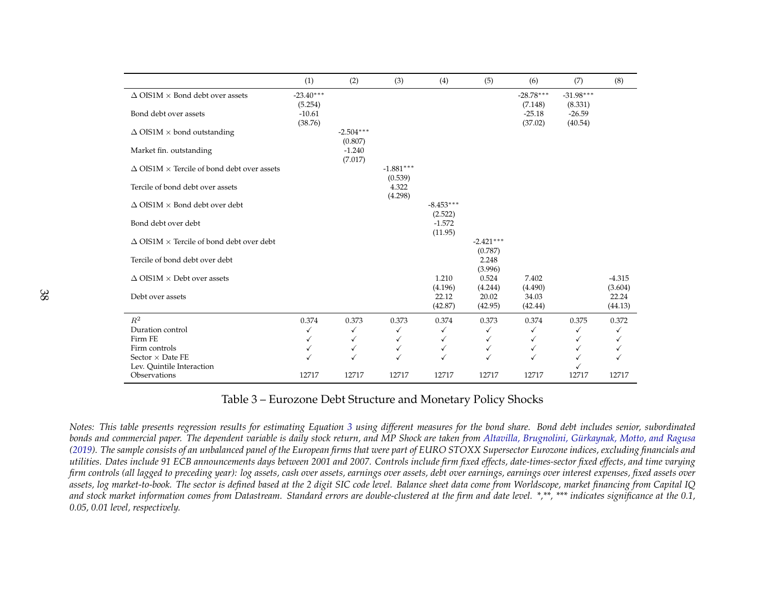<span id="page-39-0"></span>

|                                                           | (1)                    | (2)                    | (3)                    | (4)                    | (5)                    | (6)                    | (7)                    | (8)                 |
|-----------------------------------------------------------|------------------------|------------------------|------------------------|------------------------|------------------------|------------------------|------------------------|---------------------|
| $\Delta$ OIS1M $\times$ Bond debt over assets             | $-23.40***$<br>(5.254) |                        |                        |                        |                        | $-28.78***$<br>(7.148) | $-31.98***$<br>(8.331) |                     |
| Bond debt over assets                                     | $-10.61$<br>(38.76)    |                        |                        |                        |                        | $-25.18$<br>(37.02)    | $-26.59$<br>(40.54)    |                     |
| $\Delta$ OIS1M $\times$ bond outstanding                  |                        | $-2.504***$<br>(0.807) |                        |                        |                        |                        |                        |                     |
| Market fin. outstanding                                   |                        | $-1.240$<br>(7.017)    |                        |                        |                        |                        |                        |                     |
| $\Delta$ OIS1M $\times$ Tercile of bond debt over assets  |                        |                        | $-1.881***$<br>(0.539) |                        |                        |                        |                        |                     |
| Tercile of bond debt over assets                          |                        |                        | 4.322<br>(4.298)       |                        |                        |                        |                        |                     |
| $\Delta$ OIS1M $\times$ Bond debt over debt               |                        |                        |                        | $-8.453***$<br>(2.522) |                        |                        |                        |                     |
| Bond debt over debt                                       |                        |                        |                        | $-1.572$<br>(11.95)    |                        |                        |                        |                     |
| $\triangle$ OIS1M $\times$ Tercile of bond debt over debt |                        |                        |                        |                        | $-2.421***$<br>(0.787) |                        |                        |                     |
| Tercile of bond debt over debt                            |                        |                        |                        |                        | 2.248<br>(3.996)       |                        |                        |                     |
| $\Delta$ OIS1M $\times$ Debt over assets                  |                        |                        |                        | 1.210<br>(4.196)       | 0.524<br>(4.244)       | 7.402<br>(4.490)       |                        | $-4.315$<br>(3.604) |
| Debt over assets                                          |                        |                        |                        | 22.12<br>(42.87)       | 20.02<br>(42.95)       | 34.03<br>(42.44)       |                        | 22.24<br>(44.13)    |
| $\mathbb{R}^2$                                            | 0.374                  | 0.373                  | 0.373                  | 0.374                  | 0.373                  | 0.374                  | 0.375                  | 0.372               |
| Duration control                                          | $\checkmark$           | ✓                      | √                      | ✓                      | ✓                      | ✓                      | ✓                      | ✓                   |
| Firm FE                                                   | $\checkmark$           | ✓                      | ✓                      | ✓                      | ✓                      | √                      | ✓                      | ✓                   |
| Firm controls                                             | ✓                      | ✓                      | ✓                      | ✓                      | ✓                      | ✓                      | ✓                      | ✓                   |
| Sector $\times$ Date FE                                   | $\checkmark$           |                        |                        | $\checkmark$           | $\checkmark$           | ✓                      | ✓                      |                     |
| Lev. Quintile Interaction                                 |                        |                        |                        |                        |                        |                        |                        |                     |
| Observations                                              | 12717                  | 12717                  | 12717                  | 12717                  | 12717                  | 12717                  | 12717                  | 12717               |

Table 3 – Eurozone Debt Structure and Monetary Policy Shocks

Notes: This table presents regression results for estimating Equation [3](#page-19-0) using different measures for the bond share. Bond debt includes senior, subordinated<br>. bonds and commercial paper. The dependent variable is daily stock return, and MP Shock are taken from Altavilla, Brugnolini, [Gürkaynak,](#page-29-0) Motto, and Ragusa<br>(2010). The cannile causiste of an unhelaused namel of the European [\(2019\)](#page-29-0). The sample consists of an unbalanced panel of the European firms that were part of EURO STOXX Supersector Eurozone indices, excluding financials and utilities. Dates include 91 ECB announcements days between 2001 and 2007. Controls include firm fixed effects, date-times-sector fixed effects, and time varying firm controls (all lagged to preceding year): log assets, cash over assets, earnings over assets, debt over earnings, earnings over interest expenses, fixed assets over assets, log market-to-book. The sector is defined based at the 2 digit SIC code level. Balance sheet data come from Worldscope, market financing from Capital IQ and stock market information comes from Datastream. Standard errors are double-clustered at the firm and date level. \*,\*\*, \*\*\* indicates significance at the 0.1, *0.05, 0.01 level, respectively.*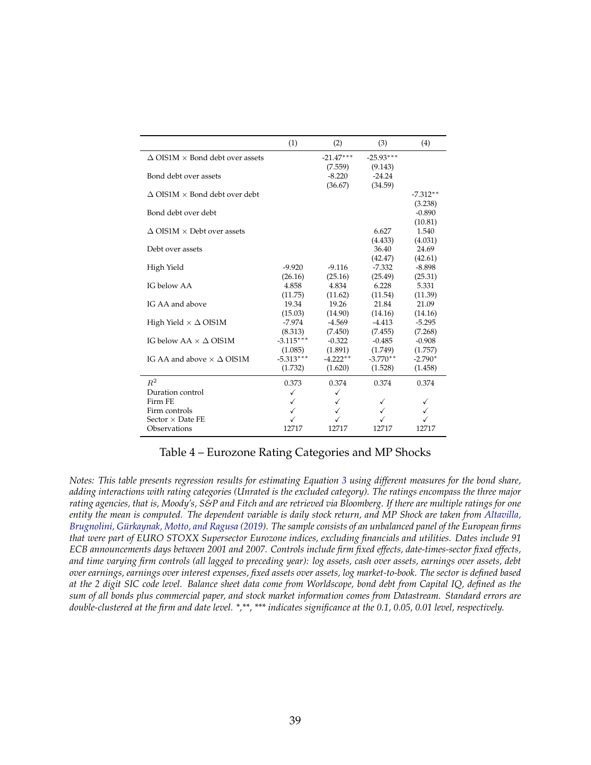<span id="page-40-0"></span>

|                                                  | (1)         | (2)         | (3)                 | (4)                 |
|--------------------------------------------------|-------------|-------------|---------------------|---------------------|
| $\triangle$ OIS1M $\times$ Bond debt over assets |             | $-21.47***$ | $-25.93***$         |                     |
|                                                  |             | (7.559)     | (9.143)             |                     |
| Bond debt over assets                            |             | $-8.220$    | $-24.24$            |                     |
|                                                  |             | (36.67)     | (34.59)             |                     |
| $\Delta$ OIS1M $\times$ Bond debt over debt      |             |             |                     | $-7.312**$          |
|                                                  |             |             |                     | (3.238)             |
| Bond debt over debt                              |             |             |                     | $-0.890$            |
|                                                  |             |             |                     | (10.81)             |
| $\triangle$ OIS1M $\times$ Debt over assets      |             |             | 6.627               | 1.540               |
|                                                  |             |             | (4.433)             | (4.031)             |
| Debt over assets                                 |             |             | 36.40               | 24.69               |
|                                                  | $-9.920$    | $-9.116$    | (42.47)<br>$-7.332$ | (42.61)<br>$-8.898$ |
| High Yield                                       | (26.16)     | (25.16)     | (25.49)             | (25.31)             |
| IG below AA                                      | 4.858       | 4.834       | 6.228               | 5.331               |
|                                                  | (11.75)     | (11.62)     | (11.54)             | (11.39)             |
| IG AA and above                                  | 19.34       | 19.26       | 21.84               | 21.09               |
|                                                  | (15.03)     | (14.90)     | (14.16)             | (14.16)             |
| High Yield $\times \Delta$ OIS1M                 | $-7.974$    | $-4.569$    | $-4.413$            | $-5.295$            |
|                                                  | (8.313)     | (7.450)     | (7.455)             | (7.268)             |
| IG below $AA \times \Delta$ OIS1M                | $-3.115***$ | $-0.322$    | $-0.485$            | $-0.908$            |
|                                                  | (1.085)     | (1.891)     | (1.749)             | (1.757)             |
| IG AA and above $\times \Delta$ OIS1M            | $-5.313***$ | $-4.222**$  | $-3.770**$          | $-2.790*$           |
|                                                  | (1.732)     | (1.620)     | (1.528)             | (1.458)             |
| $R^2$                                            | 0.373       | 0.374       | 0.374               | 0.374               |
| Duration control                                 | ✓           | ✓           |                     |                     |
| Firm FE                                          | ✓           | ✓           | ✓                   |                     |
| Firm controls                                    | ✓           |             |                     | ✓                   |
| Sector $\times$ Date FE                          |             |             |                     |                     |
| Observations                                     | 12717       | 12717       | 12717               | 12717               |

#### Table 4 – Eurozone Rating Categories and MP Shocks

*Notes: This table presents regression results for estimating Equation [3](#page-19-0) using different measures for the bond share, adding interactions with rating categories (Unrated is the excluded category). The ratings encompass the three major rating agencies, that is, Moody's, S&P and Fitch and are retrieved via Bloomberg. If there are multiple ratings for one entity the mean is computed. The dependent variable is daily stock return, and MP Shock are taken from [Altavilla,](#page-29-0) [Brugnolini, Gürkaynak, Motto, and Ragusa](#page-29-0) [\(2019\)](#page-29-0). The sample consists of an unbalanced panel of the European firms that were part of EURO STOXX Supersector Eurozone indices, excluding financials and utilities. Dates include 91 ECB announcements days between 2001 and 2007. Controls include firm fixed effects, date-times-sector fixed effects, and time varying firm controls (all lagged to preceding year): log assets, cash over assets, earnings over assets, debt over earnings, earnings over interest expenses, fixed assets over assets, log market-to-book. The sector is defined based at the 2 digit SIC code level. Balance sheet data come from Worldscope, bond debt from Capital IQ, defined as the sum of all bonds plus commercial paper, and stock market information comes from Datastream. Standard errors are double-clustered at the firm and date level. \*,\*\*, \*\*\* indicates significance at the 0.1, 0.05, 0.01 level, respectively.*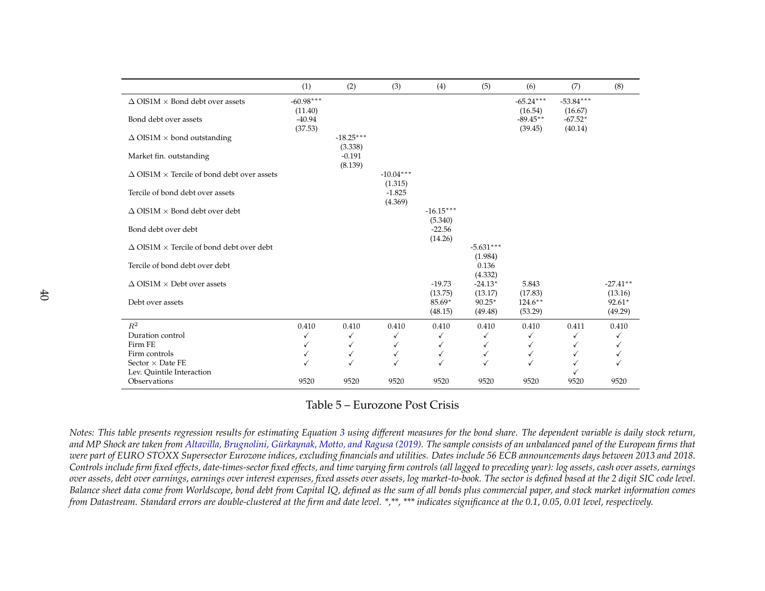<span id="page-41-0"></span>

|                                                             | (1)                    | (2)                    | (3)                    | (4)                    | (5)                    | (6)                    | (7)                    | (8)                   |
|-------------------------------------------------------------|------------------------|------------------------|------------------------|------------------------|------------------------|------------------------|------------------------|-----------------------|
| $\Delta$ OIS1M $\times$ Bond debt over assets               | $-60.98***$<br>(11.40) |                        |                        |                        |                        | $-65.24***$<br>(16.54) | $-53.84***$<br>(16.67) |                       |
| Bond debt over assets                                       | $-40.94$<br>(37.53)    |                        |                        |                        |                        | $-89.45**$<br>(39.45)  | $-67.52*$<br>(40.14)   |                       |
| $\Delta$ OIS1M $\times$ bond outstanding                    |                        | $-18.25***$<br>(3.338) |                        |                        |                        |                        |                        |                       |
| Market fin. outstanding                                     |                        | $-0.191$<br>(8.139)    |                        |                        |                        |                        |                        |                       |
| $\triangle$ OIS1M $\times$ Tercile of bond debt over assets |                        |                        | $-10.04***$<br>(1.315) |                        |                        |                        |                        |                       |
| Tercile of bond debt over assets                            |                        |                        | $-1.825$<br>(4.369)    |                        |                        |                        |                        |                       |
| $\Delta$ OIS1M $\times$ Bond debt over debt                 |                        |                        |                        | $-16.15***$<br>(5.340) |                        |                        |                        |                       |
| Bond debt over debt                                         |                        |                        |                        | $-22.56$<br>(14.26)    |                        |                        |                        |                       |
| $\Delta$ OIS1M $\times$ Tercile of bond debt over debt      |                        |                        |                        |                        | $-5.631***$<br>(1.984) |                        |                        |                       |
| Tercile of bond debt over debt                              |                        |                        |                        |                        | 0.136<br>(4.332)       |                        |                        |                       |
| $\Delta$ OIS1M $\times$ Debt over assets                    |                        |                        |                        | $-19.73$<br>(13.75)    | $-24.13*$<br>(13.17)   | 5.843<br>(17.83)       |                        | $-27.41**$<br>(13.16) |
| Debt over assets                                            |                        |                        |                        | 85.69*<br>(48.15)      | $90.25*$<br>(49.48)    | $124.6***$<br>(53.29)  |                        | $92.61*$<br>(49.29)   |
| $R^2$                                                       | 0.410                  | 0.410                  | 0.410                  | 0.410                  | 0.410                  | 0.410                  | 0.411                  | 0.410                 |
| Duration control                                            | ✓                      | ✓                      | ✓                      | ✓                      | ✓                      | ✓                      | ✓                      | ✓                     |
| Firm FE                                                     | ✓                      | ✓                      | √                      | ✓                      | ✓                      | ✓                      | ✓                      |                       |
| Firm controls                                               | ✓                      | ✓                      | ✓                      | ✓                      | $\checkmark$           | ✓                      | √                      |                       |
| Sector $\times$ Date FE                                     |                        |                        |                        | √                      | ✓                      | ✓                      |                        |                       |
| Lev. Quintile Interaction                                   |                        |                        |                        |                        |                        |                        |                        |                       |
| Observations                                                | 9520                   | 9520                   | 9520                   | 9520                   | 9520                   | 9520                   | 9520                   | 9520                  |

#### Table 5 – Eurozone Post Crisis

Notes: This table presents regression results for estimating Equation [3](#page-19-0) using different measures for the bond share. The dependent variable is daily stock return, and MP Shock are taken from Altavilla, Brugnolini, [Gürkaynak,](#page-29-0) Motto, and Ragusa [\(2019\)](#page-29-0). The sample consists of an unbalanced panel of the European firms that<br>www.york.cf.UPO.CFOXX.cyrameater.Furrows.india.c. websdies.furra were part of EURO STOXX Supersector Eurozone indices, excluding financials and utilities. Dates include 56 ECB announcements days between 2013 and 2018. Controls include firm fixed effects, date-times-sector fixed effects, and time varying firm controls (all lagged to preceding year): log assets, cash over assets, earnings over assets, debt over earnings, earnings over interest expenses, fixed assets over assets, log market-to-book. The sector is defined based at the 2 digit SIC code level. Balance sheet data come from Worldscope, bond debt from Capital IQ, defined as the sum of all bonds plus commercial paper, and stock market information comes<br>from Datastream. Standard errors are double-clustered at the fir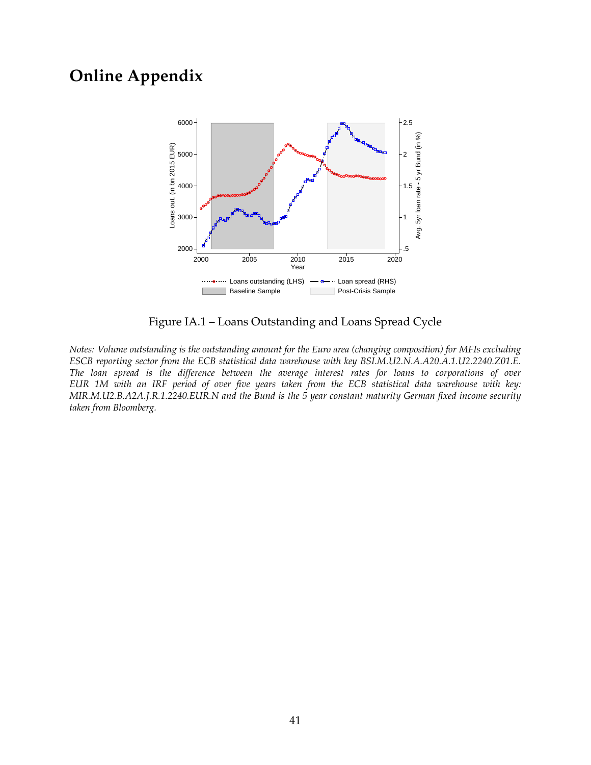## <span id="page-42-0"></span>**Online Appendix**



Figure IA.1 – Loans Outstanding and Loans Spread Cycle

*Notes: Volume outstanding is the outstanding amount for the Euro area (changing composition) for MFIs excluding ESCB reporting sector from the ECB statistical data warehouse with key BSI.M.U2.N.A.A20.A.1.U2.2240.Z01.E. The loan spread is the difference between the average interest rates for loans to corporations of over EUR 1M with an IRF period of over five years taken from the ECB statistical data warehouse with key: MIR.M.U2.B.A2A.J.R.1.2240.EUR.N and the Bund is the 5 year constant maturity German fixed income security taken from Bloomberg.*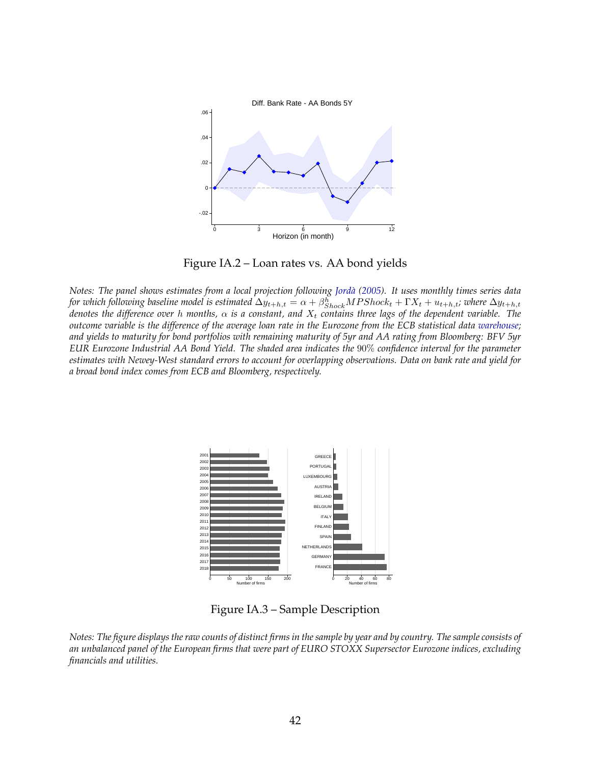<span id="page-43-0"></span>

Figure IA.2 – Loan rates vs. AA bond yields

*Notes: The panel shows estimates from a local projection following [Jordà](#page-32-0) [\(2005\)](#page-32-0). It uses monthly times series data* for which following baseline model is estimated  $\Delta y_{t+h,t}=\alpha+\beta^h_{Shock}MPShock_t+\Gamma X_t+u_{t+h,t}$ ; where  $\Delta y_{t+h,t}$ *denotes the difference over h months,*  $\alpha$  *is a constant, and*  $X_t$  *contains three lags of the dependent variable. The outcome variable is the difference of the average loan rate in the Eurozone from the ECB statistical data [warehouse;](https://sdw.ecb.europa.eu/) and yields to maturity for bond portfolios with remaining maturity of 5yr and AA rating from Bloomberg: BFV 5yr EUR Eurozone Industrial AA Bond Yield. The shaded area indicates the* 90% *confidence interval for the parameter estimates with Newey-West standard errors to account for overlapping observations. Data on bank rate and yield for a broad bond index comes from ECB and Bloomberg, respectively.*



Figure IA.3 – Sample Description

*Notes: The figure displays the raw counts of distinct firms in the sample by year and by country. The sample consists of an unbalanced panel of the European firms that were part of EURO STOXX Supersector Eurozone indices, excluding financials and utilities.*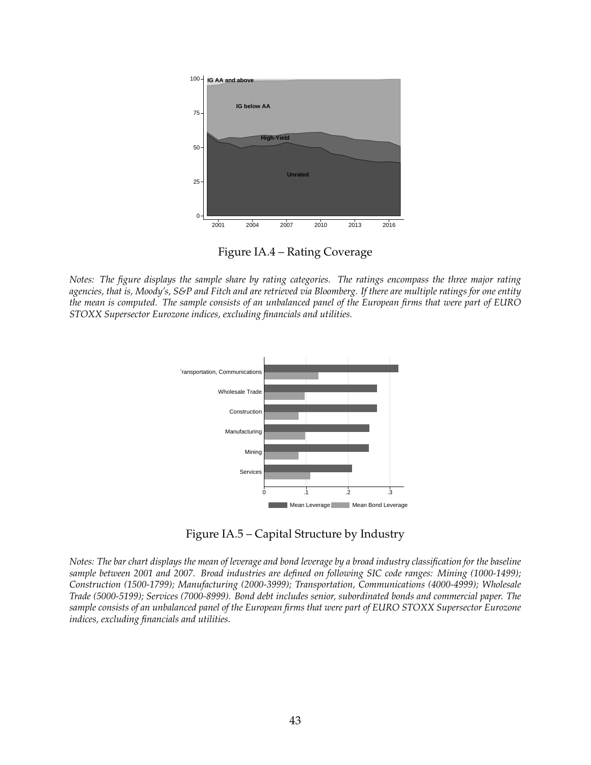<span id="page-44-0"></span>

Figure IA.4 – Rating Coverage

*Notes: The figure displays the sample share by rating categories. The ratings encompass the three major rating agencies, that is, Moody's, S&P and Fitch and are retrieved via Bloomberg. If there are multiple ratings for one entity the mean is computed. The sample consists of an unbalanced panel of the European firms that were part of EURO STOXX Supersector Eurozone indices, excluding financials and utilities.*



Figure IA.5 – Capital Structure by Industry

*Notes: The bar chart displays the mean of leverage and bond leverage by a broad industry classification for the baseline sample between 2001 and 2007. Broad industries are defined on following SIC code ranges: Mining (1000-1499); Construction (1500-1799); Manufacturing (2000-3999); Transportation, Communications (4000-4999); Wholesale Trade (5000-5199); Services (7000-8999). Bond debt includes senior, subordinated bonds and commercial paper. The sample consists of an unbalanced panel of the European firms that were part of EURO STOXX Supersector Eurozone indices, excluding financials and utilities.*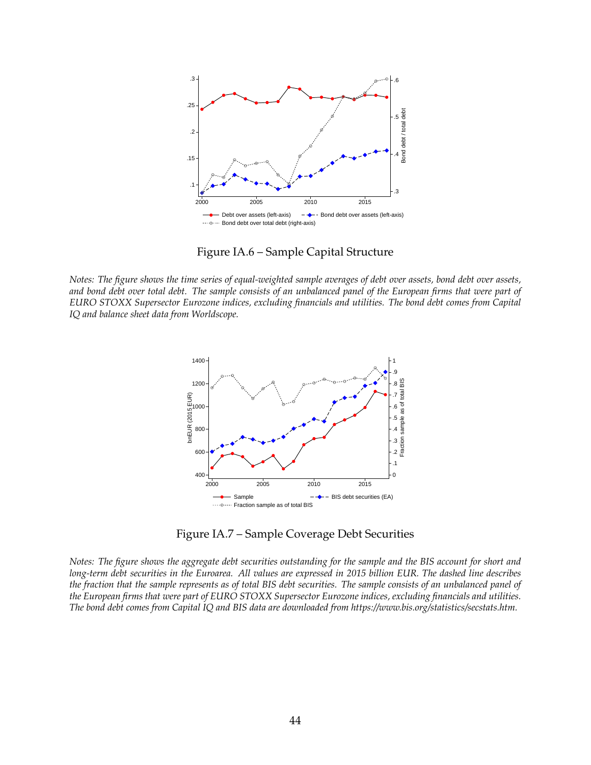<span id="page-45-0"></span>

Figure IA.6 – Sample Capital Structure

*Notes: The figure shows the time series of equal-weighted sample averages of debt over assets, bond debt over assets, and bond debt over total debt. The sample consists of an unbalanced panel of the European firms that were part of EURO STOXX Supersector Eurozone indices, excluding financials and utilities. The bond debt comes from Capital IQ and balance sheet data from Worldscope.*



Figure IA.7 – Sample Coverage Debt Securities

*Notes: The figure shows the aggregate debt securities outstanding for the sample and the BIS account for short and long-term debt securities in the Euroarea. All values are expressed in 2015 billion EUR. The dashed line describes the fraction that the sample represents as of total BIS debt securities. The sample consists of an unbalanced panel of the European firms that were part of EURO STOXX Supersector Eurozone indices, excluding financials and utilities. The bond debt comes from Capital IQ and BIS data are downloaded from https://www.bis.org/statistics/secstats.htm.*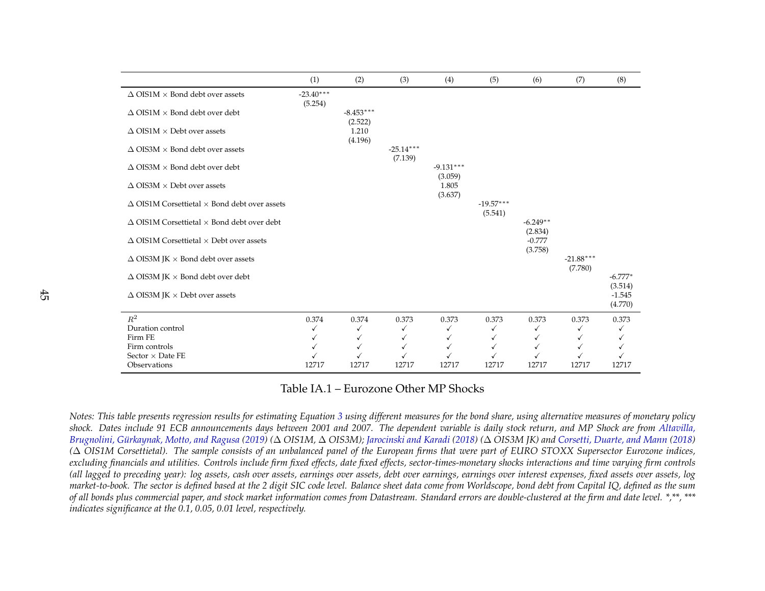<span id="page-46-0"></span>

|                                                             | (1)                    | (2)                    | (3)                    | (4)                    | (5)                    | (6)                   | (7)                    | (8)                  |
|-------------------------------------------------------------|------------------------|------------------------|------------------------|------------------------|------------------------|-----------------------|------------------------|----------------------|
| $\Delta$ OIS1M $\times$ Bond debt over assets               | $-23.40***$<br>(5.254) |                        |                        |                        |                        |                       |                        |                      |
| $\Delta$ OIS1M $\times$ Bond debt over debt                 |                        | $-8.453***$<br>(2.522) |                        |                        |                        |                       |                        |                      |
| $\Delta$ OIS1M $\times$ Debt over assets                    |                        | 1.210<br>(4.196)       |                        |                        |                        |                       |                        |                      |
| $\Delta$ OIS3M $\times$ Bond debt over assets               |                        |                        | $-25.14***$<br>(7.139) |                        |                        |                       |                        |                      |
| $\Delta$ OIS3M $\times$ Bond debt over debt                 |                        |                        |                        | $-9.131***$<br>(3.059) |                        |                       |                        |                      |
| $\Delta$ OIS3M $\times$ Debt over assets                    |                        |                        |                        | 1.805<br>(3.637)       |                        |                       |                        |                      |
| $\Delta$ OIS1M Corsettietal $\times$ Bond debt over assets  |                        |                        |                        |                        | $-19.57***$<br>(5.541) |                       |                        |                      |
| $\triangle$ OIS1M Corsettietal $\times$ Bond debt over debt |                        |                        |                        |                        |                        | $-6.249**$<br>(2.834) |                        |                      |
| $\triangle$ OIS1M Corsettietal $\times$ Debt over assets    |                        |                        |                        |                        |                        | $-0.777$<br>(3.758)   |                        |                      |
| $\Delta$ OIS3M JK $\times$ Bond debt over assets            |                        |                        |                        |                        |                        |                       | $-21.88***$<br>(7.780) |                      |
| $\Delta$ OIS3M JK $\times$ Bond debt over debt              |                        |                        |                        |                        |                        |                       |                        | $-6.777*$<br>(3.514) |
| $\Delta$ OIS3M JK $\times$ Debt over assets                 |                        |                        |                        |                        |                        |                       |                        | $-1.545$<br>(4.770)  |
| $\mathbb{R}^2$                                              | 0.374                  | 0.374                  | 0.373                  | 0.373                  | 0.373                  | 0.373                 | 0.373                  | 0.373                |
| Duration control                                            |                        | √                      | ✓                      | ✓                      | √                      |                       |                        |                      |
| Firm FE                                                     |                        | ✓                      | ✓                      | ✓                      | ✓                      |                       |                        |                      |
| Firm controls<br>Sector $\times$ Date FE                    |                        | ✓                      | ✓                      | ✓                      |                        |                       |                        |                      |
| Observations                                                | 12717                  | 12717                  | 12717                  | 12717                  | 12717                  | 12717                 | 12717                  | 12717                |
|                                                             |                        |                        |                        |                        |                        |                       |                        |                      |

Table IA.1 – Eurozone Other MP Shocks

Notes: This table presents regression results for estimating Equation [3](#page-19-0) using different measures for the bond share, using alternative measures of monetary policy shock. Dates include 91 ECB announcements days between 2001 and 2007. The dependent variable is daily stock return, and MP Shock are from [Altavilla,](#page-29-0)<br>Pursualisis Gürlenmeh Mette and Passus (2010) (A OIGMA A OIGM) Janziuski Brugnolini, [Gürkaynak,](#page-29-0) Motto, and Ragusa [\(2019\)](#page-29-0) (Δ OIS1M, Δ OIS3M); [Jarocinski](#page-32-0) and Karadi [\(2018\)](#page-30-0) (Δ OIS3M JK) and [Corsetti,](#page-30-0) Duarte, and Mann (2018)<br>(Δ OIS1M Gausattistal) . The saunds sousiste of an unbalanced namel of th ( $\Delta$  OIS1M Corsettietal). The sample consists of an unbalanced panel of the European firms that were part of EURO STOXX Supersector Eurozone indices,<br>welyding financials and utilities. Controls include firm fixed effects excluding financials and utilities. Controls include firm fixed effects, date fixed effects, sector-times-monetary shocks interactions and time varying firm controls (all lagged to preceding year): log assets, cash over assets, earnings over assets, debt over earnings, earnings over interest expenses, fixed assets over assets, log market-to-book. The sector is defined based at the 2 digit SIC code level. Balance sheet data come from Worldscope, bond debt from Capital IQ, defined as the sum of all bonds plus commercial paper, and stock market information comes from Datastream. Standard errors are double-clustered at the firm and date level. \*,\*\*, \*\*\* *indicates significance at the 0.1, 0.05, 0.01 level, respectively.*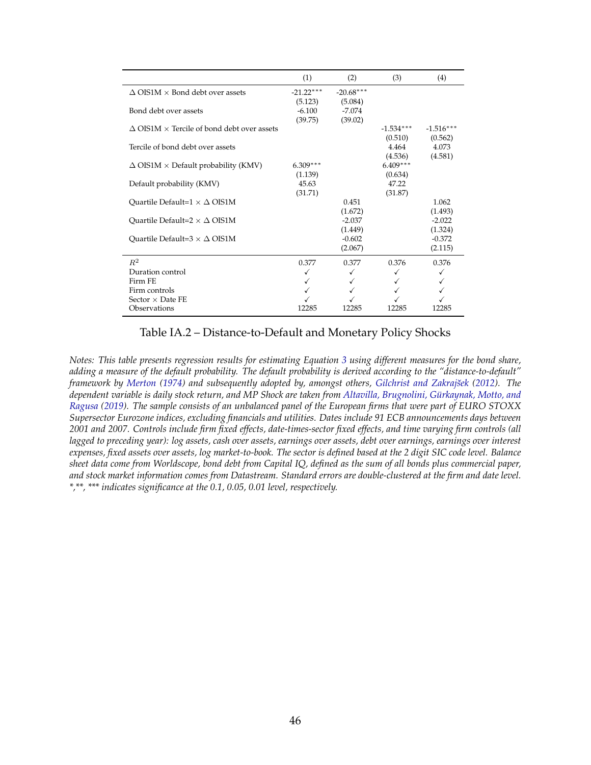<span id="page-47-0"></span>

|                                                             | (1)                    | (2)                    | (3)                    | (4)                    |
|-------------------------------------------------------------|------------------------|------------------------|------------------------|------------------------|
| $\Delta$ OIS1M $\times$ Bond debt over assets               | $-21.22***$<br>(5.123) | $-20.68***$<br>(5.084) |                        |                        |
| Bond debt over assets                                       | $-6.100$<br>(39.75)    | $-7.074$<br>(39.02)    |                        |                        |
| $\triangle$ OIS1M $\times$ Tercile of bond debt over assets |                        |                        | $-1.534***$<br>(0.510) | $-1.516***$<br>(0.562) |
| Tercile of bond debt over assets                            |                        |                        | 4.464<br>(4.536)       | 4.073<br>(4.581)       |
| $\Delta$ OIS1M $\times$ Default probability (KMV)           | $6.309***$<br>(1.139)  |                        | $6.409***$<br>(0.634)  |                        |
| Default probability (KMV)                                   | 45.63<br>(31.71)       |                        | 47.22<br>(31.87)       |                        |
| Quartile Default= $1 \times \Delta$ OIS1M                   |                        | 0.451<br>(1.672)       |                        | 1.062<br>(1.493)       |
| Ouartile Default= $2 \times \Delta$ OIS1M                   |                        | $-2.037$<br>(1.449)    |                        | $-2.022$<br>(1.324)    |
| Ouartile Default= $3 \times \Delta$ OIS1M                   |                        | $-0.602$<br>(2.067)    |                        | $-0.372$<br>(2.115)    |
| $R^2$                                                       | 0.377                  | 0.377                  | 0.376                  | 0.376                  |
| Duration control                                            | ✓                      |                        |                        |                        |
| Firm FE                                                     | ✓                      |                        |                        |                        |
| Firm controls                                               |                        |                        |                        |                        |
| Sector $\times$ Date FE                                     |                        |                        |                        |                        |
| Observations                                                | 12285                  | 12285                  | 12285                  | 12285                  |

Table IA.2 – Distance-to-Default and Monetary Policy Shocks

*Notes: This table presents regression results for estimating Equation [3](#page-19-0) using different measures for the bond share, adding a measure of the default probability. The default probability is derived according to the "distance-to-default" framework by [Merton](#page-33-0) [\(1974\)](#page-33-0) and subsequently adopted by, amongst others, [Gilchrist and Zakrajsek](#page-31-0) ˘ [\(2012\)](#page-31-0). The dependent variable is daily stock return, and MP Shock are taken from [Altavilla, Brugnolini, Gürkaynak, Motto, and](#page-29-0) [Ragusa](#page-29-0) [\(2019\)](#page-29-0). The sample consists of an unbalanced panel of the European firms that were part of EURO STOXX Supersector Eurozone indices, excluding financials and utilities. Dates include 91 ECB announcements days between 2001 and 2007. Controls include firm fixed effects, date-times-sector fixed effects, and time varying firm controls (all lagged to preceding year): log assets, cash over assets, earnings over assets, debt over earnings, earnings over interest expenses, fixed assets over assets, log market-to-book. The sector is defined based at the 2 digit SIC code level. Balance sheet data come from Worldscope, bond debt from Capital IQ, defined as the sum of all bonds plus commercial paper, and stock market information comes from Datastream. Standard errors are double-clustered at the firm and date level. \*,\*\*, \*\*\* indicates significance at the 0.1, 0.05, 0.01 level, respectively.*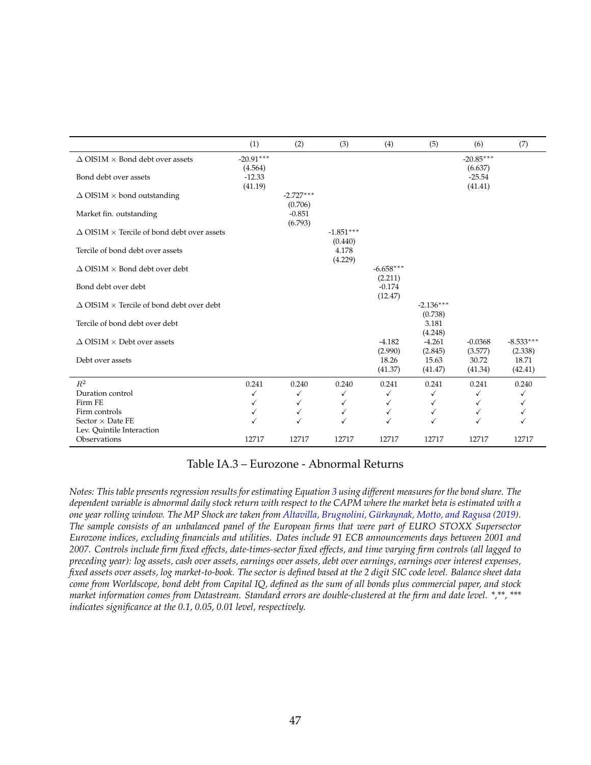<span id="page-48-0"></span>

|                                                             | (1)                            | (2)                            | (3)                         | (4)                            | (5)                         | (6)                            | (7)                         |
|-------------------------------------------------------------|--------------------------------|--------------------------------|-----------------------------|--------------------------------|-----------------------------|--------------------------------|-----------------------------|
| $\Delta$ OIS1M $\times$ Bond debt over assets               | $-20.91***$                    |                                |                             |                                |                             | $-20.85***$                    |                             |
| Bond debt over assets                                       | (4.564)<br>$-12.33$<br>(41.19) |                                |                             |                                |                             | (6.637)<br>$-25.54$<br>(41.41) |                             |
| $\Delta$ OIS1M $\times$ bond outstanding                    |                                | $-2.727***$                    |                             |                                |                             |                                |                             |
| Market fin. outstanding                                     |                                | (0.706)<br>$-0.851$<br>(6.793) |                             |                                |                             |                                |                             |
| $\triangle$ OIS1M $\times$ Tercile of bond debt over assets |                                |                                | $-1.851***$                 |                                |                             |                                |                             |
| Tercile of bond debt over assets                            |                                |                                | (0.440)<br>4.178<br>(4.229) |                                |                             |                                |                             |
| $\Delta$ OIS1M $\times$ Bond debt over debt                 |                                |                                |                             | $-6.658***$                    |                             |                                |                             |
| Bond debt over debt                                         |                                |                                |                             | (2.211)<br>$-0.174$<br>(12.47) |                             |                                |                             |
| $\Delta$ OIS1M $\times$ Tercile of bond debt over debt      |                                |                                |                             |                                | $-2.136***$                 |                                |                             |
| Tercile of bond debt over debt                              |                                |                                |                             |                                | (0.738)<br>3.181<br>(4.248) |                                |                             |
| $\Delta$ OIS1M $\times$ Debt over assets                    |                                |                                |                             | $-4.182$                       | $-4.261$                    | $-0.0368$                      | $-8.533***$                 |
| Debt over assets                                            |                                |                                |                             | (2.990)<br>18.26<br>(41.37)    | (2.845)<br>15.63<br>(41.47) | (3.577)<br>30.72<br>(41.34)    | (2.338)<br>18.71<br>(42.41) |
| $R^2$                                                       | 0.241                          | 0.240                          | 0.240                       | 0.241                          | 0.241                       | 0.241                          | 0.240                       |
| Duration control                                            | ✓                              | ✓                              | ✓                           | ✓                              | $\checkmark$                | ✓                              | ✓                           |
| Firm FE                                                     | $\checkmark$                   | ✓                              | ✓                           |                                | ✓                           | ✓                              |                             |
| Firm controls<br>Sector $\times$ Date FE                    | $\checkmark$<br>✓              | $\checkmark$                   | ✓<br>✓                      | ✓<br>$\checkmark$              | ✓                           | ✓                              |                             |
| Lev. Quintile Interaction                                   |                                |                                |                             |                                |                             |                                |                             |
| Observations                                                | 12717                          | 12717                          | 12717                       | 12717                          | 12717                       | 12717                          | 12717                       |

#### Table IA.3 – Eurozone - Abnormal Returns

*Notes: This table presents regression results for estimating Equation [3](#page-19-0) using different measures for the bond share. The dependent variable is abnormal daily stock return with respect to the CAPM where the market beta is estimated with a one year rolling window. The MP Shock are taken from [Altavilla, Brugnolini, Gürkaynak, Motto, and Ragusa](#page-29-0) [\(2019\)](#page-29-0). The sample consists of an unbalanced panel of the European firms that were part of EURO STOXX Supersector Eurozone indices, excluding financials and utilities. Dates include 91 ECB announcements days between 2001 and 2007. Controls include firm fixed effects, date-times-sector fixed effects, and time varying firm controls (all lagged to preceding year): log assets, cash over assets, earnings over assets, debt over earnings, earnings over interest expenses, fixed assets over assets, log market-to-book. The sector is defined based at the 2 digit SIC code level. Balance sheet data come from Worldscope, bond debt from Capital IQ, defined as the sum of all bonds plus commercial paper, and stock market information comes from Datastream. Standard errors are double-clustered at the firm and date level. \*,\*\*, \*\*\* indicates significance at the 0.1, 0.05, 0.01 level, respectively.*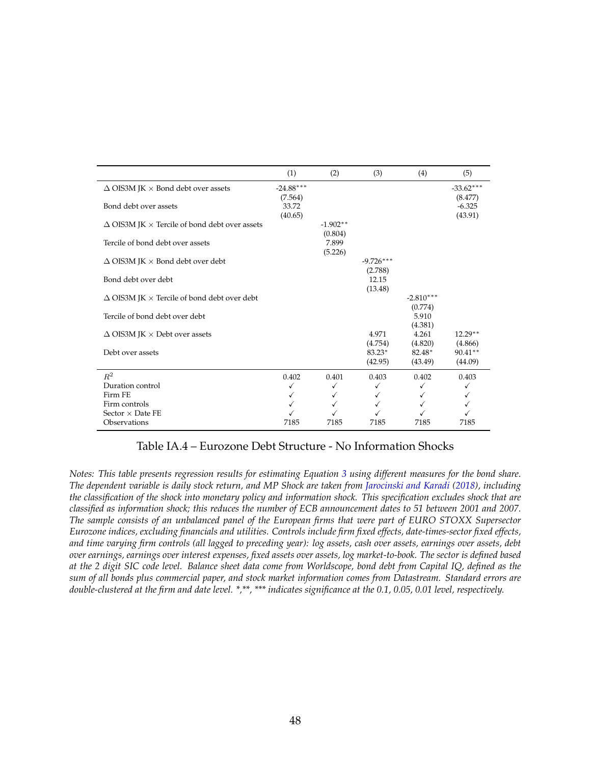<span id="page-49-0"></span>

|                                                             | (1)                    | (2)                   | (3)                    | (4)                    | (5)                    |
|-------------------------------------------------------------|------------------------|-----------------------|------------------------|------------------------|------------------------|
| $\Delta$ OIS3M JK $\times$ Bond debt over assets            | $-24.88***$<br>(7.564) |                       |                        |                        | $-33.62***$<br>(8.477) |
| Bond debt over assets                                       | 33.72<br>(40.65)       |                       |                        |                        | $-6.325$<br>(43.91)    |
| $\Delta$ OIS3M JK $\times$ Tercile of bond debt over assets |                        | $-1.902**$<br>(0.804) |                        |                        |                        |
| Tercile of bond debt over assets                            |                        | 7.899<br>(5.226)      |                        |                        |                        |
| $\Delta$ OIS3M JK $\times$ Bond debt over debt              |                        |                       | $-9.726***$<br>(2.788) |                        |                        |
| Bond debt over debt                                         |                        |                       | 12.15<br>(13.48)       |                        |                        |
| $\Delta$ OIS3M JK $\times$ Tercile of bond debt over debt   |                        |                       |                        | $-2.810***$<br>(0.774) |                        |
| Tercile of bond debt over debt                              |                        |                       |                        | 5.910<br>(4.381)       |                        |
| $\Delta$ OIS3M JK $\times$ Debt over assets                 |                        |                       | 4.971<br>(4.754)       | 4.261<br>(4.820)       | $12.29**$<br>(4.866)   |
| Debt over assets                                            |                        |                       | 83.23*<br>(42.95)      | 82.48*<br>(43.49)      | $90.41**$<br>(44.09)   |
| $R^2$                                                       | 0.402                  | 0.401                 | 0.403                  | 0.402                  | 0.403                  |
| Duration control                                            | $\checkmark$           | ✓                     | ✓                      |                        | ✓                      |
| Firm FE                                                     | $\checkmark$           | ✓                     | ✓                      |                        | ✓                      |
| Firm controls                                               | ✓                      | ✓                     |                        |                        | ✓                      |
| Sector $\times$ Date FE                                     |                        |                       |                        |                        |                        |
| Observations                                                | 7185                   | 7185                  | 7185                   | 7185                   | 7185                   |

#### Table IA.4 – Eurozone Debt Structure - No Information Shocks

*Notes: This table presents regression results for estimating Equation [3](#page-19-0) using different measures for the bond share. The dependent variable is daily stock return, and MP Shock are taken from [Jarocinski and Karadi](#page-32-0) [\(2018\)](#page-32-0), including the classification of the shock into monetary policy and information shock. This specification excludes shock that are classified as information shock; this reduces the number of ECB announcement dates to 51 between 2001 and 2007. The sample consists of an unbalanced panel of the European firms that were part of EURO STOXX Supersector Eurozone indices, excluding financials and utilities. Controls include firm fixed effects, date-times-sector fixed effects, and time varying firm controls (all lagged to preceding year): log assets, cash over assets, earnings over assets, debt over earnings, earnings over interest expenses, fixed assets over assets, log market-to-book. The sector is defined based at the 2 digit SIC code level. Balance sheet data come from Worldscope, bond debt from Capital IQ, defined as the sum of all bonds plus commercial paper, and stock market information comes from Datastream. Standard errors are double-clustered at the firm and date level. \*,\*\*, \*\*\* indicates significance at the 0.1, 0.05, 0.01 level, respectively.*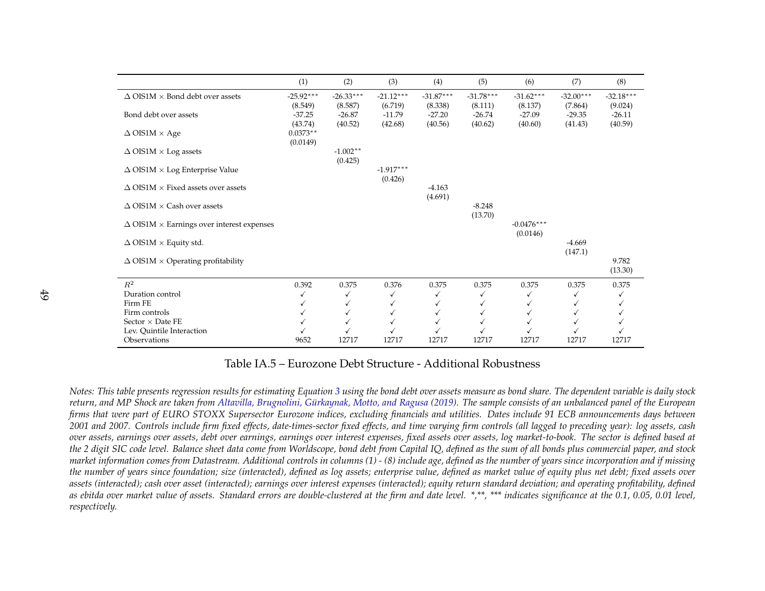<span id="page-50-0"></span>

|                                                         | (1)                    | (2)                    | (3)                    | (4)                    | (5)                    | (6)                      | (7)                    | (8)                    |
|---------------------------------------------------------|------------------------|------------------------|------------------------|------------------------|------------------------|--------------------------|------------------------|------------------------|
| $\Delta$ OIS1M $\times$ Bond debt over assets           | $-25.92***$<br>(8.549) | $-26.33***$<br>(8.587) | $-21.12***$<br>(6.719) | $-31.87***$<br>(8.338) | $-31.78***$<br>(8.111) | $-31.62***$<br>(8.137)   | $-32.00***$<br>(7.864) | $-32.18***$<br>(9.024) |
| Bond debt over assets                                   | $-37.25$<br>(43.74)    | $-26.87$<br>(40.52)    | $-11.79$<br>(42.68)    | $-27.20$<br>(40.56)    | $-26.74$<br>(40.62)    | $-27.09$<br>(40.60)      | $-29.35$<br>(41.43)    | $-26.11$<br>(40.59)    |
| $\Delta$ OIS1M $\times$ Age                             | $0.0373**$<br>(0.0149) |                        |                        |                        |                        |                          |                        |                        |
| $\Delta$ OIS1M $\times$ Log assets                      |                        | $-1.002**$<br>(0.425)  |                        |                        |                        |                          |                        |                        |
| $\Delta$ OIS1M $\times$ Log Enterprise Value            |                        |                        | $-1.917***$<br>(0.426) |                        |                        |                          |                        |                        |
| $\Delta$ OIS1M $\times$ Fixed assets over assets        |                        |                        |                        | $-4.163$<br>(4.691)    |                        |                          |                        |                        |
| $\Delta$ OIS1M $\times$ Cash over assets                |                        |                        |                        |                        | $-8.248$<br>(13.70)    |                          |                        |                        |
| $\Delta$ OIS1M $\times$ Earnings over interest expenses |                        |                        |                        |                        |                        | $-0.0476***$<br>(0.0146) |                        |                        |
| $\Delta$ OIS1M $\times$ Equity std.                     |                        |                        |                        |                        |                        |                          | $-4.669$<br>(147.1)    |                        |
| $\Delta$ OIS1M $\times$ Operating profitability         |                        |                        |                        |                        |                        |                          |                        | 9.782<br>(13.30)       |
| $R^2$                                                   | 0.392                  | 0.375                  | 0.376                  | 0.375                  | 0.375                  | 0.375                    | 0.375                  | 0.375                  |
| Duration control                                        |                        | ✓                      | ✓                      | $\checkmark$           |                        | ✓                        | ✓                      |                        |
| Firm FE                                                 |                        | ✓                      |                        |                        |                        |                          |                        |                        |
| Firm controls                                           |                        | ✓                      | ✓                      |                        |                        | √                        |                        |                        |
| Sector $\times$ Date FE<br>Lev. Quintile Interaction    |                        |                        |                        |                        |                        |                          |                        |                        |
| Observations                                            | 9652                   | 12717                  | 12717                  | 12717                  | 12717                  | 12717                    | 12717                  | 12717                  |

Table IA.5 – Eurozone Debt Structure - Additional Robustness

Notes: This table presents regression results for estimating Equation [3](#page-19-0) using the bond debt over assets measure as bond share. The dependent variable is daily stock return, and MP Shock are taken from Altavilla, Brugnolini, [Gürkaynak,](#page-29-0) Motto, and Ragusa [\(2019\)](#page-29-0). The sample consists of an unbalanced panel of the European<br>Gause that were not of FUPO STOYY Gurmonton European indices and di firms that were part of EURO STOXX Supersector Eurozone indices, excluding financials and utilities. Dates include 91 ECB announcements days between 2001 and 2007. Controls include firm fixed effects, date-times-sector fixed effects, and time varying firm controls (all lagged to preceding year): log assets, cash over assets, earnings over assets, debt over earnings, earnings over interest expenses, fixed assets over assets, log market-to-book. The sector is defined based at the 2 digit SIC code level. Balance sheet data come from Worldscope, bond debt from Capital IQ, defined as the sum of all bonds plus commercial paper, and stock market information comes from Datastream. Additional controls in columns (1) - (8) include age, defined as the number of years since incorporation and if missing the number of years since foundation; size (interacted), defined as log assets; enterprise value, defined as market value of equity plus net debt; fixed assets over assets (interacted); cash over asset (interacted); earnings over interest expenses (interacted); equity return standard deviation; and operating profitability, defined as ebitda over market value of assets. Standard errors are double-clustered at the firm and date level. \*,\*\*, \*\*\* indicates significance at the 0.1, 0.05, 0.01 level, *respectively.*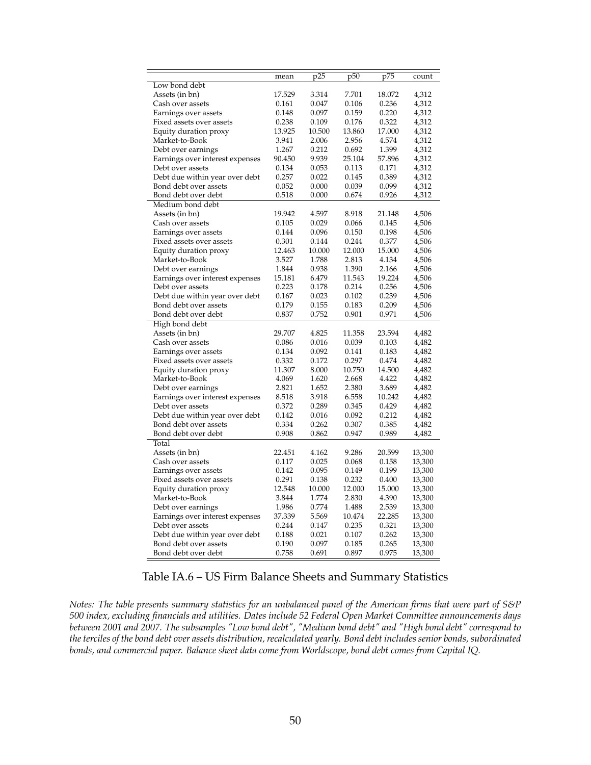<span id="page-51-0"></span>

|                                         | mean   | p25             | p <sub>50</sub> | p75             | count            |
|-----------------------------------------|--------|-----------------|-----------------|-----------------|------------------|
| Low bond debt                           |        |                 |                 |                 |                  |
| Assets (in bn)                          | 17.529 | 3.314           | 7.701           | 18.072          | 4,312            |
| Cash over assets                        | 0.161  | 0.047           | 0.106           | 0.236           | 4,312            |
| Earnings over assets                    | 0.148  | 0.097           | 0.159           | 0.220           | 4,312            |
| Fixed assets over assets                | 0.238  | 0.109           | 0.176           | 0.322           | 4,312            |
| Equity duration proxy                   | 13.925 | 10.500          | 13.860          | 17.000          | 4,312            |
| Market-to-Book                          | 3.941  | 2.006           | 2.956           | 4.574           | 4,312            |
| Debt over earnings                      | 1.267  | 0.212           | 0.692           | 1.399           | 4,312            |
| Earnings over interest expenses         | 90.450 | 9.939           | 25.104          | 57.896          | 4,312            |
| Debt over assets                        | 0.134  | 0.053           | 0.113           | 0.171           | 4,312            |
| Debt due within year over debt          | 0.257  | 0.022           | 0.145           | 0.389           | 4,312            |
| Bond debt over assets                   | 0.052  | 0.000           | 0.039           | 0.099           | 4,312            |
| Bond debt over debt                     | 0.518  | 0.000           | 0.674           | 0.926           | 4,312            |
| Medium bond debt                        |        |                 |                 |                 |                  |
| Assets (in bn)                          | 19.942 | 4.597           | 8.918           | 21.148          | 4,506            |
| Cash over assets                        | 0.105  | 0.029           | 0.066           | 0.145           | 4,506            |
| Earnings over assets                    | 0.144  | 0.096           | 0.150           | 0.198           | 4,506            |
| Fixed assets over assets                | 0.301  | 0.144           | 0.244           | 0.377           | 4,506            |
| Equity duration proxy                   | 12.463 | 10.000          | 12.000          | 15.000          | 4,506            |
| Market-to-Book                          | 3.527  | 1.788           | 2.813           | 4.134           | 4,506            |
| Debt over earnings                      | 1.844  | 0.938           | 1.390           | 2.166           | 4,506            |
| Earnings over interest expenses         | 15.181 | 6.479           | 11.543          | 19.224          | 4,506            |
| Debt over assets                        | 0.223  | 0.178           | 0.214           | 0.256           | 4,506            |
| Debt due within year over debt          | 0.167  | 0.023           | 0.102           | 0.239           | 4,506            |
| Bond debt over assets                   | 0.179  | 0.155           | 0.183           | 0.209           | 4,506            |
| Bond debt over debt                     | 0.837  | 0.752           | 0.901           | 0.971           | 4,506            |
| High bond debt                          |        |                 |                 |                 |                  |
| Assets (in bn)                          | 29.707 | 4.825           | 11.358          | 23.594          | 4,482            |
| Cash over assets                        | 0.086  | 0.016           | 0.039           | 0.103           | 4,482            |
| Earnings over assets                    | 0.134  | 0.092           | 0.141           | 0.183           | 4,482            |
| Fixed assets over assets                | 0.332  | 0.172           | 0.297           | 0.474           | 4,482            |
| Equity duration proxy                   | 11.307 | 8.000           | 10.750          | 14.500          | 4,482            |
| Market-to-Book                          | 4.069  | 1.620           | 2.668           | 4.422           | 4,482            |
| Debt over earnings                      | 2.821  | 1.652           | 2.380           | 3.689           | 4,482            |
| Earnings over interest expenses         | 8.518  | 3.918           | 6.558           | 10.242          | 4,482            |
| Debt over assets                        | 0.372  | 0.289           | 0.345           | 0.429           | 4,482            |
| Debt due within year over debt          | 0.142  | 0.016           | 0.092           | 0.212           | 4,482            |
| Bond debt over assets                   | 0.334  | 0.262           | 0.307           | 0.385           | 4,482            |
| Bond debt over debt                     | 0.908  | 0.862           | 0.947           | 0.989           | 4,482            |
| Total                                   |        |                 |                 |                 |                  |
| Assets (in bn)                          | 22.451 | 4.162           | 9.286           | 20.599          | 13,300           |
| Cash over assets                        | 0.117  | 0.025           | 0.068           | $0.158\,$       | 13,300           |
|                                         | 0.142  | 0.095           | 0.149           | 0.199           | 13,300           |
| Earnings over assets                    | 0.291  | 0.138           | 0.232           | 0.400           | 13,300           |
| Fixed assets over assets                | 12.548 |                 |                 |                 |                  |
| Equity duration proxy<br>Market-to-Book | 3.844  | 10.000<br>1.774 | 12.000<br>2.830 | 15.000<br>4.390 | 13,300<br>13,300 |
|                                         |        | 0.774           | 1.488           | 2.539           |                  |
| Debt over earnings                      | 1.986  |                 |                 |                 | 13,300           |
| Earnings over interest expenses         | 37.339 | 5.569           | 10.474          | 22.285          | 13,300           |
| Debt over assets                        | 0.244  | 0.147           | 0.235           | 0.321           | 13,300           |
| Debt due within year over debt          | 0.188  | 0.021           | 0.107           | 0.262           | 13,300           |
| Bond debt over assets                   | 0.190  | 0.097           | 0.185           | 0.265           | 13,300           |
| Bond debt over debt                     | 0.758  | 0.691           | 0.897           | 0.975           | 13,300           |

#### Table IA.6 – US Firm Balance Sheets and Summary Statistics

*Notes: The table presents summary statistics for an unbalanced panel of the American firms that were part of S&P 500 index, excluding financials and utilities. Dates include 52 Federal Open Market Committee announcements days between 2001 and 2007. The subsamples "Low bond debt", "Medium bond debt" and "High bond debt" correspond to the terciles of the bond debt over assets distribution, recalculated yearly. Bond debt includes senior bonds, subordinated bonds, and commercial paper. Balance sheet data come from Worldscope, bond debt comes from Capital IQ.*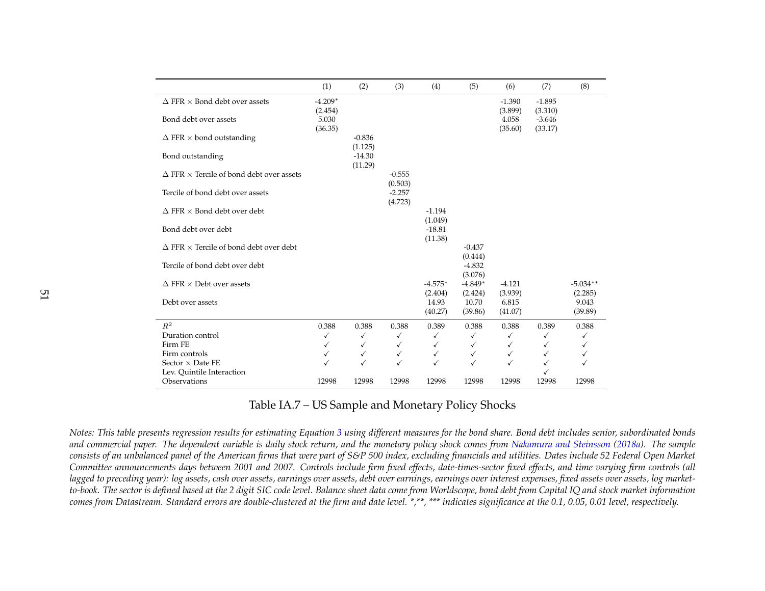<span id="page-52-0"></span>

|                                                        | (1)              | (2)                 | (3)                 | (4)                 | (5)                 | (6)              | (7)                 | (8)              |
|--------------------------------------------------------|------------------|---------------------|---------------------|---------------------|---------------------|------------------|---------------------|------------------|
| $\Delta$ FFR $\times$ Bond debt over assets            | $-4.209*$        |                     |                     |                     |                     | $-1.390$         | $-1.895$            |                  |
| Bond debt over assets                                  | (2.454)<br>5.030 |                     |                     |                     |                     | (3.899)<br>4.058 | (3.310)<br>$-3.646$ |                  |
|                                                        | (36.35)          |                     |                     |                     |                     | (35.60)          | (33.17)             |                  |
| $\Delta$ FFR $\times$ bond outstanding                 |                  | $-0.836$            |                     |                     |                     |                  |                     |                  |
|                                                        |                  | (1.125)             |                     |                     |                     |                  |                     |                  |
| Bond outstanding                                       |                  | $-14.30$<br>(11.29) |                     |                     |                     |                  |                     |                  |
| $\Delta$ FFR $\times$ Tercile of bond debt over assets |                  |                     | $-0.555$            |                     |                     |                  |                     |                  |
|                                                        |                  |                     | (0.503)             |                     |                     |                  |                     |                  |
| Tercile of bond debt over assets                       |                  |                     | $-2.257$<br>(4.723) |                     |                     |                  |                     |                  |
| $\Delta$ FFR $\times$ Bond debt over debt              |                  |                     |                     | $-1.194$            |                     |                  |                     |                  |
|                                                        |                  |                     |                     | (1.049)             |                     |                  |                     |                  |
| Bond debt over debt                                    |                  |                     |                     | $-18.81$<br>(11.38) |                     |                  |                     |                  |
| $\Delta$ FFR $\times$ Tercile of bond debt over debt   |                  |                     |                     |                     | $-0.437$            |                  |                     |                  |
|                                                        |                  |                     |                     |                     | (0.444)             |                  |                     |                  |
| Tercile of bond debt over debt                         |                  |                     |                     |                     | $-4.832$<br>(3.076) |                  |                     |                  |
| $\Delta$ FFR $\times$ Debt over assets                 |                  |                     |                     | $-4.575*$           | $-4.849*$           | $-4.121$         |                     | $-5.034**$       |
|                                                        |                  |                     |                     | (2.404)             | (2.424)             | (3.939)          |                     | (2.285)          |
| Debt over assets                                       |                  |                     |                     | 14.93<br>(40.27)    | 10.70<br>(39.86)    | 6.815<br>(41.07) |                     | 9.043<br>(39.89) |
| $R^2$                                                  | 0.388            | 0.388               | 0.388               | 0.389               | 0.388               | 0.388            | 0.389               | 0.388            |
| Duration control                                       | ✓                | $\checkmark$        | $\checkmark$        | $\checkmark$        | $\checkmark$        | $\checkmark$     | $\checkmark$        | ✓                |
| Firm FE                                                | ✓                | ✓                   | $\checkmark$        | ✓                   | ✓                   | $\checkmark$     | ✓                   | ✓                |
| Firm controls                                          | $\checkmark$     | $\checkmark$        | $\checkmark$        | $\checkmark$        | $\checkmark$        | $\checkmark$     | ✓                   | ✓                |
| Sector $\times$ Date FE                                | $\checkmark$     | $\checkmark$        | ✓                   | ✓                   | $\checkmark$        | $\checkmark$     | ✓                   |                  |
| Lev. Quintile Interaction                              |                  |                     |                     |                     |                     |                  |                     |                  |
| Observations                                           | 12998            | 12998               | 12998               | 12998               | 12998               | 12998            | 12998               | 12998            |

#### Table IA.7 – US Sample and Monetary Policy Shocks

*Notes: This table presents regression results for estimating Equation [3](#page-19-0) using different measures for the bond share. Bond debt includes senior, subordinated bonds* and commercial paper. The dependent variable is daily stock return, and the monetary policy shock comes from [Nakamura](#page-33-0) and Steinsson [\(2018a\)](#page-33-0). The sample<br>According to a wide based with a American Cross that were not of CGD 5 consists of an unbalanced panel of the American firms that were part of S&P 500 index, excluding financials and utilities. Dates include 52 Federal Open Market Committee announcements days between 2001 and 2007. Controls include firm fixed effects, date-times-sector fixed effects, and time varying firm controls (all lagged to preceding year): log assets, cash over assets, earnings over assets, debt over earnings, earnings over interest expenses, fixed assets over assets, log marketto-book. The sector is defined based at the 2 digit SIC code level. Balance sheet data come from Worldscope, bond debt from Capital IQ and stock market information comes from Datastream. Standard errors are double-clustered at the firm and date level. \*,\*\*, \*\*\* indicates significance at the 0.1, 0.05, 0.01 level, respectively.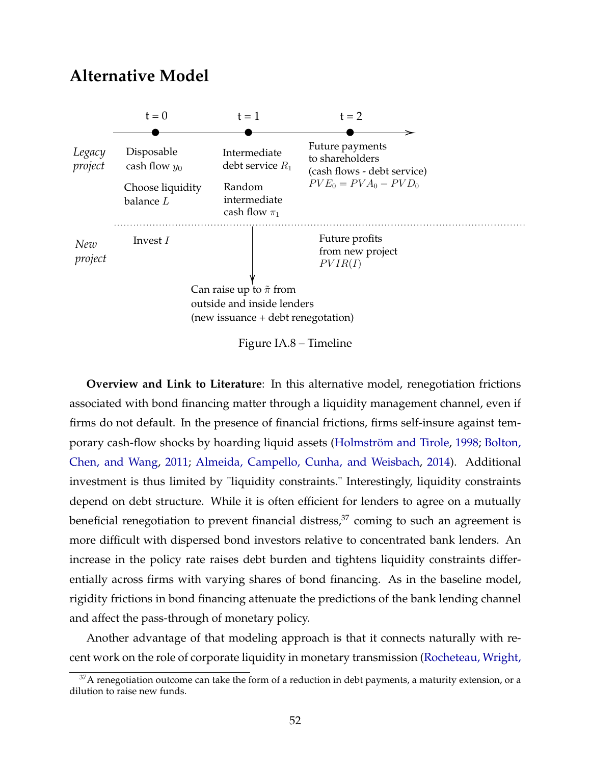### <span id="page-53-0"></span>**Alternative Model**



Figure IA.8 – Timeline

**Overview and Link to Literature**: In this alternative model, renegotiation frictions associated with bond financing matter through a liquidity management channel, even if firms do not default. In the presence of financial frictions, firms self-insure against temporary cash-flow shocks by hoarding liquid assets [\(Holmström and Tirole,](#page-32-0) [1998;](#page-32-0) [Bolton,](#page-29-0) [Chen, and Wang,](#page-29-0) [2011;](#page-29-0) [Almeida, Campello, Cunha, and Weisbach,](#page-29-0) [2014\)](#page-29-0). Additional investment is thus limited by "liquidity constraints." Interestingly, liquidity constraints depend on debt structure. While it is often efficient for lenders to agree on a mutually beneficial renegotiation to prevent financial distress, $37$  coming to such an agreement is more difficult with dispersed bond investors relative to concentrated bank lenders. An increase in the policy rate raises debt burden and tightens liquidity constraints differentially across firms with varying shares of bond financing. As in the baseline model, rigidity frictions in bond financing attenuate the predictions of the bank lending channel and affect the pass-through of monetary policy.

Another advantage of that modeling approach is that it connects naturally with recent work on the role of corporate liquidity in monetary transmission [\(Rocheteau, Wright,](#page-33-0)

 $37A$  renegotiation outcome can take the form of a reduction in debt payments, a maturity extension, or a [dilution to raise new funds.](#page-33-0)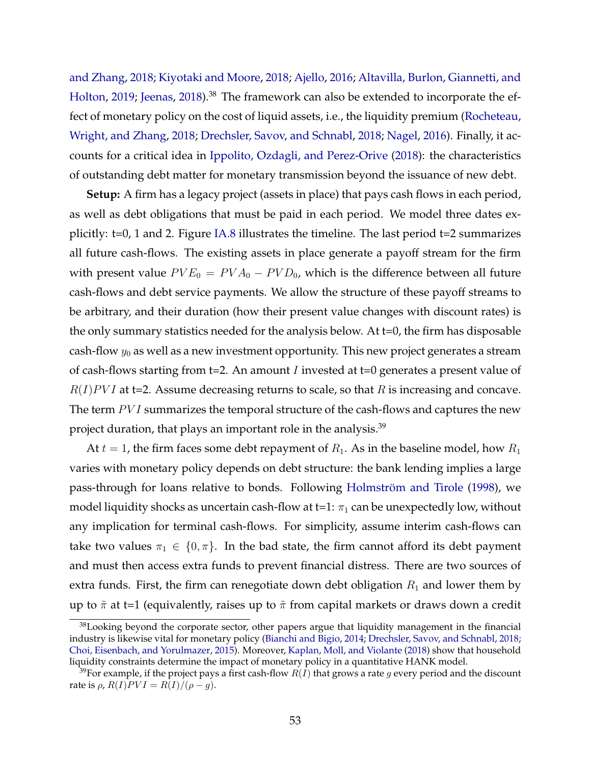[and Zhang,](#page-33-0) [2018;](#page-33-0) [Kiyotaki and Moore,](#page-32-0) [2018;](#page-32-0) [Ajello,](#page-29-0) [2016;](#page-29-0) [Altavilla, Burlon, Giannetti, and](#page-29-0) [Holton,](#page-29-0) [2019;](#page-29-0) [Jeenas,](#page-32-0) [2018\)](#page-32-0).<sup>38</sup> The framework can also be extended to incorporate the effect of monetary policy on the cost of liquid assets, i.e., the liquidity premium [\(Rocheteau,](#page-33-0) [Wright, and Zhang,](#page-33-0) [2018;](#page-33-0) [Drechsler, Savov, and Schnabl,](#page-30-0) [2018;](#page-30-0) [Nagel,](#page-33-0) [2016\)](#page-33-0). Finally, it accounts for a critical idea in [Ippolito, Ozdagli, and Perez-Orive](#page-32-0) [\(2018\)](#page-32-0): the characteristics of outstanding debt matter for monetary transmission beyond the issuance of new debt.

**Setup:** A firm has a legacy project (assets in place) that pays cash flows in each period, as well as debt obligations that must be paid in each period. We model three dates explicitly: t=0, 1 and 2. Figure [IA.8](#page-53-0) illustrates the timeline. The last period t=2 summarizes all future cash-flows. The existing assets in place generate a payoff stream for the firm with present value  $PVE_0 = PVA_0 - PVD_0$ , which is the difference between all future cash-flows and debt service payments. We allow the structure of these payoff streams to be arbitrary, and their duration (how their present value changes with discount rates) is the only summary statistics needed for the analysis below. At t=0, the firm has disposable cash-flow  $y_0$  as well as a new investment opportunity. This new project generates a stream of cash-flows starting from t=2. An amount *I* invested at t=0 generates a present value of  $R(I)PVI$  at t=2. Assume decreasing returns to scale, so that R is increasing and concave. The term  $PVI$  summarizes the temporal structure of the cash-flows and captures the new project duration, that plays an important role in the analysis.<sup>39</sup>

At  $t = 1$ , the firm faces some debt repayment of  $R_1$ . As in the baseline model, how  $R_1$ varies with monetary policy depends on debt structure: the bank lending implies a large pass-through for loans relative to bonds. Following [Holmström and Tirole](#page-32-0) [\(1998\)](#page-32-0), we model liquidity shocks as uncertain cash-flow at t=1:  $\pi_1$  can be unexpectedly low, without any implication for terminal cash-flows. For simplicity, assume interim cash-flows can take two values  $\pi_1 \in \{0, \pi\}$ . In the bad state, the firm cannot afford its debt payment and must then access extra funds to prevent financial distress. There are two sources of extra funds. First, the firm can renegotiate down debt obligation  $R_1$  and lower them by up to  $\tilde{\pi}$  at t=1 (equivalently, raises up to  $\tilde{\pi}$  from capital markets or draws down a credit

<sup>&</sup>lt;sup>38</sup>Looking beyond the corporate sector, other papers argue that liquidity management in the financial industry is likewise vital for monetary policy [\(Bianchi and Bigio,](#page-29-0) [2014;](#page-29-0) [Drechsler, Savov, and Schnabl,](#page-30-0) [2018;](#page-30-0) [Choi, Eisenbach, and Yorulmazer,](#page-30-0) [2015\)](#page-30-0). Moreover, [Kaplan, Moll, and Violante](#page-32-0) [\(2018\)](#page-32-0) show that household liquidity constraints determine the impact of monetary policy in a quantitative HANK model.

<sup>&</sup>lt;sup>39</sup>For example, if the project pays a first cash-flow  $R(I)$  that grows a rate g every period and the discount rate is  $\rho$ ,  $R(I)$  $PVI = R(I)/(\rho - q)$ .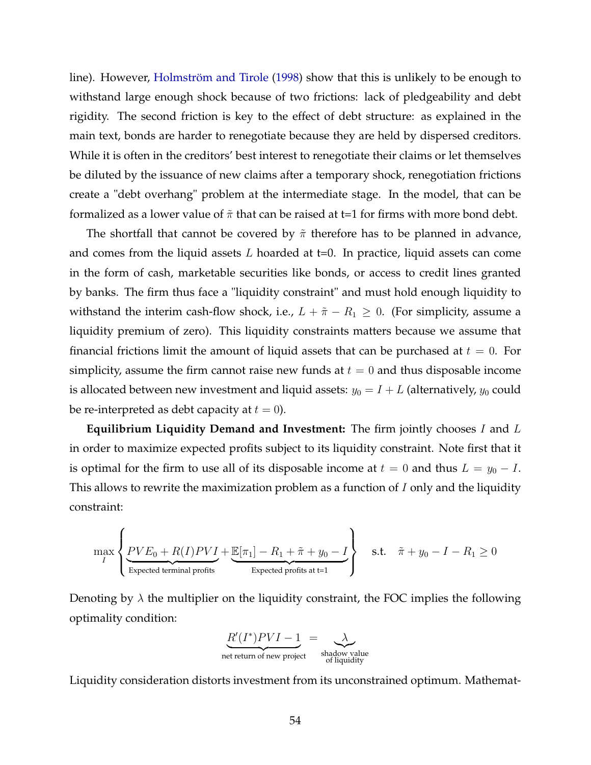line). However, [Holmström and Tirole](#page-32-0) [\(1998\)](#page-32-0) show that this is unlikely to be enough to withstand large enough shock because of two frictions: lack of pledgeability and debt rigidity. The second friction is key to the effect of debt structure: as explained in the main text, bonds are harder to renegotiate because they are held by dispersed creditors. While it is often in the creditors' best interest to renegotiate their claims or let themselves be diluted by the issuance of new claims after a temporary shock, renegotiation frictions create a "debt overhang" problem at the intermediate stage. In the model, that can be formalized as a lower value of  $\tilde{\pi}$  that can be raised at t=1 for firms with more bond debt.

The shortfall that cannot be covered by  $\tilde{\pi}$  therefore has to be planned in advance, and comes from the liquid assets  $L$  hoarded at  $t=0$ . In practice, liquid assets can come in the form of cash, marketable securities like bonds, or access to credit lines granted by banks. The firm thus face a "liquidity constraint" and must hold enough liquidity to withstand the interim cash-flow shock, i.e.,  $L + \tilde{\pi} - R_1 \geq 0$ . (For simplicity, assume a liquidity premium of zero). This liquidity constraints matters because we assume that financial frictions limit the amount of liquid assets that can be purchased at  $t = 0$ . For simplicity, assume the firm cannot raise new funds at  $t = 0$  and thus disposable income is allocated between new investment and liquid assets:  $y_0 = I + L$  (alternatively,  $y_0$  could be re-interpreted as debt capacity at  $t = 0$ ).

**Equilibrium Liquidity Demand and Investment:** The firm jointly chooses I and L in order to maximize expected profits subject to its liquidity constraint. Note first that it is optimal for the firm to use all of its disposable income at  $t = 0$  and thus  $L = y_0 - I$ . This allows to rewrite the maximization problem as a function of  $I$  only and the liquidity constraint:

$$
\max_{I} \left\{ \underbrace{PVE_0 + R(I)PVI}_{\text{Expected terminal profits}} + \underbrace{\mathbb{E}[\pi_1] - R_1 + \tilde{\pi} + y_0 - I}_{\text{Expected profits at t=1}} \right\} \quad \text{s.t.} \quad \tilde{\pi} + y_0 - I - R_1 \ge 0
$$

Denoting by  $\lambda$  the multiplier on the liquidity constraint, the FOC implies the following optimality condition:



Liquidity consideration distorts investment from its unconstrained optimum. Mathemat-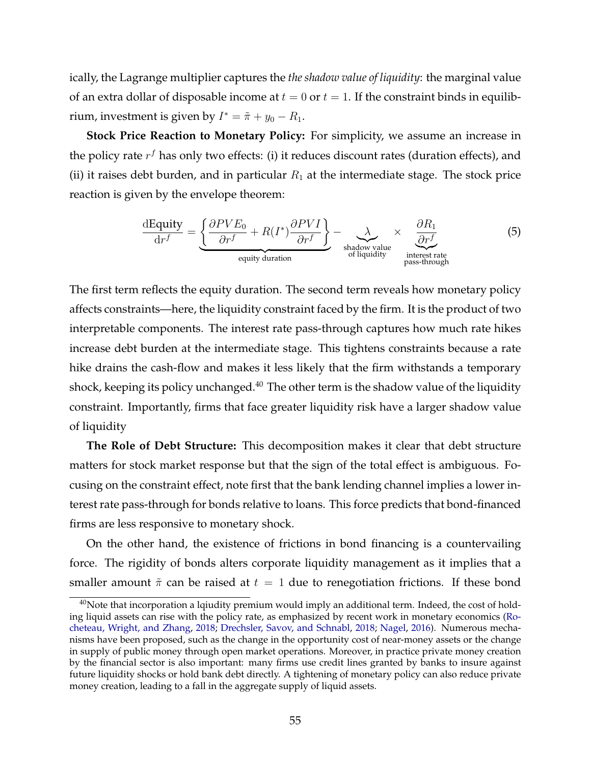ically, the Lagrange multiplier captures the *the shadow value of liquidity*: the marginal value of an extra dollar of disposable income at  $t = 0$  or  $t = 1$ . If the constraint binds in equilibrium, investment is given by  $I^* = \tilde{\pi} + y_0 - R_1$ .

**Stock Price Reaction to Monetary Policy:** For simplicity, we assume an increase in the policy rate  $r^f$  has only two effects: (i) it reduces discount rates (duration effects), and (ii) it raises debt burden, and in particular  $R_1$  at the intermediate stage. The stock price reaction is given by the envelope theorem:

$$
\frac{\text{dEquity}}{\text{d}r^f} = \underbrace{\left\{\frac{\partial PVE_0}{\partial r^f} + R(I^*)\frac{\partial PVI}{\partial r^f}\right\}}_{\text{equity duration}} - \underbrace{\lambda}_{\text{shadow value}} \times \underbrace{\frac{\partial R_1}{\partial r^f}}_{\text{interset rate}} \tag{5}
$$

The first term reflects the equity duration. The second term reveals how monetary policy affects constraints—here, the liquidity constraint faced by the firm. It is the product of two interpretable components. The interest rate pass-through captures how much rate hikes increase debt burden at the intermediate stage. This tightens constraints because a rate hike drains the cash-flow and makes it less likely that the firm withstands a temporary shock, keeping its policy unchanged. $40$  The other term is the shadow value of the liquidity constraint. Importantly, firms that face greater liquidity risk have a larger shadow value of liquidity

**The Role of Debt Structure:** This decomposition makes it clear that debt structure matters for stock market response but that the sign of the total effect is ambiguous. Focusing on the constraint effect, note first that the bank lending channel implies a lower interest rate pass-through for bonds relative to loans. This force predicts that bond-financed firms are less responsive to monetary shock.

On the other hand, the existence of frictions in bond financing is a countervailing force. The rigidity of bonds alters corporate liquidity management as it implies that a smaller amount  $\tilde{\pi}$  can be raised at  $t = 1$  due to renegotiation frictions. If these bond

 $40$ Note that incorporation a lqiudity premium would imply an additional term. Indeed, the cost of holding liquid assets can rise with the policy rate, as emphasized by recent work in monetary economics [\(Ro](#page-33-0)[cheteau, Wright, and Zhang,](#page-33-0) [2018;](#page-33-0) [Drechsler, Savov, and Schnabl,](#page-30-0) [2018;](#page-30-0) [Nagel,](#page-33-0) [2016\)](#page-33-0). Numerous mechanisms have been proposed, such as the change in the opportunity cost of near-money assets or the change in supply of public money through open market operations. Moreover, in practice private money creation by the financial sector is also important: many firms use credit lines granted by banks to insure against future liquidity shocks or hold bank debt directly. A tightening of monetary policy can also reduce private money creation, leading to a fall in the aggregate supply of liquid assets.